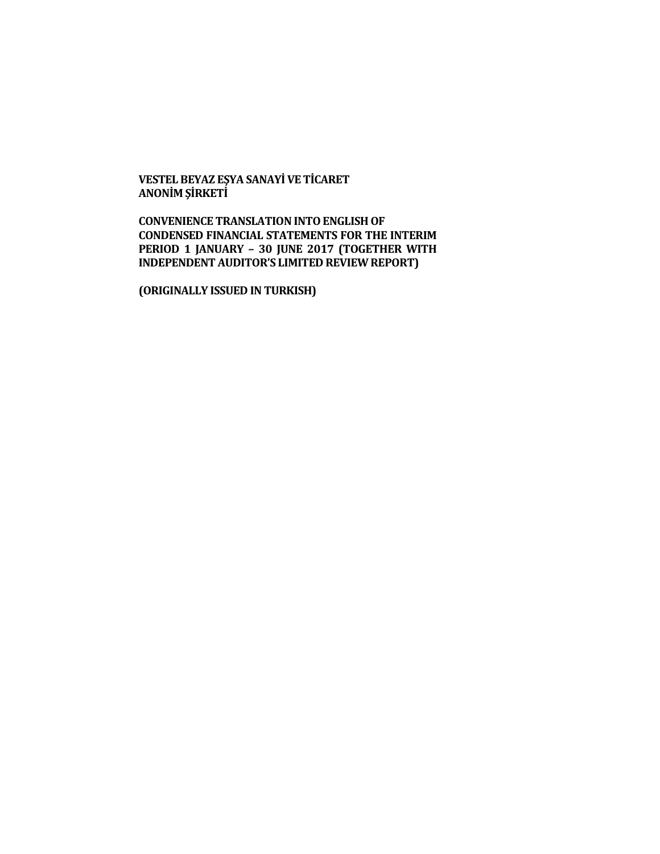**VESTEL BEYAZ EŞYA SANAYİ VE TİCARET ANONİM ŞİRKETİ**

**CONVENIENCE TRANSLATION INTO ENGLISH OF CONDENSED FINANCIAL STATEMENTS FOR THE INTERIM PERIOD 1 JANUARY – 30 JUNE 2017 (TOGETHER WITH INDEPENDENT AUDITOR'S LIMITED REVIEW REPORT)**

**(ORIGINALLY ISSUED IN TURKISH)**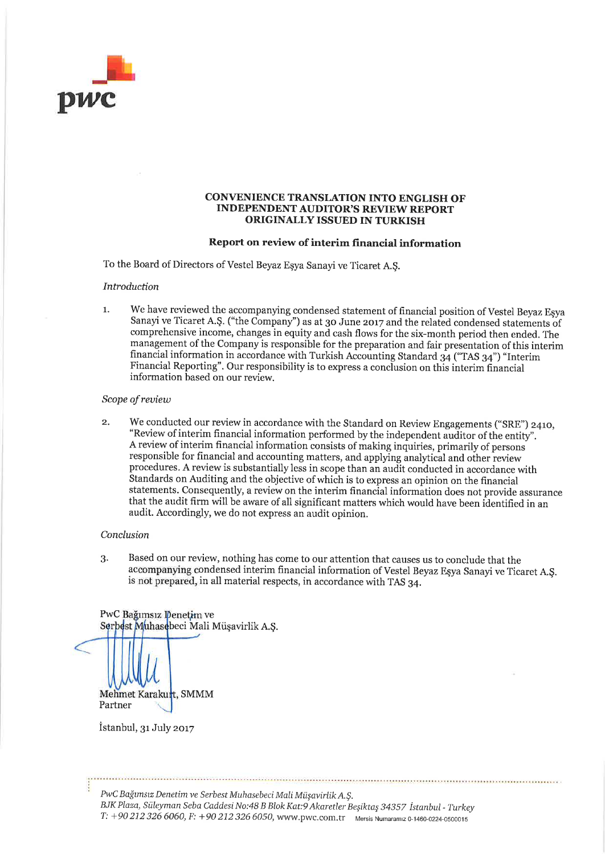

#### **CONVENIENCE TRANSLATION INTO ENGLISH OF INDEPENDENT AUDITOR'S REVIEW REPORT** ORIGINALLY ISSUED IN TURKISH

#### Report on review of interim financial information

To the Board of Directors of Vestel Beyaz Esya Sanayi ve Ticaret A.S.

#### **Introduction**

We have reviewed the accompanying condensed statement of financial position of Vestel Beyaz Esya  $\mathbf{1}$ . Sanayi ve Ticaret A.Ş. ("the Company") as at 30 June 2017 and the related condensed statements of comprehensive income, changes in equity and cash flows for the six-month period then ended. The management of the Company is responsible for the preparation and fair presentation of this interim financial information in accordance with Turkish Accounting Standard 34 ("TAS 34") "Interim Financial Reporting". Our responsibility is to express a conclusion on this interim financial information based on our review.

#### Scope of review

We conducted our review in accordance with the Standard on Review Engagements ("SRE") 2410,  $\overline{2}$ . "Review of interim financial information performed by the independent auditor of the entity". A review of interim financial information consists of making inquiries, primarily of persons responsible for financial and accounting matters, and applying analytical and other review procedures. A review is substantially less in scope than an audit conducted in accordance with Standards on Auditing and the objective of which is to express an opinion on the financial statements. Consequently, a review on the interim financial information does not provide assurance that the audit firm will be aware of all significant matters which would have been identified in an audit. Accordingly, we do not express an audit opinion.

#### Conclusion

Based on our review, nothing has come to our attention that causes us to conclude that the 3. accompanying condensed interim financial information of Vestel Beyaz Eşya Sanayi ve Ticaret A.Ş. is not prepared, in all material respects, in accordance with TAS 34.

PwC Bağımsız Denetim ve Serbest Muhasebeci Mali Müşavirlik A.Ş.

Mehmet Karakurt, SMMM Partner

İstanbul, 31 July 2017

PwC Bağımsız Denetim ve Serbest Muhasebeci Mali Müşavirlik A.Ş. BJK Plaza, Süleyman Seba Caddesi No:48 B Blok Kat:9 Akaretler Beşiktaş 34357 İstanbul - Turkey T: +90 212 326 6060, F: +90 212 326 6050, www.pwc.com.tr Mersis Numaramiz 0-1460-0224-0500015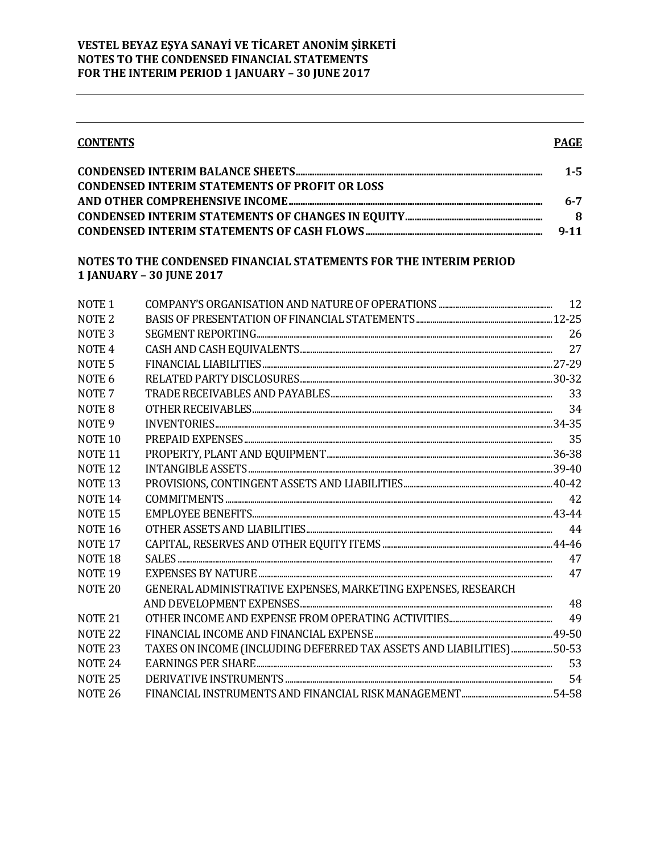#### **CONTENTS**

#### **PAGE**

|                                                       | $1 - 5$  |
|-------------------------------------------------------|----------|
| <b>CONDENSED INTERIM STATEMENTS OF PROFIT OR LOSS</b> |          |
|                                                       | $6 - 7$  |
|                                                       | -8       |
|                                                       | $9 - 11$ |

## NOTES TO THE CONDENSED FINANCIAL STATEMENTS FOR THE INTERIM PERIOD **1 JANUARY - 30 JUNE 2017**

| NOTE <sub>1</sub>  |                                                                        |    |
|--------------------|------------------------------------------------------------------------|----|
| NOTE <sub>2</sub>  |                                                                        |    |
| NOTE <sub>3</sub>  |                                                                        | 26 |
| NOTE <sub>4</sub>  |                                                                        | 27 |
| NOTE <sub>5</sub>  |                                                                        |    |
| NOTE <sub>6</sub>  |                                                                        |    |
| NOTE <sub>7</sub>  |                                                                        | 33 |
| NOTE <sub>8</sub>  |                                                                        | 34 |
| NOTE <sub>9</sub>  |                                                                        |    |
| NOTE <sub>10</sub> |                                                                        |    |
| NOTE <sub>11</sub> |                                                                        |    |
| NOTE <sub>12</sub> |                                                                        |    |
| NOTE <sub>13</sub> |                                                                        |    |
| <b>NOTE 14</b>     |                                                                        | 42 |
| <b>NOTE 15</b>     |                                                                        |    |
| <b>NOTE 16</b>     |                                                                        | 44 |
| NOTE <sub>17</sub> |                                                                        |    |
| NOTE <sub>18</sub> |                                                                        | 47 |
| NOTE <sub>19</sub> |                                                                        | 47 |
| NOTE <sub>20</sub> | GENERAL ADMINISTRATIVE EXPENSES, MARKETING EXPENSES, RESEARCH          |    |
|                    |                                                                        | 48 |
| NOTE <sub>21</sub> |                                                                        | 49 |
| NOTE <sub>22</sub> |                                                                        |    |
| <b>NOTE 23</b>     | TAXES ON INCOME (INCLUDING DEFERRED TAX ASSETS AND LIABILITIES)  50-53 |    |
| NOTE <sub>24</sub> |                                                                        | 53 |
| <b>NOTE 25</b>     |                                                                        | 54 |
| <b>NOTE 26</b>     |                                                                        |    |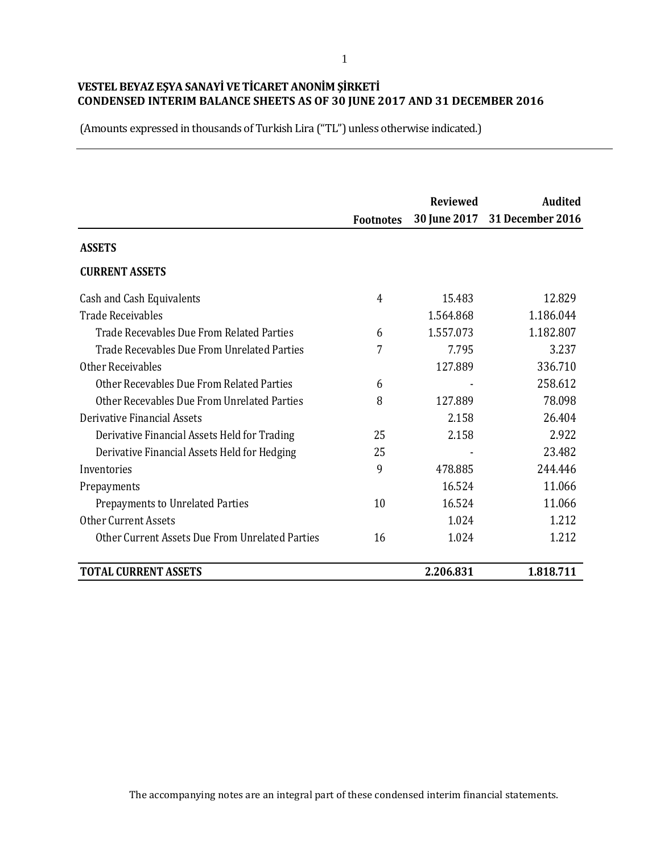(Amounts expressed in thousands of Turkish Lira ("TL") unless otherwise indicated.)

|                                                 |                  | <b>Reviewed</b> | <b>Audited</b>                |
|-------------------------------------------------|------------------|-----------------|-------------------------------|
|                                                 | <b>Footnotes</b> |                 | 30 June 2017 31 December 2016 |
| <b>ASSETS</b>                                   |                  |                 |                               |
| <b>CURRENT ASSETS</b>                           |                  |                 |                               |
| Cash and Cash Equivalents                       | $\overline{4}$   | 15.483          | 12.829                        |
| Trade Receivables                               |                  | 1.564.868       | 1.186.044                     |
| Trade Recevables Due From Related Parties       | 6                | 1.557.073       | 1.182.807                     |
| Trade Recevables Due From Unrelated Parties     | 7                | 7.795           | 3.237                         |
| Other Receivables                               |                  | 127.889         | 336.710                       |
| Other Recevables Due From Related Parties       | 6                |                 | 258.612                       |
| Other Recevables Due From Unrelated Parties     | 8                | 127.889         | 78.098                        |
| Derivative Financial Assets                     |                  | 2.158           | 26.404                        |
| Derivative Financial Assets Held for Trading    | 25               | 2.158           | 2.922                         |
| Derivative Financial Assets Held for Hedging    | 25               |                 | 23.482                        |
| Inventories                                     | 9                | 478.885         | 244.446                       |
| Prepayments                                     |                  | 16.524          | 11.066                        |
| Prepayments to Unrelated Parties                | 10               | 16.524          | 11.066                        |
| <b>Other Current Assets</b>                     |                  | 1.024           | 1.212                         |
| Other Current Assets Due From Unrelated Parties | 16               | 1.024           | 1.212                         |
| <b>TOTAL CURRENT ASSETS</b>                     |                  | 2.206.831       | 1.818.711                     |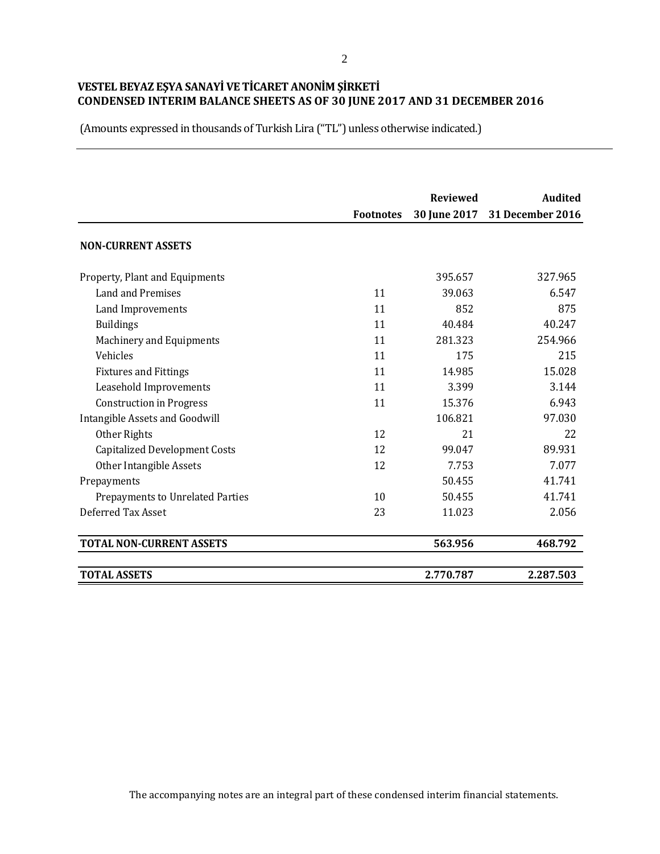(Amounts expressed in thousands of Turkish Lira ("TL") unless otherwise indicated.)

|                                      |                  | <b>Reviewed</b> | <b>Audited</b>                |
|--------------------------------------|------------------|-----------------|-------------------------------|
|                                      | <b>Footnotes</b> |                 | 30 June 2017 31 December 2016 |
| <b>NON-CURRENT ASSETS</b>            |                  |                 |                               |
| Property, Plant and Equipments       |                  | 395.657         | 327.965                       |
| Land and Premises                    | 11               | 39.063          | 6.547                         |
| Land Improvements                    | 11               | 852             | 875                           |
| <b>Buildings</b>                     | 11               | 40.484          | 40.247                        |
| Machinery and Equipments             | 11               | 281.323         | 254.966                       |
| Vehicles                             | 11               | 175             | 215                           |
| <b>Fixtures and Fittings</b>         | 11               | 14.985          | 15.028                        |
| Leasehold Improvements               | 11               | 3.399           | 3.144                         |
| <b>Construction in Progress</b>      | 11               | 15.376          | 6.943                         |
| Intangible Assets and Goodwill       |                  | 106.821         | 97.030                        |
| Other Rights                         | 12               | 21              | 22                            |
| <b>Capitalized Development Costs</b> | 12               | 99.047          | 89.931                        |
| Other Intangible Assets              | 12               | 7.753           | 7.077                         |
| Prepayments                          |                  | 50.455          | 41.741                        |
| Prepayments to Unrelated Parties     | 10               | 50.455          | 41.741                        |
| Deferred Tax Asset                   | 23               | 11.023          | 2.056                         |
| <b>TOTAL NON-CURRENT ASSETS</b>      |                  | 563.956         | 468.792                       |
| <b>TOTAL ASSETS</b>                  |                  | 2.770.787       | 2.287.503                     |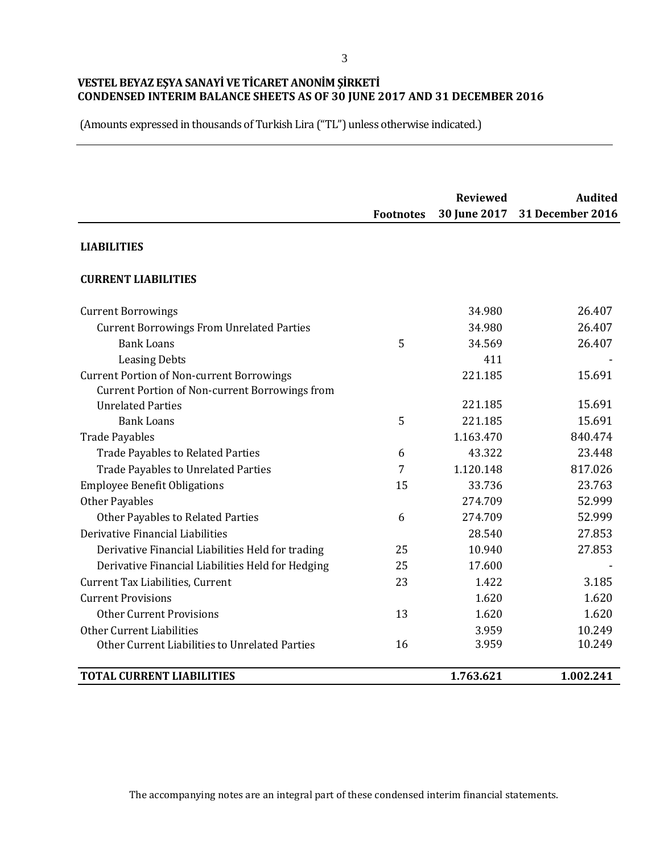(Amounts expressed in thousands of Turkish Lira ("TL") unless otherwise indicated.)

|                                                   | <b>Footnotes</b> | <b>Reviewed</b><br>30 June 2017 | <b>Audited</b><br><b>31 December 2016</b> |
|---------------------------------------------------|------------------|---------------------------------|-------------------------------------------|
| <b>LIABILITIES</b>                                |                  |                                 |                                           |
| <b>CURRENT LIABILITIES</b>                        |                  |                                 |                                           |
| <b>Current Borrowings</b>                         |                  | 34.980                          | 26.407                                    |
| <b>Current Borrowings From Unrelated Parties</b>  |                  | 34.980                          | 26.407                                    |
| <b>Bank Loans</b>                                 | 5                | 34.569                          | 26.407                                    |
| <b>Leasing Debts</b>                              |                  | 411                             |                                           |
| <b>Current Portion of Non-current Borrowings</b>  |                  | 221.185                         | 15.691                                    |
| Current Portion of Non-current Borrowings from    |                  |                                 |                                           |
| <b>Unrelated Parties</b>                          |                  | 221.185                         | 15.691                                    |
| <b>Bank Loans</b>                                 | 5                | 221.185                         | 15.691                                    |
| <b>Trade Payables</b>                             |                  | 1.163.470                       | 840.474                                   |
| <b>Trade Payables to Related Parties</b>          | 6                | 43.322                          | 23.448                                    |
| Trade Payables to Unrelated Parties               | 7                | 1.120.148                       | 817.026                                   |
| <b>Employee Benefit Obligations</b>               | 15               | 33.736                          | 23.763                                    |
| <b>Other Payables</b>                             |                  | 274.709                         | 52.999                                    |
| Other Payables to Related Parties                 | 6                | 274.709                         | 52.999                                    |
| Derivative Financial Liabilities                  |                  | 28.540                          | 27.853                                    |
| Derivative Financial Liabilities Held for trading | 25               | 10.940                          | 27.853                                    |
| Derivative Financial Liabilities Held for Hedging | 25               | 17.600                          |                                           |
| Current Tax Liabilities, Current                  | 23               | 1.422                           | 3.185                                     |
| <b>Current Provisions</b>                         |                  | 1.620                           | 1.620                                     |
| <b>Other Current Provisions</b>                   | 13               | 1.620                           | 1.620                                     |
| Other Current Liabilities                         |                  | 3.959                           | 10.249                                    |
| Other Current Liabilities to Unrelated Parties    | 16               | 3.959                           | 10.249                                    |
| <b>TOTAL CURRENT LIABILITIES</b>                  |                  | 1.763.621                       | 1.002.241                                 |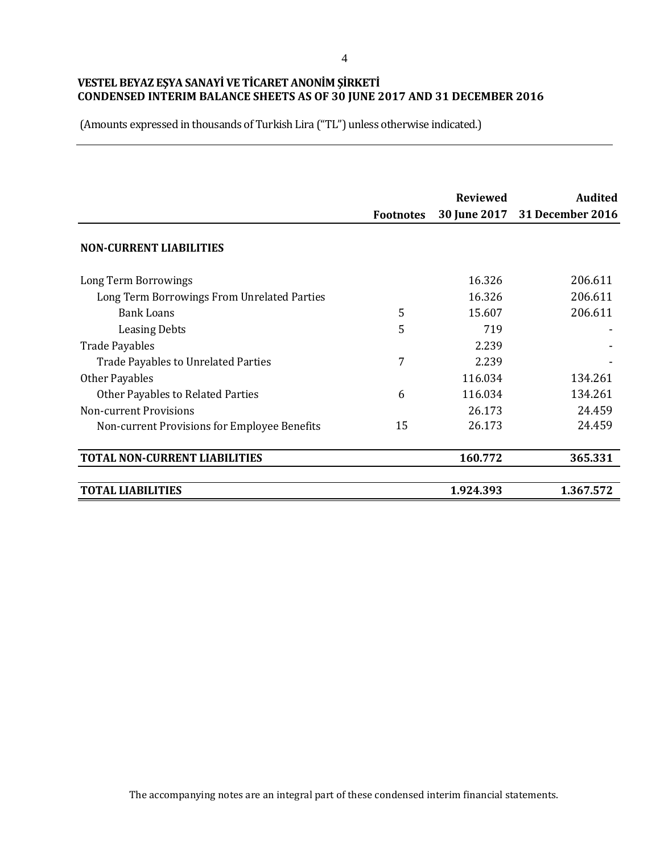(Amounts expressed in thousands of Turkish Lira ("TL") unless otherwise indicated.)

|                                              | <b>Footnotes</b> | <b>Reviewed</b><br><b>30 June 2017</b> | <b>Audited</b><br><b>31 December 2016</b> |
|----------------------------------------------|------------------|----------------------------------------|-------------------------------------------|
| <b>NON-CURRENT LIABILITIES</b>               |                  |                                        |                                           |
| Long Term Borrowings                         |                  | 16.326                                 | 206.611                                   |
| Long Term Borrowings From Unrelated Parties  |                  | 16.326                                 | 206.611                                   |
| <b>Bank Loans</b>                            | 5                | 15.607                                 | 206.611                                   |
| <b>Leasing Debts</b>                         | 5                | 719                                    |                                           |
| <b>Trade Payables</b>                        |                  | 2.239                                  |                                           |
| Trade Payables to Unrelated Parties          | 7                | 2.239                                  |                                           |
| Other Payables                               |                  | 116.034                                | 134.261                                   |
| Other Payables to Related Parties            | 6                | 116.034                                | 134.261                                   |
| <b>Non-current Provisions</b>                |                  | 26.173                                 | 24.459                                    |
| Non-current Provisions for Employee Benefits | 15               | 26.173                                 | 24.459                                    |
| <b>TOTAL NON-CURRENT LIABILITIES</b>         |                  | 160.772                                | 365.331                                   |
| <b>TOTAL LIABILITIES</b>                     |                  | 1.924.393                              | 1.367.572                                 |

4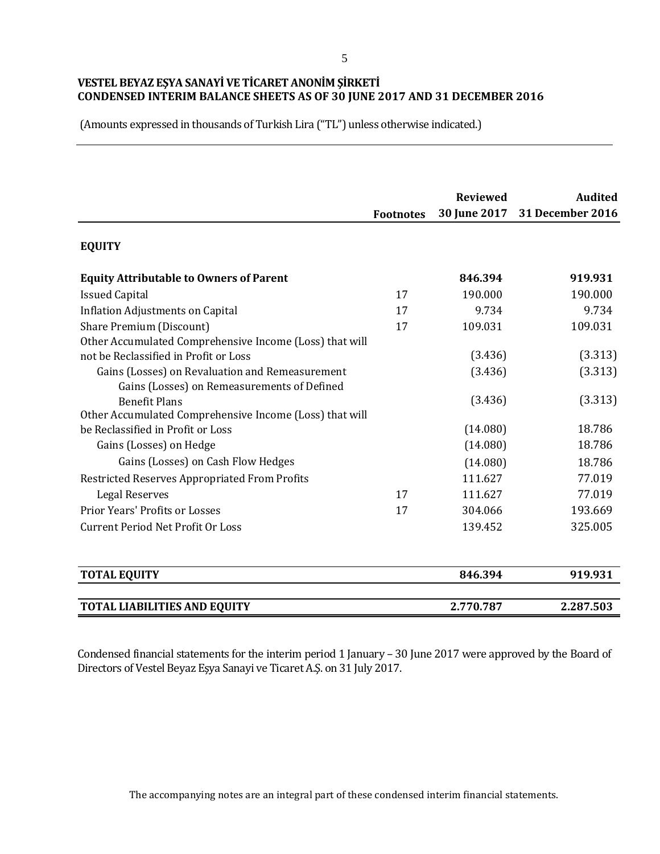(Amounts expressed in thousands of Turkish Lira ("TL") unless otherwise indicated.)

|                                                         | <b>Footnotes</b> | <b>Reviewed</b><br>30 June 2017 | <b>Audited</b><br><b>31 December 2016</b> |
|---------------------------------------------------------|------------------|---------------------------------|-------------------------------------------|
| <b>EQUITY</b>                                           |                  |                                 |                                           |
| <b>Equity Attributable to Owners of Parent</b>          |                  | 846.394                         | 919.931                                   |
| <b>Issued Capital</b>                                   | 17               | 190.000                         | 190.000                                   |
| <b>Inflation Adjustments on Capital</b>                 | 17               | 9.734                           | 9.734                                     |
| Share Premium (Discount)                                | 17               | 109.031                         | 109.031                                   |
| Other Accumulated Comprehensive Income (Loss) that will |                  |                                 |                                           |
| not be Reclassified in Profit or Loss                   |                  | (3.436)                         | (3.313)                                   |
| Gains (Losses) on Revaluation and Remeasurement         |                  | (3.436)                         | (3.313)                                   |
| Gains (Losses) on Remeasurements of Defined             |                  |                                 |                                           |
| <b>Benefit Plans</b>                                    |                  | (3.436)                         | (3.313)                                   |
| Other Accumulated Comprehensive Income (Loss) that will |                  |                                 |                                           |
| be Reclassified in Profit or Loss                       |                  | (14.080)                        | 18.786                                    |
| Gains (Losses) on Hedge                                 |                  | (14.080)                        | 18.786                                    |
| Gains (Losses) on Cash Flow Hedges                      |                  | (14.080)                        | 18.786                                    |
| Restricted Reserves Appropriated From Profits           |                  | 111.627                         | 77.019                                    |
| <b>Legal Reserves</b>                                   | 17               | 111.627                         | 77.019                                    |
| Prior Years' Profits or Losses                          | 17               | 304.066                         | 193.669                                   |
| <b>Current Period Net Profit Or Loss</b>                |                  | 139.452                         | 325.005                                   |
| <b>TOTAL EQUITY</b>                                     |                  | 846.394                         | 919.931                                   |
| <b>TOTAL LIABILITIES AND EQUITY</b>                     |                  | 2.770.787                       | 2.287.503                                 |

Condensed financial statements for the interim period 1 January – 30 June 2017 were approved by the Board of Directors of Vestel Beyaz Eşya Sanayi ve Ticaret A.Ş. on 31 July 2017.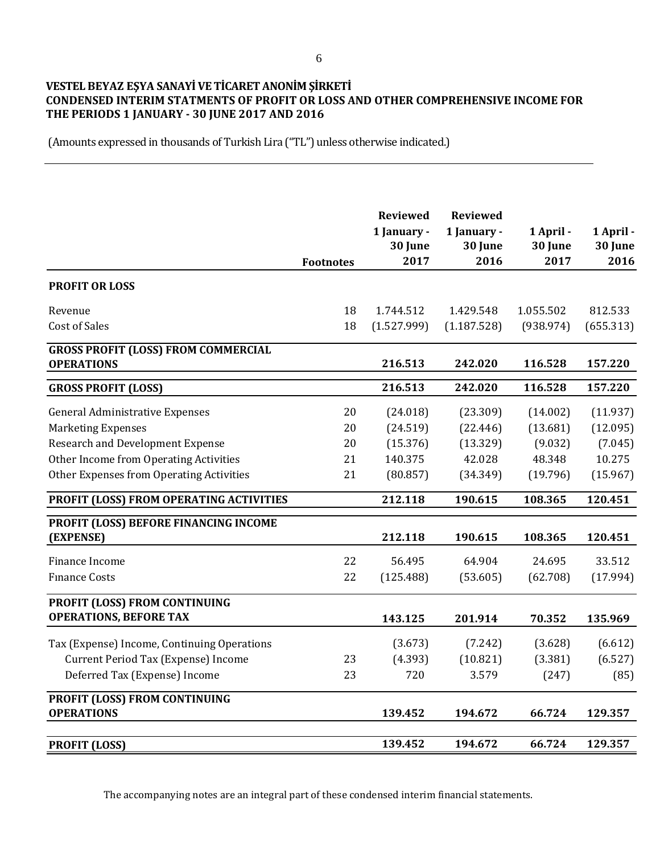## **VESTEL BEYAZ EŞYA SANAYİ VE TİCARET ANONİM ŞİRKETİ CONDENSED INTERIM STATMENTS OF PROFIT OR LOSS AND OTHER COMPREHENSIVE INCOME FOR THE PERIODS 1 JANUARY - 30 JUNE 2017 AND 2016**

(Amounts expressed in thousands of Turkish Lira ("TL") unless otherwise indicated.)

|                                                                                                                                                                                                      | <b>Footnotes</b>           | <b>Reviewed</b><br>1 January -<br>30 June<br>2017       | <b>Reviewed</b><br>1 January -<br>30 June<br>2016      | 1 April -<br>30 June<br>2017                          | 1 April -<br>30 June<br>2016                          |
|------------------------------------------------------------------------------------------------------------------------------------------------------------------------------------------------------|----------------------------|---------------------------------------------------------|--------------------------------------------------------|-------------------------------------------------------|-------------------------------------------------------|
| <b>PROFIT OR LOSS</b>                                                                                                                                                                                |                            |                                                         |                                                        |                                                       |                                                       |
| Revenue<br><b>Cost of Sales</b>                                                                                                                                                                      | 18<br>18                   | 1.744.512<br>(1.527.999)                                | 1.429.548<br>(1.187.528)                               | 1.055.502<br>(938.974)                                | 812.533<br>(655.313)                                  |
| <b>GROSS PROFIT (LOSS) FROM COMMERCIAL</b><br><b>OPERATIONS</b>                                                                                                                                      |                            | 216.513                                                 | 242.020                                                | 116.528                                               | 157.220                                               |
| <b>GROSS PROFIT (LOSS)</b>                                                                                                                                                                           |                            | 216.513                                                 | 242.020                                                | 116.528                                               | 157.220                                               |
| <b>General Administrative Expenses</b><br><b>Marketing Expenses</b><br><b>Research and Development Expense</b><br>Other Income from Operating Activities<br>Other Expenses from Operating Activities | 20<br>20<br>20<br>21<br>21 | (24.018)<br>(24.519)<br>(15.376)<br>140.375<br>(80.857) | (23.309)<br>(22.446)<br>(13.329)<br>42.028<br>(34.349) | (14.002)<br>(13.681)<br>(9.032)<br>48.348<br>(19.796) | (11.937)<br>(12.095)<br>(7.045)<br>10.275<br>(15.967) |
| PROFIT (LOSS) FROM OPERATING ACTIVITIES                                                                                                                                                              |                            | 212.118                                                 | 190.615                                                | 108.365                                               | 120.451                                               |
| PROFIT (LOSS) BEFORE FINANCING INCOME<br>(EXPENSE)                                                                                                                                                   |                            | 212.118                                                 | 190.615                                                | 108.365                                               | 120.451                                               |
| Finance Income<br><b>Finance Costs</b>                                                                                                                                                               | 22<br>22                   | 56.495<br>(125.488)                                     | 64.904<br>(53.605)                                     | 24.695<br>(62.708)                                    | 33.512<br>(17.994)                                    |
| PROFIT (LOSS) FROM CONTINUING<br><b>OPERATIONS, BEFORE TAX</b>                                                                                                                                       |                            | 143.125                                                 | 201.914                                                | 70.352                                                | 135.969                                               |
| Tax (Expense) Income, Continuing Operations<br>Current Period Tax (Expense) Income<br>Deferred Tax (Expense) Income                                                                                  | 23<br>23                   | (3.673)<br>(4.393)<br>720                               | (7.242)<br>(10.821)<br>3.579                           | (3.628)<br>(3.381)<br>(247)                           | (6.612)<br>(6.527)<br>(85)                            |
| PROFIT (LOSS) FROM CONTINUING<br><b>OPERATIONS</b>                                                                                                                                                   |                            | 139.452                                                 | 194.672                                                | 66.724                                                | 129.357                                               |
| <b>PROFIT (LOSS)</b>                                                                                                                                                                                 |                            | 139.452                                                 | 194.672                                                | 66.724                                                | 129.357                                               |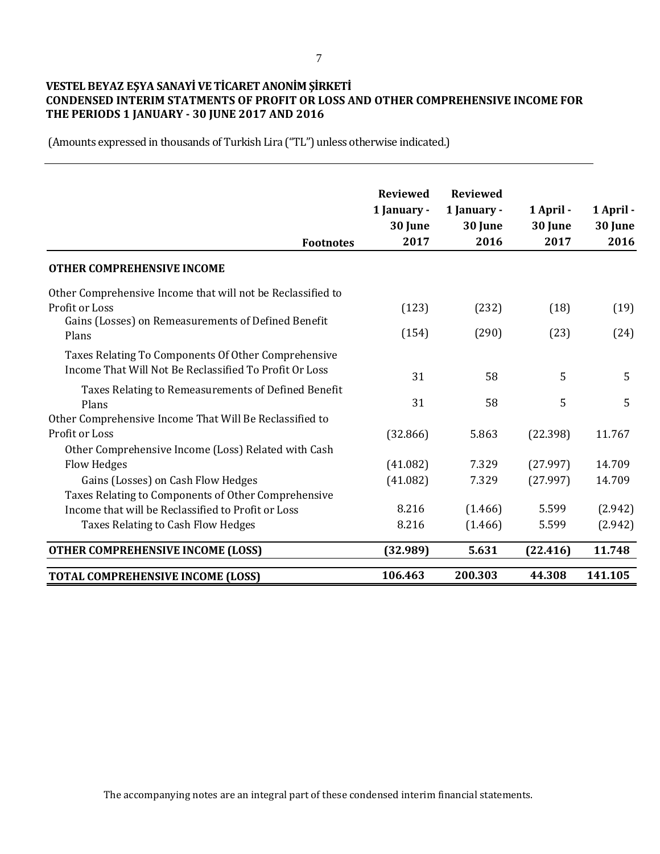#### 7

## **VESTEL BEYAZ EŞYA SANAYİ VE TİCARET ANONİM ŞİRKETİ CONDENSED INTERIM STATMENTS OF PROFIT OR LOSS AND OTHER COMPREHENSIVE INCOME FOR THE PERIODS 1 JANUARY - 30 JUNE 2017 AND 2016**

(Amounts expressed in thousands of Turkish Lira ("TL") unless otherwise indicated.)

| <b>Footnotes</b>                                             | <b>Reviewed</b><br>1 January -<br>30 June<br>2017 | <b>Reviewed</b><br>1 January -<br>30 June<br>2016 | 1 April -<br>30 June<br>2017 | 1 April -<br>30 June<br>2016 |
|--------------------------------------------------------------|---------------------------------------------------|---------------------------------------------------|------------------------------|------------------------------|
| OTHER COMPREHENSIVE INCOME                                   |                                                   |                                                   |                              |                              |
| Other Comprehensive Income that will not be Reclassified to  |                                                   |                                                   |                              |                              |
| Profit or Loss                                               | (123)                                             | (232)                                             | (18)                         | (19)                         |
| Gains (Losses) on Remeasurements of Defined Benefit<br>Plans | (154)                                             | (290)                                             | (23)                         | (24)                         |
| Taxes Relating To Components Of Other Comprehensive          |                                                   |                                                   |                              |                              |
| Income That Will Not Be Reclassified To Profit Or Loss       | 31                                                | 58                                                | 5                            | 5                            |
| Taxes Relating to Remeasurements of Defined Benefit<br>Plans | 31                                                | 58                                                | 5                            | 5                            |
| Other Comprehensive Income That Will Be Reclassified to      |                                                   |                                                   |                              |                              |
| Profit or Loss                                               | (32.866)                                          | 5.863                                             | (22.398)                     | 11.767                       |
| Other Comprehensive Income (Loss) Related with Cash          |                                                   |                                                   |                              |                              |
| Flow Hedges                                                  | (41.082)                                          | 7.329                                             | (27.997)                     | 14.709                       |
| Gains (Losses) on Cash Flow Hedges                           | (41.082)                                          | 7.329                                             | (27.997)                     | 14.709                       |
| Taxes Relating to Components of Other Comprehensive          |                                                   |                                                   |                              |                              |
| Income that will be Reclassified to Profit or Loss           | 8.216                                             | (1.466)                                           | 5.599                        | (2.942)                      |
| Taxes Relating to Cash Flow Hedges                           | 8.216                                             | (1.466)                                           | 5.599                        | (2.942)                      |
| <b>OTHER COMPREHENSIVE INCOME (LOSS)</b>                     | (32.989)                                          | 5.631                                             | (22.416)                     | 11.748                       |
| <b>TOTAL COMPREHENSIVE INCOME (LOSS)</b>                     | 106.463                                           | 200.303                                           | 44.308                       | 141.105                      |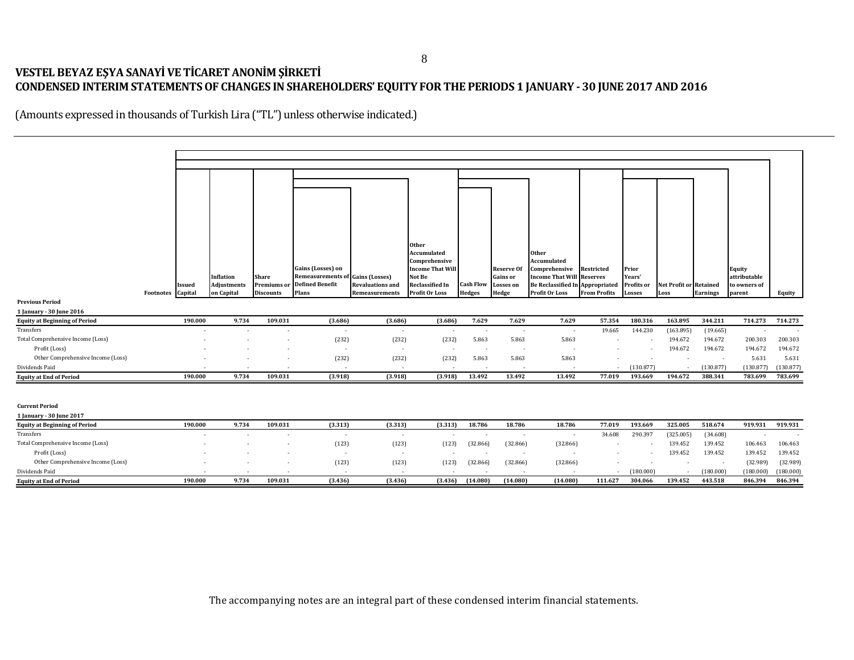## **VESTEL BEYAZ EŞYA SANAYİ VE TİCARET ANONİM ŞİRKETİ CONDENSED INTERIM STATEMENTS OF CHANGES IN SHAREHOLDERS' EQUITY FOR THE PERIODS 1 JANUARY - 30 JUNE 2017 AND 2016**

(Amounts expressed in thousands of Turkish Lira ("TL") unless otherwise indicated.)

|                                      |                          |         |             |                    |                          |                          | <b>Other</b>                             |                  |                                      |                                                   |                          |                 |                               |                 |                        |           |
|--------------------------------------|--------------------------|---------|-------------|--------------------|--------------------------|--------------------------|------------------------------------------|------------------|--------------------------------------|---------------------------------------------------|--------------------------|-----------------|-------------------------------|-----------------|------------------------|-----------|
|                                      |                          |         |             |                    |                          |                          | Accumulated                              |                  |                                      | Other                                             |                          |                 |                               |                 |                        |           |
|                                      |                          |         |             |                    | Gains (Losses) on        |                          | Comprehensive<br><b>Income That Will</b> |                  |                                      | Accumulated                                       |                          |                 |                               |                 |                        |           |
|                                      |                          |         | Inflation   | Share              | Remeasurements o         | <b>Gains (Losses)</b>    | Not Be                                   |                  | <b>Reserve Of</b><br><b>Gains</b> or | Comprehensive<br><b>Income That Will Reserves</b> | Restricted               | Prior<br>Years' |                               |                 | Equity<br>attributable |           |
|                                      |                          | lssued  | Adjustments | <b>Premiums</b> or | <b>Defined Benefit</b>   | Revaluations and         | <b>Reclassified In</b>                   | <b>Cash Flow</b> | <b>Losses</b> on                     | <b>Be Reclassified In Appropriated</b>            |                          | Profits or      | <b>Net Profit or Retained</b> |                 | to owners of           |           |
|                                      | <b>Footnotes</b> Capital |         | on Capital  | <b>Discounts</b>   | Plans                    | Remeasurements           | <b>Profit Or Loss</b>                    | <b>Hedges</b>    | Hedge                                | Profit Or Loss                                    | <b>From Profits</b>      | <b>Losses</b>   | Loss                          | <b>Earnings</b> | parent                 | Equity    |
| <b>Previous Period</b>               |                          |         |             |                    |                          |                          |                                          |                  |                                      |                                                   |                          |                 |                               |                 |                        |           |
| 1 January - 30 June 2016             |                          |         |             |                    |                          |                          |                                          |                  |                                      |                                                   |                          |                 |                               |                 |                        |           |
| <b>Equity at Beginning of Period</b> |                          | 190.000 | 9.734       | 109.031            | (3.686)                  | (3.686)                  | (3.686)                                  | 7.629            | 7.629                                | 7.629                                             | 57.354                   | 180.316         | 163.895                       | 344.211         | 714.273                | 714.273   |
| Transfers                            |                          |         |             |                    | $\overline{\phantom{a}}$ | $\overline{\phantom{a}}$ | ٠                                        | $\sim$           | $\overline{\phantom{a}}$             | $\sim$                                            | 19.665                   | 144.230         | (163.895)                     | (19.665)        |                        |           |
| Total Comprehensive Income (Loss)    |                          |         |             |                    | (232)                    | (232)                    | (232)                                    | 5.863            | 5.863                                | 5.863                                             |                          |                 | 194.672                       | 194.672         | 200.303                | 200.303   |
| Profit (Loss)                        |                          |         |             |                    | $\overline{\phantom{a}}$ | $\overline{\phantom{a}}$ | $\sim$                                   | $\sim$           | $\overline{\phantom{a}}$             |                                                   |                          |                 | 194.672                       | 194.672         | 194.672                | 194.672   |
| Other Comprehensive Income (Loss)    |                          |         |             |                    | (232)                    | (232)                    | (232)                                    | 5.863            | 5.863                                | 5.863                                             |                          |                 |                               | $\sim$          | 5.631                  | 5.631     |
| Dividends Paid                       |                          |         |             |                    |                          | $\overline{\phantom{a}}$ |                                          |                  |                                      | $\sim$                                            | $\overline{\phantom{a}}$ | (130.877)       |                               | (130.877)       | (130.877)              | (130.877) |
| <b>Equity at End of Period</b>       |                          | 190.000 | 9.734       | 109.031            | (3.918)                  | (3.918)                  | (3.918)                                  | 13.492           | 13.492                               | 13.492                                            | 77.019                   | 193.669         | 194.672                       | 388.341         | 783.699                | 783.699   |
|                                      |                          |         |             |                    |                          |                          |                                          |                  |                                      |                                                   |                          |                 |                               |                 |                        |           |
| <b>Current Period</b>                |                          |         |             |                    |                          |                          |                                          |                  |                                      |                                                   |                          |                 |                               |                 |                        |           |
| 1 January - 30 June 2017             |                          |         |             |                    |                          |                          |                                          |                  |                                      |                                                   |                          |                 |                               |                 |                        |           |
| <b>Equity at Beginning of Period</b> |                          | 190.000 | 9.734       | 109.031            | (3.313)                  | (3.313)                  | (3.313)                                  | 18.786           | 18.786                               | 18.786                                            | 77.019                   | 193.669         | 325.005                       | 518.674         | 919.931                | 919.931   |
| Transfers                            |                          |         |             |                    | $\overline{\phantom{a}}$ | $\overline{\phantom{a}}$ |                                          |                  |                                      | . п.                                              | 34.608                   | 290.397         | (325.005)                     | (34.608)        |                        |           |
| Total Comprehensive Income (Loss)    |                          |         |             |                    | (123)                    | (123)                    | (123)                                    | (32.866)         | (32.866)                             | (32.866)                                          |                          |                 | 139.452                       | 139.452         | 106.463                | 106.463   |
| Profit (Loss)                        |                          |         |             |                    | $\overline{\phantom{a}}$ | $\overline{\phantom{a}}$ | ٠                                        | $\sim$           |                                      |                                                   |                          |                 | 139.452                       | 139.452         | 139.452                | 139.452   |
| Other Comprehensive Income (Loss)    |                          |         |             |                    | (123)                    | (123)                    | (123)                                    | (32.866)         | (32.866)                             | (32.866)                                          |                          |                 |                               | $\sim$          | (32.989)               | (32.989)  |
| Dividends Paid                       |                          |         |             |                    |                          | $\overline{\phantom{a}}$ |                                          |                  |                                      |                                                   |                          | (180.000)       |                               | (180.000)       | (180.000)              | (180.000) |
| <b>Equity at End of Period</b>       |                          | 190.000 | 9.734       | 109.031            | (3.436)                  | (3.436)                  | (3.436)                                  | (14.080)         | (14.080)                             | (14.080)                                          | 111.627                  | 304.066         | 139.452                       | 443.518         | 846.394                | 846.394   |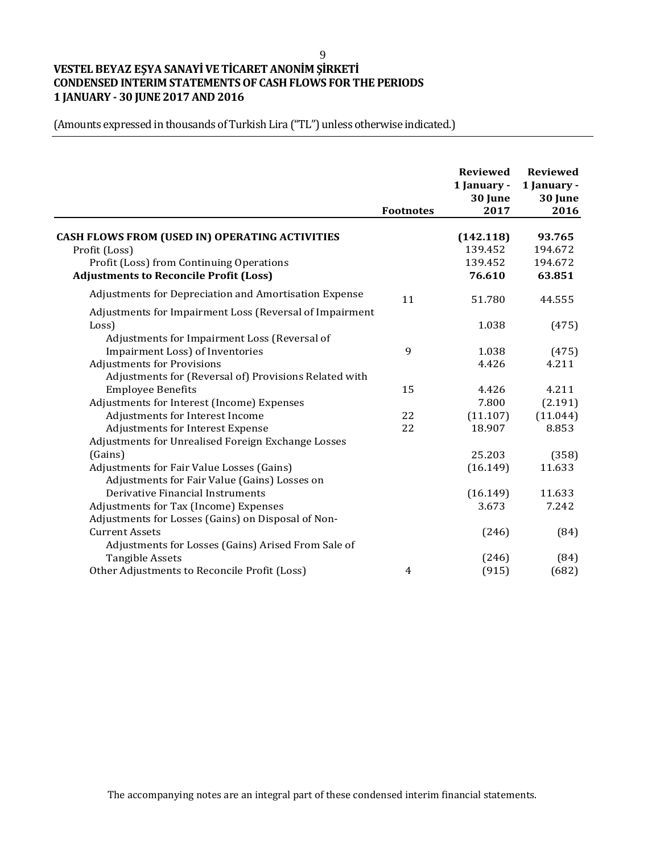# **VESTEL BEYAZ EŞYA SANAYİ VE TİCARET ANONİM ŞİRKETİ CONDENSED INTERIM STATEMENTS OF CASH FLOWS FOR THE PERIODS 1 JANUARY - 30 JUNE 2017 AND 2016**

(Amounts expressed in thousands of Turkish Lira ("TL") unless otherwise indicated.)

|                                                         | <b>Footnotes</b> | <b>Reviewed</b><br>1 January -<br>30 June<br>2017 | <b>Reviewed</b><br>1 January -<br>30 June<br>2016 |
|---------------------------------------------------------|------------------|---------------------------------------------------|---------------------------------------------------|
|                                                         |                  |                                                   |                                                   |
| <b>CASH FLOWS FROM (USED IN) OPERATING ACTIVITIES</b>   |                  | (142.118)                                         | 93.765                                            |
| Profit (Loss)                                           |                  | 139.452                                           | 194.672                                           |
| Profit (Loss) from Continuing Operations                |                  | 139.452                                           | 194.672                                           |
| <b>Adjustments to Reconcile Profit (Loss)</b>           |                  | 76.610                                            | 63.851                                            |
| Adjustments for Depreciation and Amortisation Expense   | 11               | 51.780                                            | 44.555                                            |
| Adjustments for Impairment Loss (Reversal of Impairment |                  |                                                   |                                                   |
| Loss)                                                   |                  | 1.038                                             | (475)                                             |
| Adjustments for Impairment Loss (Reversal of            |                  |                                                   |                                                   |
| Impairment Loss) of Inventories                         | 9                | 1.038                                             | (475)                                             |
| <b>Adjustments for Provisions</b>                       |                  | 4.426                                             | 4.211                                             |
| Adjustments for (Reversal of) Provisions Related with   |                  |                                                   |                                                   |
| <b>Employee Benefits</b>                                | 15               | 4.426                                             | 4.211                                             |
| Adjustments for Interest (Income) Expenses              |                  | 7.800                                             | (2.191)                                           |
| Adjustments for Interest Income                         | 22               | (11.107)                                          | (11.044)                                          |
| Adjustments for Interest Expense                        | 22               | 18.907                                            | 8.853                                             |
| Adjustments for Unrealised Foreign Exchange Losses      |                  |                                                   |                                                   |
| (Gains)                                                 |                  | 25.203                                            | (358)                                             |
| Adjustments for Fair Value Losses (Gains)               |                  | (16.149)                                          | 11.633                                            |
| Adjustments for Fair Value (Gains) Losses on            |                  |                                                   |                                                   |
| Derivative Financial Instruments                        |                  | (16.149)                                          | 11.633                                            |
| Adjustments for Tax (Income) Expenses                   |                  | 3.673                                             | 7.242                                             |
| Adjustments for Losses (Gains) on Disposal of Non-      |                  |                                                   |                                                   |
| <b>Current Assets</b>                                   |                  | (246)                                             | (84)                                              |
| Adjustments for Losses (Gains) Arised From Sale of      |                  |                                                   |                                                   |
| <b>Tangible Assets</b>                                  |                  | (246)                                             | (84)                                              |
| Other Adjustments to Reconcile Profit (Loss)            | $\overline{4}$   | (915)                                             | (682)                                             |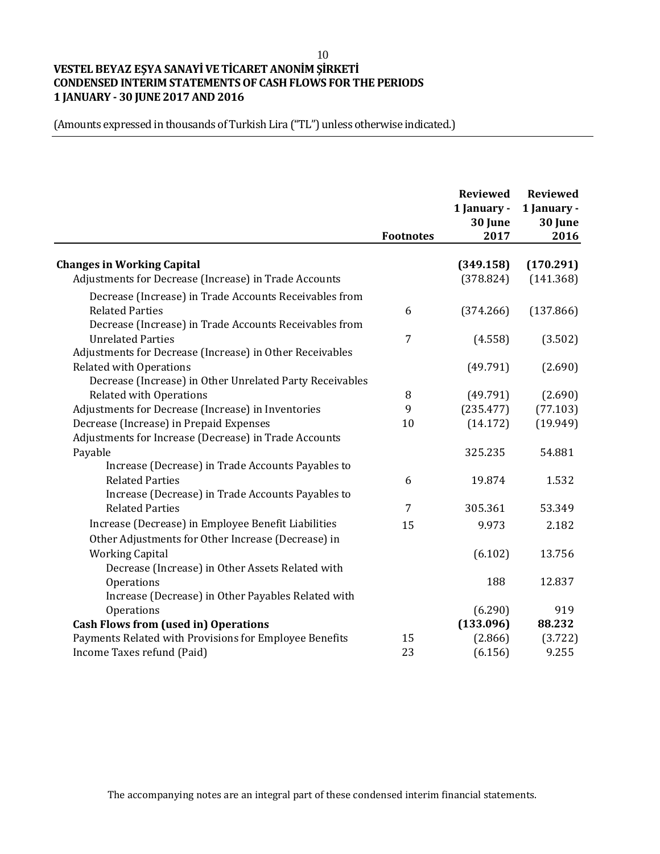## 10 **VESTEL BEYAZ EŞYA SANAYİ VE TİCARET ANONİM ŞİRKETİ CONDENSED INTERIM STATEMENTS OF CASH FLOWS FOR THE PERIODS 1 JANUARY - 30 JUNE 2017 AND 2016**

(Amounts expressed in thousands of Turkish Lira ("TL") unless otherwise indicated.)

|                                                          | <b>Footnotes</b> | <b>Reviewed</b><br>1 January -<br>30 June<br>2017 | <b>Reviewed</b><br>1 January -<br>30 June<br>2016 |
|----------------------------------------------------------|------------------|---------------------------------------------------|---------------------------------------------------|
| <b>Changes in Working Capital</b>                        |                  | (349.158)                                         | (170.291)                                         |
| Adjustments for Decrease (Increase) in Trade Accounts    |                  | (378.824)                                         | (141.368)                                         |
| Decrease (Increase) in Trade Accounts Receivables from   |                  |                                                   |                                                   |
| <b>Related Parties</b>                                   | 6                | (374.266)                                         | (137.866)                                         |
| Decrease (Increase) in Trade Accounts Receivables from   |                  |                                                   |                                                   |
| <b>Unrelated Parties</b>                                 | 7                | (4.558)                                           | (3.502)                                           |
| Adjustments for Decrease (Increase) in Other Receivables |                  |                                                   |                                                   |
| <b>Related with Operations</b>                           |                  | (49.791)                                          | (2.690)                                           |
| Decrease (Increase) in Other Unrelated Party Receivables |                  |                                                   |                                                   |
| <b>Related with Operations</b>                           | 8                | (49.791)                                          | (2.690)                                           |
| Adjustments for Decrease (Increase) in Inventories       | 9                | (235.477)                                         | (77.103)                                          |
| Decrease (Increase) in Prepaid Expenses                  | 10               | (14.172)                                          | (19.949)                                          |
| Adjustments for Increase (Decrease) in Trade Accounts    |                  |                                                   |                                                   |
| Payable                                                  |                  | 325.235                                           | 54.881                                            |
| Increase (Decrease) in Trade Accounts Payables to        |                  |                                                   |                                                   |
| <b>Related Parties</b>                                   | 6                | 19.874                                            | 1.532                                             |
| Increase (Decrease) in Trade Accounts Payables to        |                  |                                                   |                                                   |
| <b>Related Parties</b>                                   | 7                | 305.361                                           | 53.349                                            |
| Increase (Decrease) in Employee Benefit Liabilities      | 15               | 9.973                                             | 2.182                                             |
| Other Adjustments for Other Increase (Decrease) in       |                  |                                                   |                                                   |
| <b>Working Capital</b>                                   |                  | (6.102)                                           | 13.756                                            |
| Decrease (Increase) in Other Assets Related with         |                  |                                                   |                                                   |
| Operations                                               |                  | 188                                               | 12.837                                            |
| Increase (Decrease) in Other Payables Related with       |                  |                                                   |                                                   |
| Operations                                               |                  | (6.290)                                           | 919                                               |
| <b>Cash Flows from (used in) Operations</b>              |                  | (133.096)                                         | 88.232                                            |
| Payments Related with Provisions for Employee Benefits   | 15               | (2.866)                                           | (3.722)                                           |
| Income Taxes refund (Paid)                               | 23               | (6.156)                                           | 9.255                                             |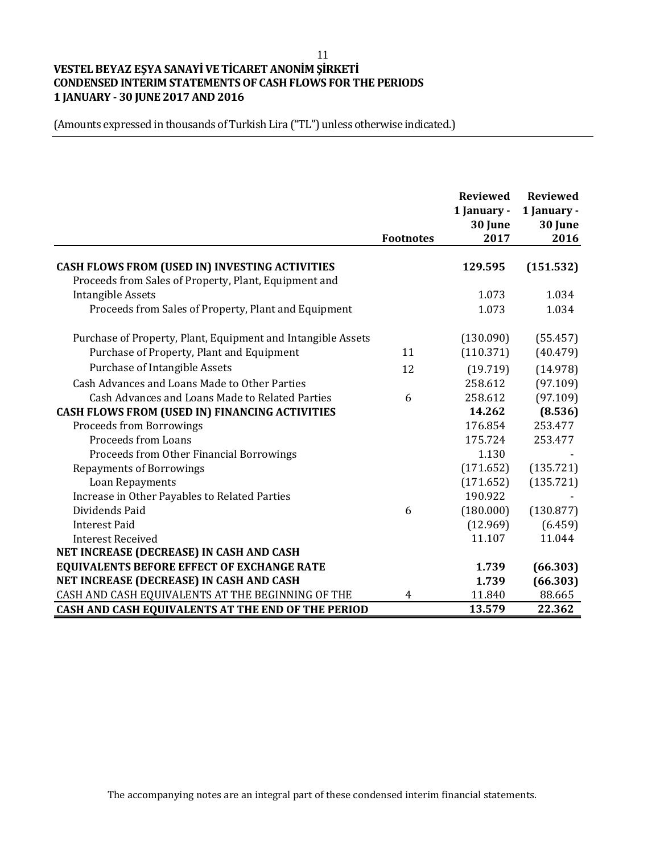## 11 **VESTEL BEYAZ EŞYA SANAYİ VE TİCARET ANONİM ŞİRKETİ CONDENSED INTERIM STATEMENTS OF CASH FLOWS FOR THE PERIODS 1 JANUARY - 30 JUNE 2017 AND 2016**

(Amounts expressed in thousands of Turkish Lira ("TL") unless otherwise indicated.)

|                                                                                                         |                  | <b>Reviewed</b><br>1 January -<br>30 June | <b>Reviewed</b><br>1 January -<br>30 June |
|---------------------------------------------------------------------------------------------------------|------------------|-------------------------------------------|-------------------------------------------|
|                                                                                                         | <b>Footnotes</b> | 2017                                      | 2016                                      |
| CASH FLOWS FROM (USED IN) INVESTING ACTIVITIES<br>Proceeds from Sales of Property, Plant, Equipment and |                  | 129.595                                   | (151.532)                                 |
| <b>Intangible Assets</b>                                                                                |                  | 1.073                                     | 1.034                                     |
| Proceeds from Sales of Property, Plant and Equipment                                                    |                  | 1.073                                     | 1.034                                     |
| Purchase of Property, Plant, Equipment and Intangible Assets                                            |                  | (130.090)                                 | (55.457)                                  |
| Purchase of Property, Plant and Equipment                                                               | 11               | (110.371)                                 | (40.479)                                  |
| Purchase of Intangible Assets                                                                           | 12               | (19.719)                                  | (14.978)                                  |
| Cash Advances and Loans Made to Other Parties                                                           |                  | 258.612                                   | (97.109)                                  |
| Cash Advances and Loans Made to Related Parties                                                         | 6                | 258.612                                   | (97.109)                                  |
| CASH FLOWS FROM (USED IN) FINANCING ACTIVITIES                                                          |                  | 14.262                                    | (8.536)                                   |
| <b>Proceeds from Borrowings</b>                                                                         |                  | 176.854                                   | 253.477                                   |
| <b>Proceeds from Loans</b>                                                                              |                  | 175.724                                   | 253.477                                   |
| Proceeds from Other Financial Borrowings                                                                |                  | 1.130                                     |                                           |
| <b>Repayments of Borrowings</b>                                                                         |                  | (171.652)                                 | (135.721)                                 |
| Loan Repayments                                                                                         |                  | (171.652)                                 | (135.721)                                 |
| Increase in Other Payables to Related Parties                                                           |                  | 190.922                                   |                                           |
| Dividends Paid                                                                                          | 6                | (180.000)                                 | (130.877)                                 |
| <b>Interest Paid</b>                                                                                    |                  | (12.969)                                  | (6.459)                                   |
| <b>Interest Received</b>                                                                                |                  | 11.107                                    | 11.044                                    |
| NET INCREASE (DECREASE) IN CASH AND CASH                                                                |                  |                                           |                                           |
| <b>EQUIVALENTS BEFORE EFFECT OF EXCHANGE RATE</b>                                                       |                  | 1.739                                     | (66.303)                                  |
| NET INCREASE (DECREASE) IN CASH AND CASH                                                                |                  | 1.739                                     | (66.303)                                  |
| CASH AND CASH EQUIVALENTS AT THE BEGINNING OF THE                                                       | 4                | 11.840                                    | 88.665                                    |
| CASH AND CASH EQUIVALENTS AT THE END OF THE PERIOD                                                      |                  | 13.579                                    | 22.362                                    |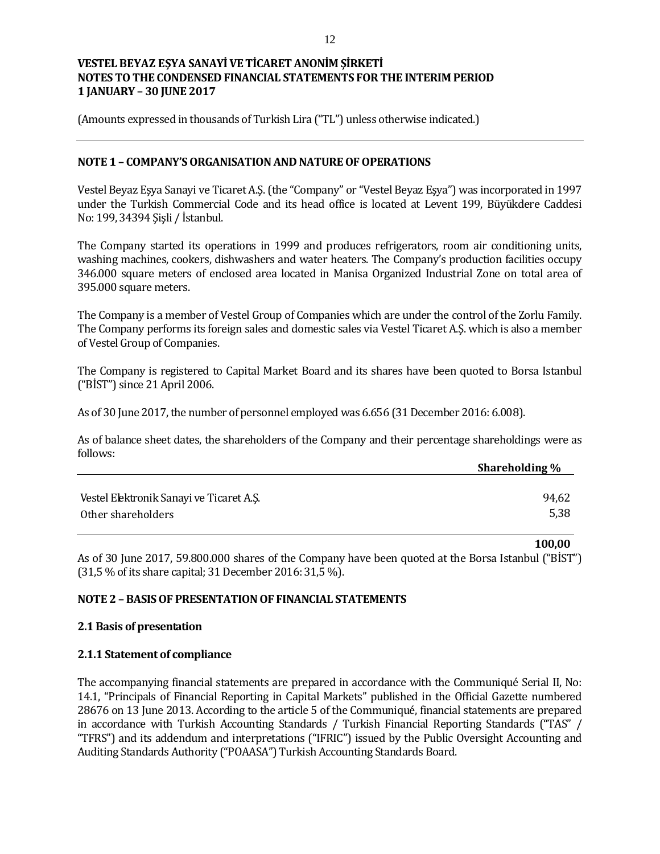(Amounts expressed in thousands of Turkish Lira ("TL") unless otherwise indicated.)

### **NOTE 1 – COMPANY'S ORGANISATION AND NATURE OF OPERATIONS**

Vestel Beyaz Eşya Sanayi ve Ticaret A.Ş. (the "Company" or "Vestel Beyaz Eşya") was incorporated in 1997 under the Turkish Commercial Code and its head office is located at Levent 199, Büyükdere Caddesi No: 199, 34394 Şişli / İstanbul.

The Company started its operations in 1999 and produces refrigerators, room air conditioning units, washing machines, cookers, dishwashers and water heaters. The Company's production facilities occupy 346.000 square meters of enclosed area located in Manisa Organized Industrial Zone on total area of 395.000 square meters.

The Company is a member of Vestel Group of Companies which are under the control of the Zorlu Family. The Company performs its foreign sales and domestic sales via Vestel Ticaret A.Ş. which is also a member of Vestel Group of Companies.

The Company is registered to Capital Market Board and its shares have been quoted to Borsa Istanbul ("BİST") since 21 April 2006.

As of 30 June 2017, the number of personnel employed was 6.656 (31 December 2016: 6.008).

As of balance sheet dates, the shareholders of the Company and their percentage shareholdings were as follows:

|                                          | <b>Shareholding</b> % |
|------------------------------------------|-----------------------|
|                                          |                       |
| Vestel Elektronik Sanayi ve Ticaret A.Ş. | 94,62                 |
| Other shareholders                       | 5,38                  |

As of 30 June 2017, 59.800.000 shares of the Company have been quoted at the Borsa Istanbul ("BİST") (31,5 % of its share capital; 31 December 2016: 31,5 %).

**100,00**

## **NOTE 2 – BASIS OF PRESENTATION OF FINANCIAL STATEMENTS**

### **2.1 Basis of presentation**

### **2.1.1 Statement of compliance**

The accompanying financial statements are prepared in accordance with the Communiqué Serial II, No: 14.1, "Principals of Financial Reporting in Capital Markets" published in the Official Gazette numbered 28676 on 13 June 2013. According to the article 5 of the Communiqué, financial statements are prepared in accordance with Turkish Accounting Standards / Turkish Financial Reporting Standards ("TAS" / "TFRS") and its addendum and interpretations ("IFRIC") issued by the Public Oversight Accounting and Auditing Standards Authority ("POAASA") Turkish Accounting Standards Board.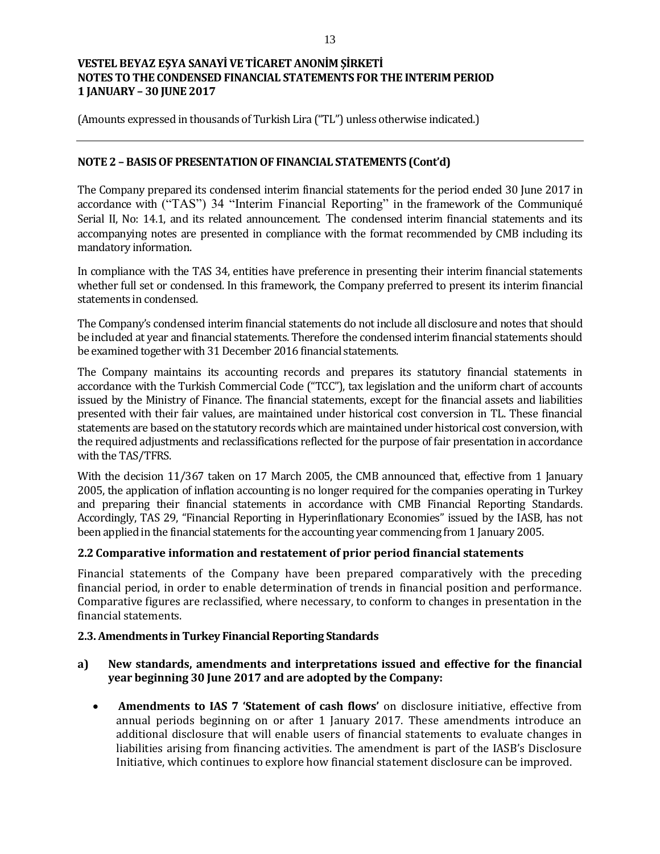(Amounts expressed in thousands of Turkish Lira ("TL") unless otherwise indicated.)

## **NOTE 2 – BASIS OF PRESENTATION OF FINANCIAL STATEMENTS (Cont'd)**

The Company prepared its condensed interim financial statements for the period ended 30 June 2017 in accordance with ("TAS") 34 "Interim Financial Reporting" in the framework of the Communiqué Serial II, No: 14.1, and its related announcement. The condensed interim financial statements and its accompanying notes are presented in compliance with the format recommended by CMB including its mandatory information.

In compliance with the TAS 34, entities have preference in presenting their interim financial statements whether full set or condensed. In this framework, the Company preferred to present its interim financial statements in condensed.

The Company's condensed interim financial statements do not include all disclosure and notes that should be included at year and financial statements. Therefore the condensed interim financial statements should be examined together with 31 December 2016 financial statements.

The Company maintains its accounting records and prepares its statutory financial statements in accordance with the Turkish Commercial Code ("TCC"), tax legislation and the uniform chart of accounts issued by the Ministry of Finance. The financial statements, except for the financial assets and liabilities presented with their fair values, are maintained under historical cost conversion in TL. These financial statements are based on the statutory records which are maintained under historical cost conversion, with the required adjustments and reclassifications reflected for the purpose of fair presentation in accordance with the TAS/TFRS.

With the decision 11/367 taken on 17 March 2005, the CMB announced that, effective from 1 January 2005, the application of inflation accounting is no longer required for the companies operating in Turkey and preparing their financial statements in accordance with CMB Financial Reporting Standards. Accordingly, TAS 29, "Financial Reporting in Hyperinflationary Economies" issued by the IASB, has not been applied in the financial statements for the accounting year commencing from 1 January 2005.

### **2.2 Comparative information and restatement of prior period financial statements**

Financial statements of the Company have been prepared comparatively with the preceding financial period, in order to enable determination of trends in financial position and performance. Comparative figures are reclassified, where necessary, to conform to changes in presentation in the financial statements.

### **2.3. Amendments in Turkey Financial Reporting Standards**

## **a) New standards, amendments and interpretations issued and effective for the financial year beginning 30 June 2017 and are adopted by the Company:**

 **Amendments to IAS 7 'Statement of cash flows'** on disclosure initiative, effective from annual periods beginning on or after 1 January 2017. These amendments introduce an additional disclosure that will enable users of financial statements to evaluate changes in liabilities arising from financing activities. The amendment is part of the IASB's Disclosure Initiative, which continues to explore how financial statement disclosure can be improved.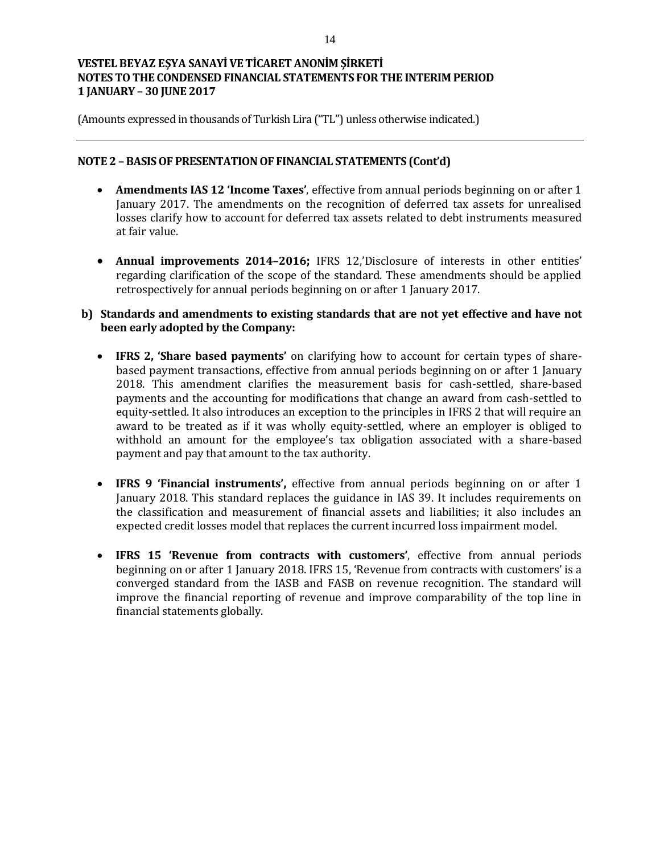(Amounts expressed in thousands of Turkish Lira ("TL") unless otherwise indicated.)

### **NOTE 2 – BASIS OF PRESENTATION OF FINANCIAL STATEMENTS (Cont'd)**

- **Amendments IAS 12 'Income Taxes'**, effective from annual periods beginning on or after 1 January 2017. The amendments on the recognition of deferred tax assets for unrealised losses clarify how to account for deferred tax assets related to debt instruments measured at fair value.
- **Annual improvements 2014–2016;** IFRS 12,'Disclosure of interests in other entities' regarding clarification of the scope of the standard. These amendments should be applied retrospectively for annual periods beginning on or after 1 January 2017.

## **b) Standards and amendments to existing standards that are not yet effective and have not been early adopted by the Company:**

- **IFRS 2, 'Share based payments'** on clarifying how to account for certain types of sharebased payment transactions, effective from annual periods beginning on or after 1 January 2018. This amendment clarifies the measurement basis for cash-settled, share-based payments and the accounting for modifications that change an award from cash-settled to equity-settled. It also introduces an exception to the principles in IFRS 2 that will require an award to be treated as if it was wholly equity-settled, where an employer is obliged to withhold an amount for the employee's tax obligation associated with a share-based payment and pay that amount to the tax authority.
- **IFRS 9 'Financial instruments',** effective from annual periods beginning on or after 1 January 2018. This standard replaces the guidance in IAS 39. It includes requirements on the classification and measurement of financial assets and liabilities; it also includes an expected credit losses model that replaces the current incurred loss impairment model.
- **IFRS 15 'Revenue from contracts with customers'**, effective from annual periods beginning on or after 1 January 2018. IFRS 15, 'Revenue from contracts with customers' is a converged standard from the IASB and FASB on revenue recognition. The standard will improve the financial reporting of revenue and improve comparability of the top line in financial statements globally.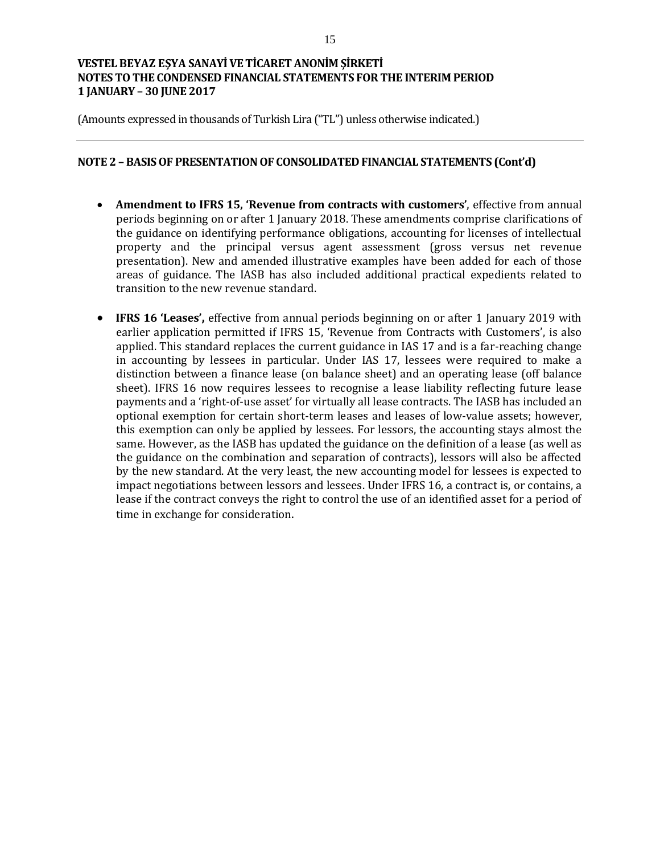(Amounts expressed in thousands of Turkish Lira ("TL") unless otherwise indicated.)

### **NOTE 2 – BASIS OF PRESENTATION OF CONSOLIDATED FINANCIAL STATEMENTS (Cont'd)**

- **Amendment to IFRS 15, 'Revenue from contracts with customers'**, effective from annual periods beginning on or after 1 January 2018. These amendments comprise clarifications of the guidance on identifying performance obligations, accounting for licenses of intellectual property and the principal versus agent assessment (gross versus net revenue presentation). New and amended illustrative examples have been added for each of those areas of guidance. The IASB has also included additional practical expedients related to transition to the new revenue standard.
- **IFRS 16 'Leases',** effective from annual periods beginning on or after 1 January 2019 with earlier application permitted if IFRS 15, 'Revenue from Contracts with Customers', is also applied. This standard replaces the current guidance in IAS 17 and is a far-reaching change in accounting by lessees in particular. Under IAS 17, lessees were required to make a distinction between a finance lease (on balance sheet) and an operating lease (off balance sheet). IFRS 16 now requires lessees to recognise a lease liability reflecting future lease payments and a 'right-of-use asset' for virtually all lease contracts. The IASB has included an optional exemption for certain short-term leases and leases of low-value assets; however, this exemption can only be applied by lessees. For lessors, the accounting stays almost the same. However, as the IASB has updated the guidance on the definition of a lease (as well as the guidance on the combination and separation of contracts), lessors will also be affected by the new standard. At the very least, the new accounting model for lessees is expected to impact negotiations between lessors and lessees. Under IFRS 16, a contract is, or contains, a lease if the contract conveys the right to control the use of an identified asset for a period of time in exchange for consideration.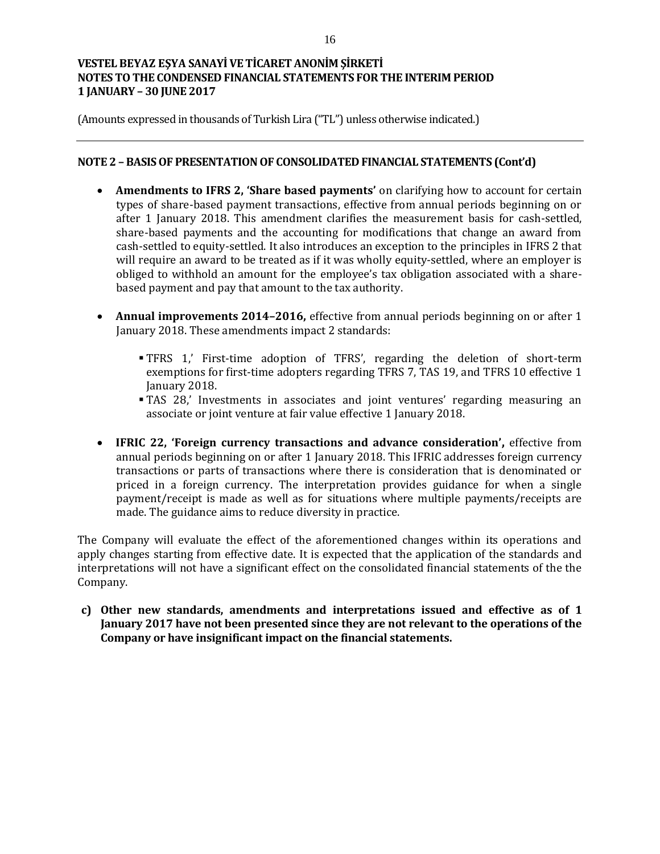(Amounts expressed in thousands of Turkish Lira ("TL") unless otherwise indicated.)

## **NOTE 2 – BASIS OF PRESENTATION OF CONSOLIDATED FINANCIAL STATEMENTS (Cont'd)**

- **Amendments to IFRS 2, 'Share based payments'** on clarifying how to account for certain types of share-based payment transactions, effective from annual periods beginning on or after 1 January 2018. This amendment clarifies the measurement basis for cash-settled, share-based payments and the accounting for modifications that change an award from cash-settled to equity-settled. It also introduces an exception to the principles in IFRS 2 that will require an award to be treated as if it was wholly equity-settled, where an employer is obliged to withhold an amount for the employee's tax obligation associated with a sharebased payment and pay that amount to the tax authority.
- **Annual improvements 2014–2016,** effective from annual periods beginning on or after 1 January 2018. These amendments impact 2 standards:
	- TFRS 1,' First-time adoption of TFRS', regarding the deletion of short-term exemptions for first-time adopters regarding TFRS 7, TAS 19, and TFRS 10 effective 1 January 2018.
	- TAS 28,' Investments in associates and joint ventures' regarding measuring an associate or joint venture at fair value effective 1 January 2018.
- **IFRIC 22, 'Foreign currency transactions and advance consideration',** effective from annual periods beginning on or after 1 January 2018. This IFRIC addresses foreign currency transactions or parts of transactions where there is consideration that is denominated or priced in a foreign currency. The interpretation provides guidance for when a single payment/receipt is made as well as for situations where multiple payments/receipts are made. The guidance aims to reduce diversity in practice.

The Company will evaluate the effect of the aforementioned changes within its operations and apply changes starting from effective date. It is expected that the application of the standards and interpretations will not have a significant effect on the consolidated financial statements of the the Company.

**c) Other new standards, amendments and interpretations issued and effective as of 1 January 2017 have not been presented since they are not relevant to the operations of the Company or have insignificant impact on the financial statements.**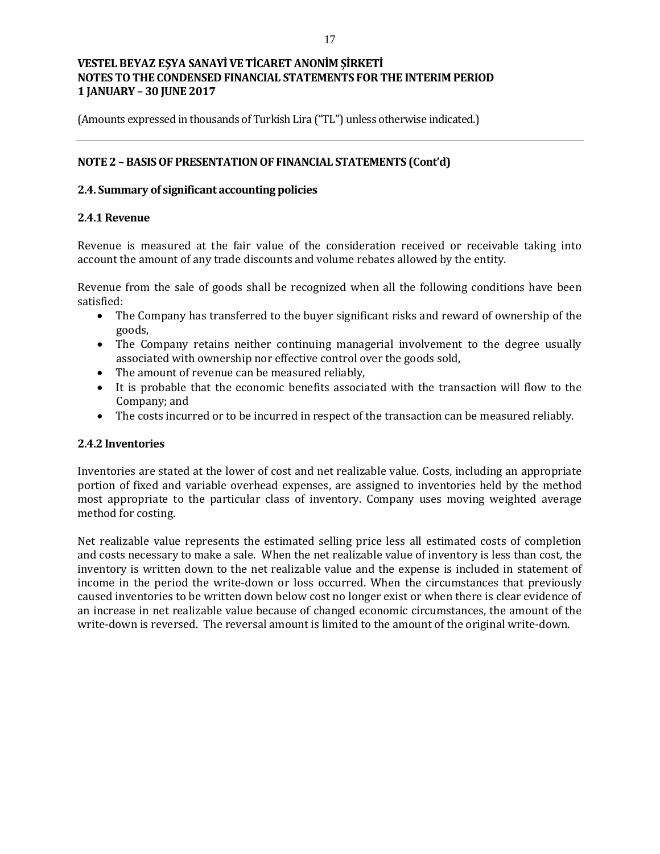(Amounts expressed in thousands of Turkish Lira ("TL") unless otherwise indicated.)

## **NOTE 2 – BASIS OF PRESENTATION OF FINANCIAL STATEMENTS (Cont'd)**

### **2.4. Summary of significant accounting policies**

## **2.4.1 Revenue**

Revenue is measured at the fair value of the consideration received or receivable taking into account the amount of any trade discounts and volume rebates allowed by the entity.

Revenue from the sale of goods shall be recognized when all the following conditions have been satisfied:

- The Company has transferred to the buyer significant risks and reward of ownership of the goods,
- The Company retains neither continuing managerial involvement to the degree usually associated with ownership nor effective control over the goods sold,
- The amount of revenue can be measured reliably,
- It is probable that the economic benefits associated with the transaction will flow to the Company; and
- The costs incurred or to be incurred in respect of the transaction can be measured reliably.

### **2.4.2 Inventories**

Inventories are stated at the lower of cost and net realizable value. Costs, including an appropriate portion of fixed and variable overhead expenses, are assigned to inventories held by the method most appropriate to the particular class of inventory. Company uses moving weighted average method for costing.

Net realizable value represents the estimated selling price less all estimated costs of completion and costs necessary to make a sale. When the net realizable value of inventory is less than cost, the inventory is written down to the net realizable value and the expense is included in statement of income in the period the write-down or loss occurred. When the circumstances that previously caused inventories to be written down below cost no longer exist or when there is clear evidence of an increase in net realizable value because of changed economic circumstances, the amount of the write-down is reversed. The reversal amount is limited to the amount of the original write-down.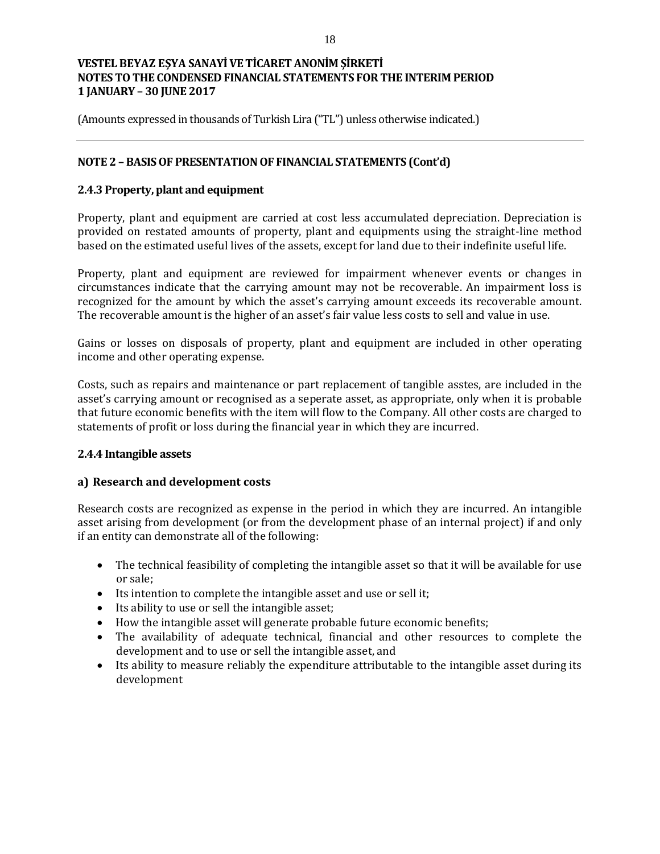(Amounts expressed in thousands of Turkish Lira ("TL") unless otherwise indicated.)

## **NOTE 2 – BASIS OF PRESENTATION OF FINANCIAL STATEMENTS (Cont'd)**

## **2.4.3 Property, plant and equipment**

Property, plant and equipment are carried at cost less accumulated depreciation. Depreciation is provided on restated amounts of property, plant and equipments using the straight-line method based on the estimated useful lives of the assets, except for land due to their indefinite useful life.

Property, plant and equipment are reviewed for impairment whenever events or changes in circumstances indicate that the carrying amount may not be recoverable. An impairment loss is recognized for the amount by which the asset's carrying amount exceeds its recoverable amount. The recoverable amount is the higher of an asset's fair value less costs to sell and value in use.

Gains or losses on disposals of property, plant and equipment are included in other operating income and other operating expense.

Costs, such as repairs and maintenance or part replacement of tangible asstes, are included in the asset's carrying amount or recognised as a seperate asset, as appropriate, only when it is probable that future economic benefits with the item will flow to the Company. All other costs are charged to statements of profit or loss during the financial year in which they are incurred.

### **2.4.4 Intangible assets**

### **a) Research and development costs**

Research costs are recognized as expense in the period in which they are incurred. An intangible asset arising from development (or from the development phase of an internal project) if and only if an entity can demonstrate all of the following:

- The technical feasibility of completing the intangible asset so that it will be available for use or sale;
- Its intention to complete the intangible asset and use or sell it;
- Its ability to use or sell the intangible asset;
- How the intangible asset will generate probable future economic benefits;
- The availability of adequate technical, financial and other resources to complete the development and to use or sell the intangible asset, and
- Its ability to measure reliably the expenditure attributable to the intangible asset during its development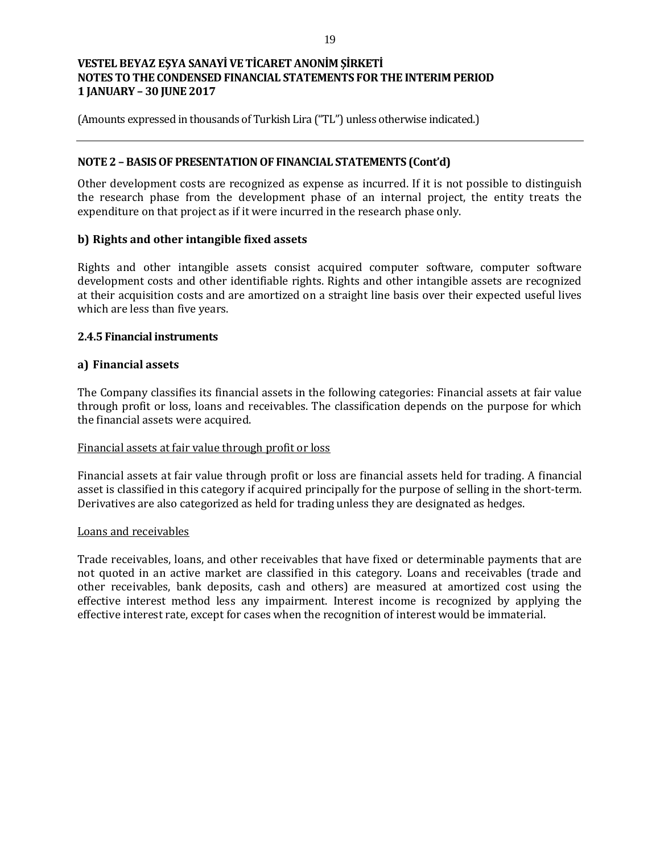(Amounts expressed in thousands of Turkish Lira ("TL") unless otherwise indicated.)

### **NOTE 2 – BASIS OF PRESENTATION OF FINANCIAL STATEMENTS (Cont'd)**

Other development costs are recognized as expense as incurred. If it is not possible to distinguish the research phase from the development phase of an internal project, the entity treats the expenditure on that project as if it were incurred in the research phase only.

## **b) Rights and other intangible fixed assets**

Rights and other intangible assets consist acquired computer software, computer software development costs and other identifiable rights. Rights and other intangible assets are recognized at their acquisition costs and are amortized on a straight line basis over their expected useful lives which are less than five years.

## **2.4.5 Financial instruments**

## **a) Financial assets**

The Company classifies its financial assets in the following categories: Financial assets at fair value through profit or loss, loans and receivables. The classification depends on the purpose for which the financial assets were acquired.

### Financial assets at fair value through profit or loss

Financial assets at fair value through profit or loss are financial assets held for trading. A financial asset is classified in this category if acquired principally for the purpose of selling in the short-term. Derivatives are also categorized as held for trading unless they are designated as hedges.

### Loans and receivables

Trade receivables, loans, and other receivables that have fixed or determinable payments that are not quoted in an active market are classified in this category. Loans and receivables (trade and other receivables, bank deposits, cash and others) are measured at amortized cost using the effective interest method less any impairment. Interest income is recognized by applying the effective interest rate, except for cases when the recognition of interest would be immaterial.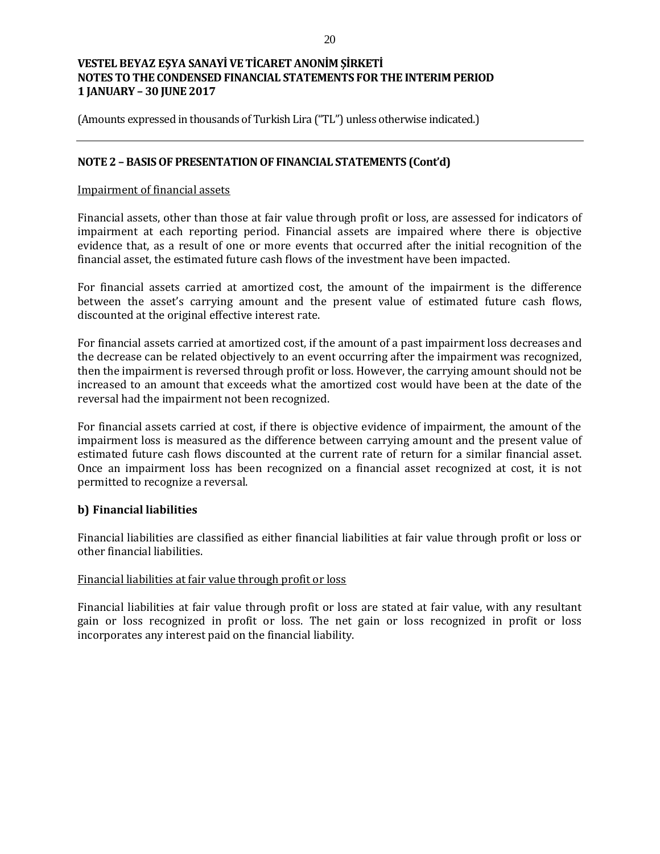(Amounts expressed in thousands of Turkish Lira ("TL") unless otherwise indicated.)

### **NOTE 2 – BASIS OF PRESENTATION OF FINANCIAL STATEMENTS (Cont'd)**

### Impairment of financial assets

Financial assets, other than those at fair value through profit or loss, are assessed for indicators of impairment at each reporting period. Financial assets are impaired where there is objective evidence that, as a result of one or more events that occurred after the initial recognition of the financial asset, the estimated future cash flows of the investment have been impacted.

For financial assets carried at amortized cost, the amount of the impairment is the difference between the asset's carrying amount and the present value of estimated future cash flows, discounted at the original effective interest rate.

For financial assets carried at amortized cost, if the amount of a past impairment loss decreases and the decrease can be related objectively to an event occurring after the impairment was recognized, then the impairment is reversed through profit or loss. However, the carrying amount should not be increased to an amount that exceeds what the amortized cost would have been at the date of the reversal had the impairment not been recognized.

For financial assets carried at cost, if there is objective evidence of impairment, the amount of the impairment loss is measured as the difference between carrying amount and the present value of estimated future cash flows discounted at the current rate of return for a similar financial asset. Once an impairment loss has been recognized on a financial asset recognized at cost, it is not permitted to recognize a reversal.

### **b) Financial liabilities**

Financial liabilities are classified as either financial liabilities at fair value through profit or loss or other financial liabilities.

### Financial liabilities at fair value through profit or loss

Financial liabilities at fair value through profit or loss are stated at fair value, with any resultant gain or loss recognized in profit or loss. The net gain or loss recognized in profit or loss incorporates any interest paid on the financial liability.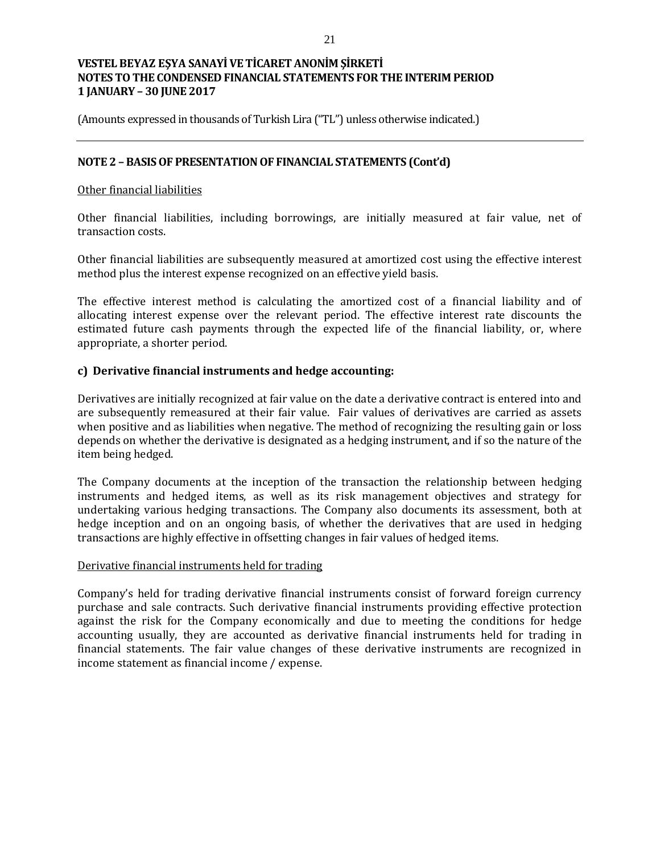(Amounts expressed in thousands of Turkish Lira ("TL") unless otherwise indicated.)

### **NOTE 2 – BASIS OF PRESENTATION OF FINANCIAL STATEMENTS (Cont'd)**

### Other financial liabilities

Other financial liabilities, including borrowings, are initially measured at fair value, net of transaction costs.

Other financial liabilities are subsequently measured at amortized cost using the effective interest method plus the interest expense recognized on an effective yield basis.

The effective interest method is calculating the amortized cost of a financial liability and of allocating interest expense over the relevant period. The effective interest rate discounts the estimated future cash payments through the expected life of the financial liability, or, where appropriate, a shorter period.

## **c) Derivative financial instruments and hedge accounting:**

Derivatives are initially recognized at fair value on the date a derivative contract is entered into and are subsequently remeasured at their fair value. Fair values of derivatives are carried as assets when positive and as liabilities when negative. The method of recognizing the resulting gain or loss depends on whether the derivative is designated as a hedging instrument, and if so the nature of the item being hedged.

The Company documents at the inception of the transaction the relationship between hedging instruments and hedged items, as well as its risk management objectives and strategy for undertaking various hedging transactions. The Company also documents its assessment, both at hedge inception and on an ongoing basis, of whether the derivatives that are used in hedging transactions are highly effective in offsetting changes in fair values of hedged items.

### Derivative financial instruments held for trading

Company's held for trading derivative financial instruments consist of forward foreign currency purchase and sale contracts. Such derivative financial instruments providing effective protection against the risk for the Company economically and due to meeting the conditions for hedge accounting usually, they are accounted as derivative financial instruments held for trading in financial statements. The fair value changes of these derivative instruments are recognized in income statement as financial income / expense.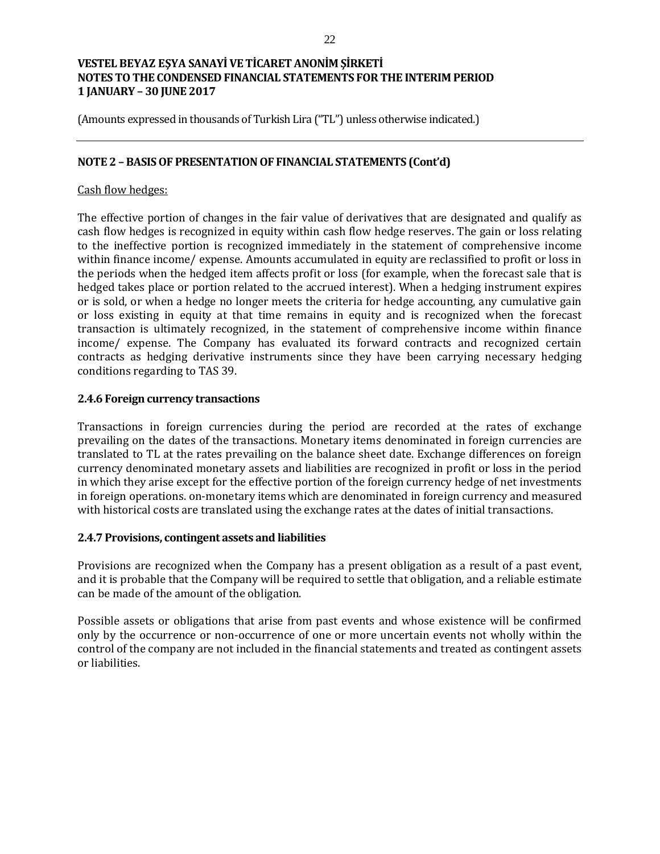(Amounts expressed in thousands of Turkish Lira ("TL") unless otherwise indicated.)

### **NOTE 2 – BASIS OF PRESENTATION OF FINANCIAL STATEMENTS (Cont'd)**

### Cash flow hedges:

The effective portion of changes in the fair value of derivatives that are designated and qualify as cash flow hedges is recognized in equity within cash flow hedge reserves. The gain or loss relating to the ineffective portion is recognized immediately in the statement of comprehensive income within finance income/ expense. Amounts accumulated in equity are reclassified to profit or loss in the periods when the hedged item affects profit or loss (for example, when the forecast sale that is hedged takes place or portion related to the accrued interest). When a hedging instrument expires or is sold, or when a hedge no longer meets the criteria for hedge accounting, any cumulative gain or loss existing in equity at that time remains in equity and is recognized when the forecast transaction is ultimately recognized, in the statement of comprehensive income within finance income/ expense. The Company has evaluated its forward contracts and recognized certain contracts as hedging derivative instruments since they have been carrying necessary hedging conditions regarding to TAS 39.

### **2.4.6 Foreign currency transactions**

Transactions in foreign currencies during the period are recorded at the rates of exchange prevailing on the dates of the transactions. Monetary items denominated in foreign currencies are translated to TL at the rates prevailing on the balance sheet date. Exchange differences on foreign currency denominated monetary assets and liabilities are recognized in profit or loss in the period in which they arise except for the effective portion of the foreign currency hedge of net investments in foreign operations. on-monetary items which are denominated in foreign currency and measured with historical costs are translated using the exchange rates at the dates of initial transactions.

### **2.4.7 Provisions, contingent assets and liabilities**

Provisions are recognized when the Company has a present obligation as a result of a past event, and it is probable that the Company will be required to settle that obligation, and a reliable estimate can be made of the amount of the obligation.

Possible assets or obligations that arise from past events and whose existence will be confirmed only by the occurrence or non-occurrence of one or more uncertain events not wholly within the control of the company are not included in the financial statements and treated as contingent assets or liabilities.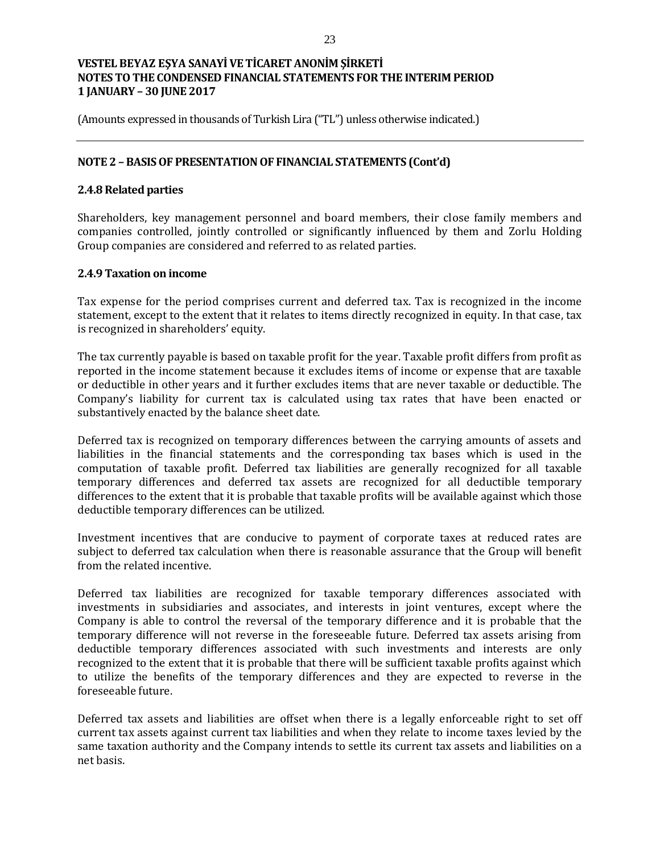(Amounts expressed in thousands of Turkish Lira ("TL") unless otherwise indicated.)

### **NOTE 2 – BASIS OF PRESENTATION OF FINANCIAL STATEMENTS (Cont'd)**

### **2.4.8 Related parties**

Shareholders, key management personnel and board members, their close family members and companies controlled, jointly controlled or significantly influenced by them and Zorlu Holding Group companies are considered and referred to as related parties.

### **2.4.9 Taxation on income**

Tax expense for the period comprises current and deferred tax. Tax is recognized in the income statement, except to the extent that it relates to items directly recognized in equity. In that case, tax is recognized in shareholders' equity.

The tax currently payable is based on taxable profit for the year. Taxable profit differs from profit as reported in the income statement because it excludes items of income or expense that are taxable or deductible in other years and it further excludes items that are never taxable or deductible. The Company's liability for current tax is calculated using tax rates that have been enacted or substantively enacted by the balance sheet date.

Deferred tax is recognized on temporary differences between the carrying amounts of assets and liabilities in the financial statements and the corresponding tax bases which is used in the computation of taxable profit. Deferred tax liabilities are generally recognized for all taxable temporary differences and deferred tax assets are recognized for all deductible temporary differences to the extent that it is probable that taxable profits will be available against which those deductible temporary differences can be utilized.

Investment incentives that are conducive to payment of corporate taxes at reduced rates are subject to deferred tax calculation when there is reasonable assurance that the Group will benefit from the related incentive.

Deferred tax liabilities are recognized for taxable temporary differences associated with investments in subsidiaries and associates, and interests in joint ventures, except where the Company is able to control the reversal of the temporary difference and it is probable that the temporary difference will not reverse in the foreseeable future. Deferred tax assets arising from deductible temporary differences associated with such investments and interests are only recognized to the extent that it is probable that there will be sufficient taxable profits against which to utilize the benefits of the temporary differences and they are expected to reverse in the foreseeable future.

Deferred tax assets and liabilities are offset when there is a legally enforceable right to set off current tax assets against current tax liabilities and when they relate to income taxes levied by the same taxation authority and the Company intends to settle its current tax assets and liabilities on a net basis.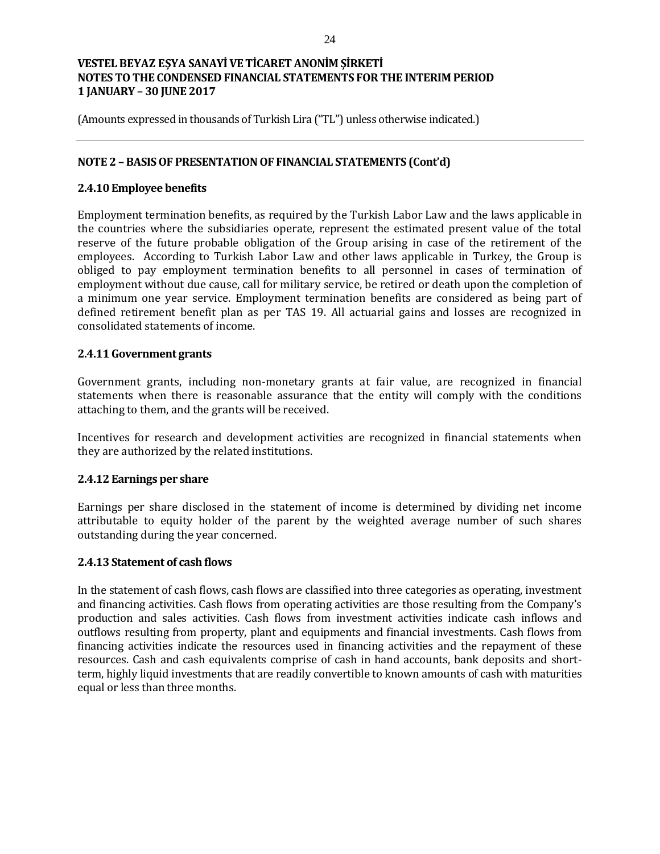(Amounts expressed in thousands of Turkish Lira ("TL") unless otherwise indicated.)

### **NOTE 2 – BASIS OF PRESENTATION OF FINANCIAL STATEMENTS (Cont'd)**

### **2.4.10 Employee benefits**

Employment termination benefits, as required by the Turkish Labor Law and the laws applicable in the countries where the subsidiaries operate, represent the estimated present value of the total reserve of the future probable obligation of the Group arising in case of the retirement of the employees. According to Turkish Labor Law and other laws applicable in Turkey, the Group is obliged to pay employment termination benefits to all personnel in cases of termination of employment without due cause, call for military service, be retired or death upon the completion of a minimum one year service. Employment termination benefits are considered as being part of defined retirement benefit plan as per TAS 19. All actuarial gains and losses are recognized in consolidated statements of income.

## **2.4.11 Government grants**

Government grants, including non-monetary grants at fair value, are recognized in financial statements when there is reasonable assurance that the entity will comply with the conditions attaching to them, and the grants will be received.

Incentives for research and development activities are recognized in financial statements when they are authorized by the related institutions.

### **2.4.12 Earnings per share**

Earnings per share disclosed in the statement of income is determined by dividing net income attributable to equity holder of the parent by the weighted average number of such shares outstanding during the year concerned.

### **2.4.13 Statement of cash flows**

In the statement of cash flows, cash flows are classified into three categories as operating, investment and financing activities. Cash flows from operating activities are those resulting from the Company's production and sales activities. Cash flows from investment activities indicate cash inflows and outflows resulting from property, plant and equipments and financial investments. Cash flows from financing activities indicate the resources used in financing activities and the repayment of these resources. Cash and cash equivalents comprise of cash in hand accounts, bank deposits and shortterm, highly liquid investments that are readily convertible to known amounts of cash with maturities equal or less than three months.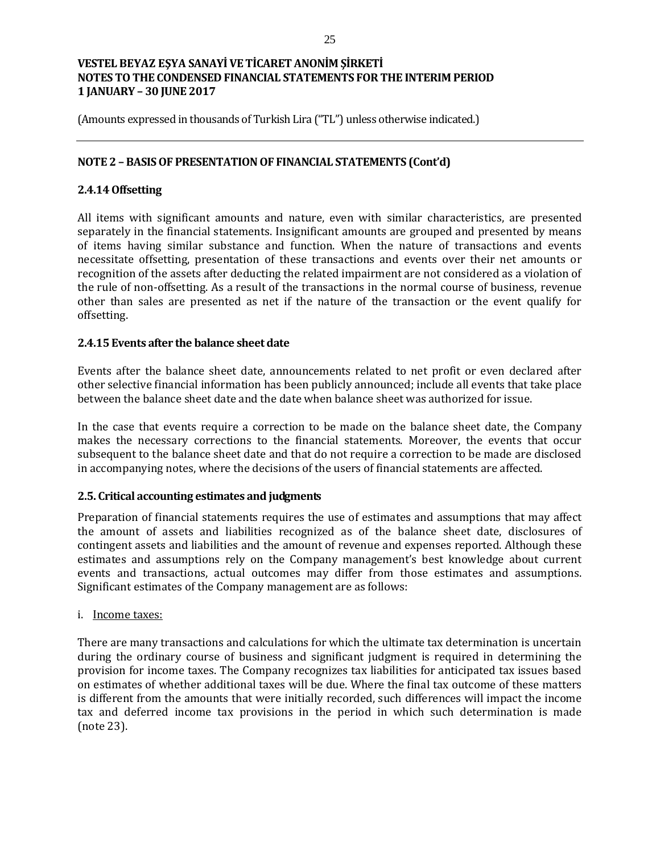(Amounts expressed in thousands of Turkish Lira ("TL") unless otherwise indicated.)

## **NOTE 2 – BASIS OF PRESENTATION OF FINANCIAL STATEMENTS (Cont'd)**

## **2.4.14 Offsetting**

All items with significant amounts and nature, even with similar characteristics, are presented separately in the financial statements. Insignificant amounts are grouped and presented by means of items having similar substance and function. When the nature of transactions and events necessitate offsetting, presentation of these transactions and events over their net amounts or recognition of the assets after deducting the related impairment are not considered as a violation of the rule of non-offsetting. As a result of the transactions in the normal course of business, revenue other than sales are presented as net if the nature of the transaction or the event qualify for offsetting.

### **2.4.15 Events after the balance sheet date**

Events after the balance sheet date, announcements related to net profit or even declared after other selective financial information has been publicly announced; include all events that take place between the balance sheet date and the date when balance sheet was authorized for issue.

In the case that events require a correction to be made on the balance sheet date, the Company makes the necessary corrections to the financial statements. Moreover, the events that occur subsequent to the balance sheet date and that do not require a correction to be made are disclosed in accompanying notes, where the decisions of the users of financial statements are affected.

### **2.5. Critical accounting estimates and judgments**

Preparation of financial statements requires the use of estimates and assumptions that may affect the amount of assets and liabilities recognized as of the balance sheet date, disclosures of contingent assets and liabilities and the amount of revenue and expenses reported. Although these estimates and assumptions rely on the Company management's best knowledge about current events and transactions, actual outcomes may differ from those estimates and assumptions. Significant estimates of the Company management are as follows:

### i. Income taxes:

There are many transactions and calculations for which the ultimate tax determination is uncertain during the ordinary course of business and significant judgment is required in determining the provision for income taxes. The Company recognizes tax liabilities for anticipated tax issues based on estimates of whether additional taxes will be due. Where the final tax outcome of these matters is different from the amounts that were initially recorded, such differences will impact the income tax and deferred income tax provisions in the period in which such determination is made (note 23).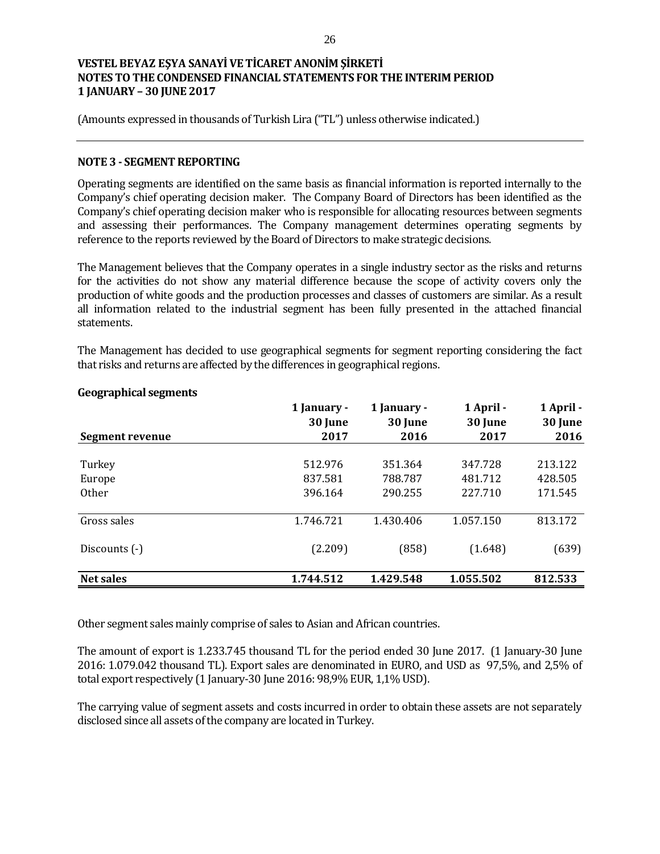(Amounts expressed in thousands of Turkish Lira ("TL") unless otherwise indicated.)

### **NOTE 3 - SEGMENT REPORTING**

Operating segments are identified on the same basis as financial information is reported internally to the Company's chief operating decision maker. The Company Board of Directors has been identified as the Company's chief operating decision maker who is responsible for allocating resources between segments and assessing their performances. The Company management determines operating segments by reference to the reports reviewed by the Board of Directors to make strategic decisions.

The Management believes that the Company operates in a single industry sector as the risks and returns for the activities do not show any material difference because the scope of activity covers only the production of white goods and the production processes and classes of customers are similar. As a result all information related to the industrial segment has been fully presented in the attached financial statements.

The Management has decided to use geographical segments for segment reporting considering the fact that risks and returns are affected by the differences in geographical regions.

| Segment revenue  | 1 January -<br>30 June<br>2017 | 1 January -<br>30 June<br>2016 | 1 April -<br>30 June<br>2017 | 1 April -<br>30 June<br>2016 |
|------------------|--------------------------------|--------------------------------|------------------------------|------------------------------|
| Turkey           | 512.976                        | 351.364                        | 347.728                      | 213.122                      |
| Europe           | 837.581                        | 788.787                        | 481.712                      | 428.505                      |
| <b>Other</b>     | 396.164                        | 290.255                        | 227.710                      | 171.545                      |
| Gross sales      | 1.746.721                      | 1.430.406                      | 1.057.150                    | 813.172                      |
| Discounts (-)    | (2.209)                        | (858)                          | (1.648)                      | (639)                        |
| <b>Net sales</b> | 1.744.512                      | 1.429.548                      | 1.055.502                    | 812.533                      |

### **Geographical segments**

Other segment sales mainly comprise of sales to Asian and African countries.

The amount of export is 1.233.745 thousand TL for the period ended 30 June 2017. (1 January-30 June 2016: 1.079.042 thousand TL). Export sales are denominated in EURO, and USD as 97,5%, and 2,5% of total export respectively (1 January-30 June 2016: 98,9% EUR, 1,1% USD).

The carrying value of segment assets and costs incurred in order to obtain these assets are not separately disclosed since all assets of the company are located in Turkey.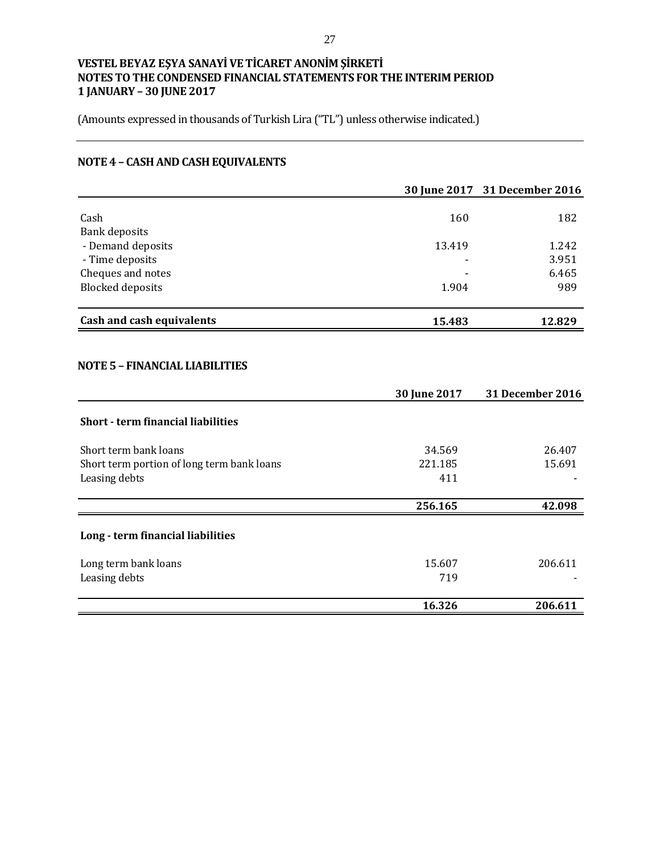(Amounts expressed in thousands of Turkish Lira ("TL") unless otherwise indicated.)

# **NOTE 4 – CASH AND CASH EQUIVALENTS**

|                           |                          | 30 June 2017 31 December 2016 |
|---------------------------|--------------------------|-------------------------------|
|                           |                          |                               |
| Cash                      | 160                      | 182                           |
| <b>Bank deposits</b>      |                          |                               |
| - Demand deposits         | 13.419                   | 1.242                         |
| - Time deposits           | $\overline{\phantom{a}}$ | 3.951                         |
| Cheques and notes         | -                        | 6.465                         |
| <b>Blocked deposits</b>   | 1.904                    | 989                           |
| Cash and cash equivalents | 15.483                   | 12.829                        |
|                           |                          |                               |

## **NOTE 5 – FINANCIAL LIABILITIES**

|                                            | 30 June 2017 | <b>31 December 2016</b> |
|--------------------------------------------|--------------|-------------------------|
| <b>Short - term financial liabilities</b>  |              |                         |
| Short term bank loans                      | 34.569       | 26.407                  |
| Short term portion of long term bank loans | 221.185      | 15.691                  |
| Leasing debts                              | 411          |                         |
|                                            |              |                         |
|                                            | 256.165      | 42.098                  |
| Long - term financial liabilities          |              |                         |
| Long term bank loans                       | 15.607       | 206.611                 |
| Leasing debts                              | 719          |                         |
|                                            | 16.326       | 206.611                 |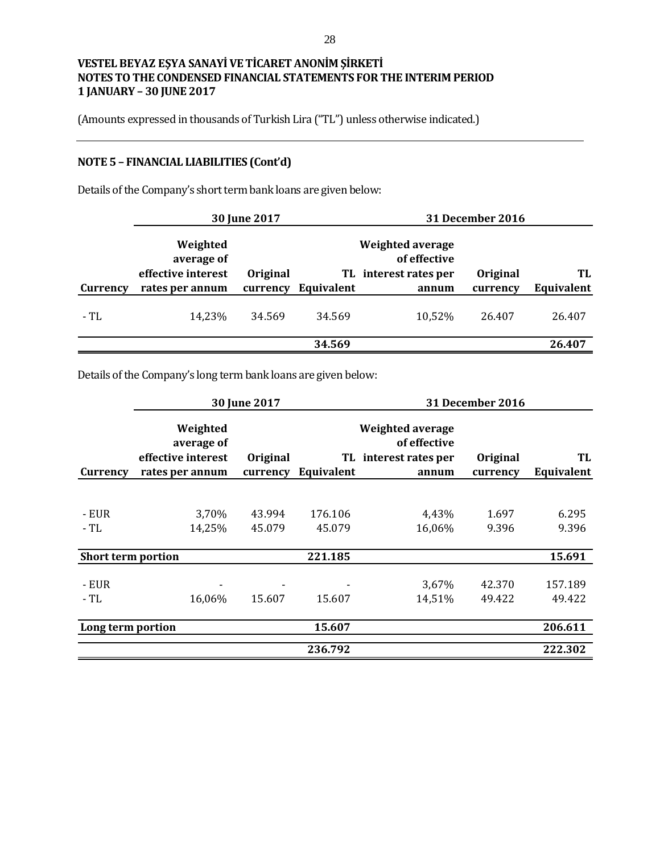(Amounts expressed in thousands of Turkish Lira ("TL") unless otherwise indicated.)

# **NOTE 5 – FINANCIAL LIABILITIES (Cont'd)**

Details of the Company's short term bank loans are given below:

|          |                                                                 | 30 June 2017                |            |                                                                    | <b>31 December 2016</b> |                  |
|----------|-----------------------------------------------------------------|-----------------------------|------------|--------------------------------------------------------------------|-------------------------|------------------|
| Currency | Weighted<br>average of<br>effective interest<br>rates per annum | <b>Original</b><br>currency | Equivalent | Weighted average<br>of effective<br>TL interest rates per<br>annum | Original<br>currency    | TL<br>Equivalent |
| - TL     | 14,23%                                                          | 34.569                      | 34.569     | 10,52%                                                             | 26.407                  | 26.407           |
|          |                                                                 |                             | 34.569     |                                                                    |                         | 26.407           |

Details of the Company's long term bank loans are given below:

|                           |                                                                 | 30 June 2017         |            |                                                                           | <b>31 December 2016</b> |                  |
|---------------------------|-----------------------------------------------------------------|----------------------|------------|---------------------------------------------------------------------------|-------------------------|------------------|
| Currency                  | Weighted<br>average of<br>effective interest<br>rates per annum | Original<br>currency | Equivalent | <b>Weighted average</b><br>of effective<br>TL interest rates per<br>annum | Original<br>currency    | TL<br>Equivalent |
|                           |                                                                 |                      |            |                                                                           |                         |                  |
| - EUR                     | 3,70%                                                           | 43.994               | 176.106    | 4,43%                                                                     | 1.697                   | 6.295            |
| - TL                      | 14,25%                                                          | 45.079               | 45.079     | 16,06%                                                                    | 9.396                   | 9.396            |
| <b>Short term portion</b> |                                                                 |                      | 221.185    |                                                                           |                         | 15.691           |
| - EUR                     |                                                                 |                      |            | 3,67%                                                                     | 42.370                  | 157.189          |
| $-TL$                     | 16,06%                                                          | 15.607               | 15.607     | 14,51%                                                                    | 49.422                  | 49.422           |
| Long term portion         |                                                                 |                      | 15.607     |                                                                           |                         | 206.611          |
|                           |                                                                 |                      | 236.792    |                                                                           |                         | 222.302          |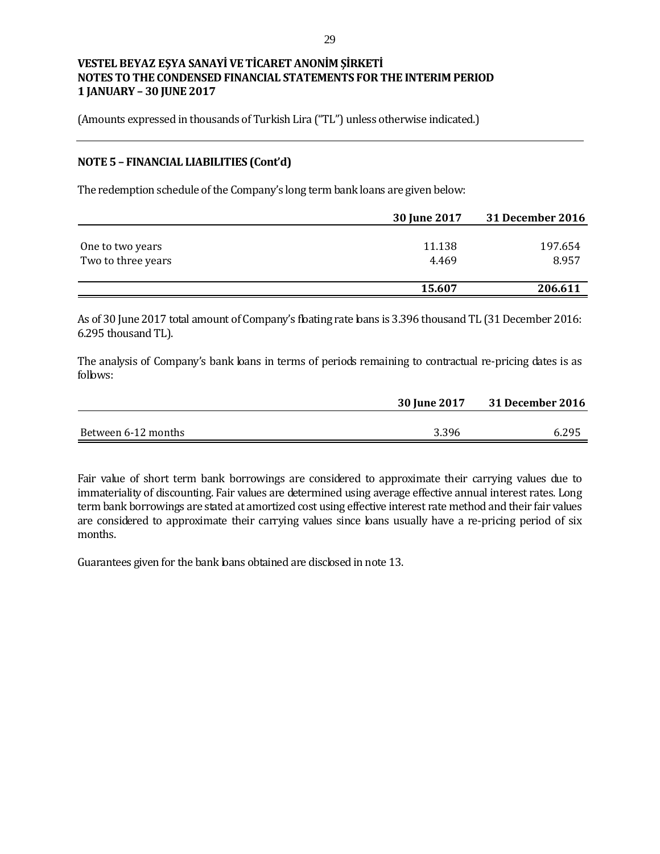(Amounts expressed in thousands of Turkish Lira ("TL") unless otherwise indicated.)

## **NOTE 5 – FINANCIAL LIABILITIES (Cont'd)**

The redemption schedule of the Company's long term bank loans are given below:

|                    | 30 June 2017 | 31 December 2016 |
|--------------------|--------------|------------------|
|                    |              |                  |
| One to two years   | 11.138       | 197.654          |
| Two to three years | 4.469        | 8.957            |
|                    |              |                  |
|                    | 15.607       | 206.611          |

As of 30 June 2017 total amount of Company's floating rate loans is 3.396 thousand TL (31 December 2016: 6.295 thousand TL).

The analysis of Company's bank loans in terms of periods remaining to contractual re-pricing dates is as follows:

|                     | <b>30 June 2017</b> | 31 December 2016 |
|---------------------|---------------------|------------------|
|                     |                     |                  |
| Between 6-12 months | 3.396               | 6.295            |

Fair value of short term bank borrowings are considered to approximate their carrying values due to immateriality of discounting. Fair values are determined using average effective annual interest rates. Long term bank borrowings are stated at amortized cost using effective interest rate method and their fair values are considered to approximate their carrying values since loans usually have a re-pricing period of six months.

Guarantees given for the bank loans obtained are disclosed in note 13.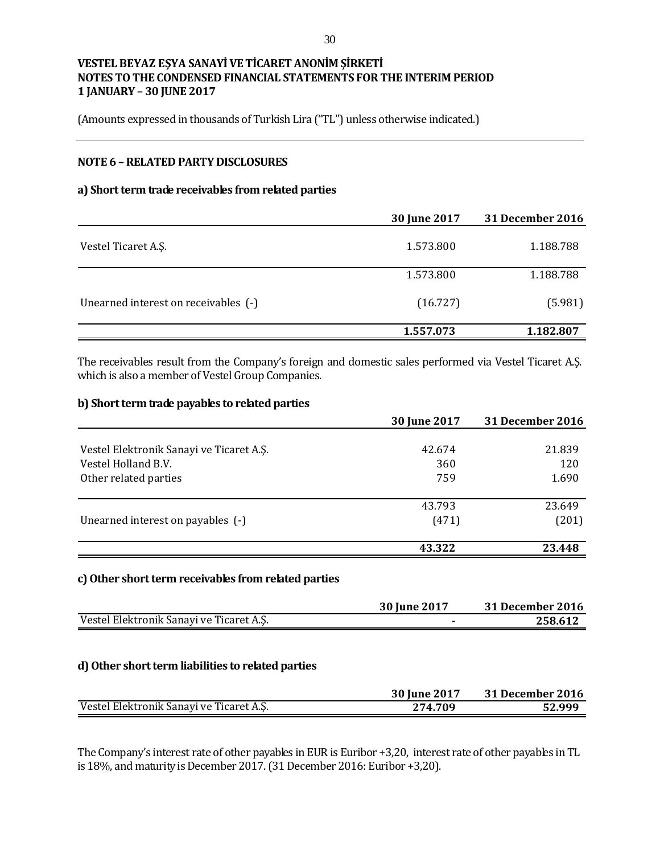(Amounts expressed in thousands of Turkish Lira ("TL") unless otherwise indicated.)

## **NOTE 6 –RELATED PARTY DISCLOSURES**

### **a) Short term trade receivables from related parties**

|                                      | 30 June 2017 | 31 December 2016 |
|--------------------------------------|--------------|------------------|
| Vestel Ticaret A.S.                  | 1.573.800    | 1.188.788        |
|                                      | 1.573.800    | 1.188.788        |
| Unearned interest on receivables (-) | (16.727)     | (5.981)          |
|                                      | 1.557.073    | 1.182.807        |

The receivables result from the Company's foreign and domestic sales performed via Vestel Ticaret A.Ş. which is also a member of Vestel Group Companies.

#### **b) Short term trade payables to related parties**

|                                          | 30 June 2017 | <b>31 December 2016</b> |
|------------------------------------------|--------------|-------------------------|
|                                          |              |                         |
| Vestel Elektronik Sanayi ve Ticaret A.S. | 42.674       | 21.839                  |
| Vestel Holland B.V.                      | 360          | 120                     |
| Other related parties                    | 759          | 1.690                   |
|                                          | 43.793       | 23.649                  |
| Unearned interest on payables (-)        | (471)        | (201)                   |
|                                          | 43.322       | 23.448                  |

#### **c)Other short term receivables from related parties**

|                                          | 30 June 2017 | <b>31 December 2016</b> |
|------------------------------------------|--------------|-------------------------|
| Vestel Elektronik Sanayi ve Ticaret A.Ş. |              | 258.612                 |

### **d) Other short term liabilities to related parties**

|                                          | 30 June 2017 | 31 December 2016 |
|------------------------------------------|--------------|------------------|
| Vestel Elektronik Sanayi ve Ticaret A.Ş. | 274.709      | 52.999           |

The Company's interest rate of other payables in EUR is Euribor +3,20, interest rate of other payables in TL is 18%, and maturity is December 2017.(31 December 2016: Euribor +3,20).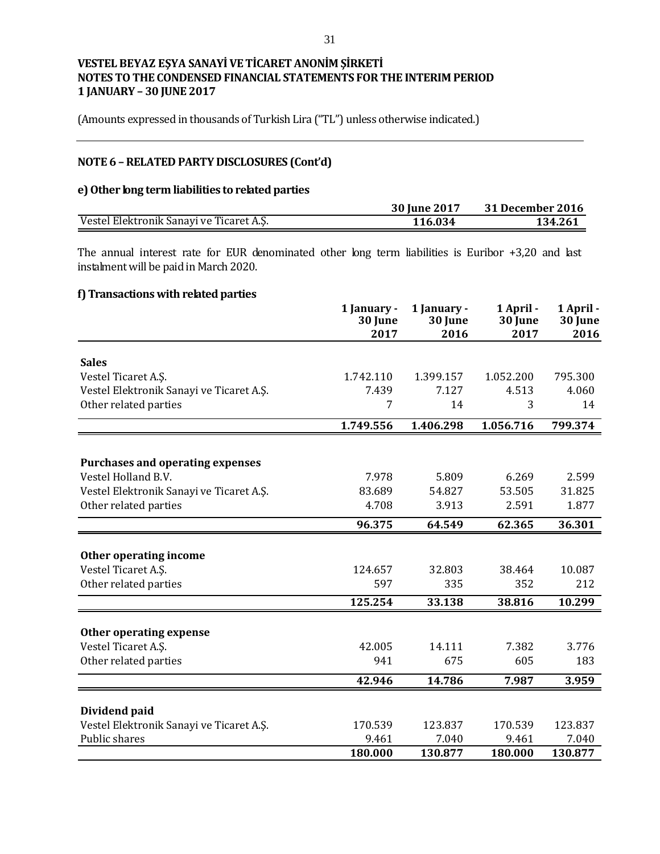(Amounts expressed in thousands of Turkish Lira ("TL") unless otherwise indicated.)

## **NOTE 6 –RELATED PARTY DISCLOSURES (Cont'd)**

### **e) Other long term liabilities to related parties**

|                                          | 30 June 2017 | 31 December 2016 |
|------------------------------------------|--------------|------------------|
| Vestel Elektronik Sanayi ve Ticaret A.Ş. | 116.034      | 134.261          |

The annual interest rate for EUR denominated other long term liabilities is Euribor +3,20 and last instalment will be paid in March 2020.

## **f) Transactions with related parties**

|                                                           | 1 January -<br>30 June<br>2017 | 1 January -<br>30 June<br>2016 | 1 April -<br>30 June<br>2017 | 1 April -<br>30 June<br>2016 |
|-----------------------------------------------------------|--------------------------------|--------------------------------|------------------------------|------------------------------|
|                                                           |                                |                                |                              |                              |
| <b>Sales</b>                                              |                                |                                |                              |                              |
| Vestel Ticaret A.Ş.                                       | 1.742.110                      | 1.399.157                      | 1.052.200                    | 795.300                      |
| Vestel Elektronik Sanayi ve Ticaret A.Ş.                  | 7.439                          | 7.127                          | 4.513                        | 4.060                        |
| Other related parties                                     | 7                              | 14                             | 3                            | 14                           |
|                                                           | 1.749.556                      | 1.406.298                      | 1.056.716                    | 799.374                      |
|                                                           |                                |                                |                              |                              |
| <b>Purchases and operating expenses</b>                   |                                |                                |                              |                              |
| Vestel Holland B.V.                                       | 7.978                          | 5.809                          | 6.269                        | 2.599                        |
| Vestel Elektronik Sanayi ve Ticaret A.Ş.                  | 83.689                         | 54.827                         | 53.505                       | 31.825                       |
| Other related parties                                     | 4.708                          | 3.913                          | 2.591                        | 1.877                        |
|                                                           | 96.375                         | 64.549                         | 62.365                       | 36.301                       |
|                                                           |                                |                                |                              |                              |
| Other operating income                                    |                                |                                |                              |                              |
| Vestel Ticaret A.Ş.                                       | 124.657                        | 32.803                         | 38.464                       | 10.087                       |
| Other related parties                                     | 597                            | 335                            | 352                          | 212                          |
|                                                           | 125.254                        | 33.138                         | 38.816                       | 10.299                       |
|                                                           |                                |                                |                              |                              |
| Other operating expense                                   |                                |                                |                              |                              |
| Vestel Ticaret A.Ş.                                       | 42.005                         | 14.111                         | 7.382                        | 3.776                        |
| Other related parties                                     | 941                            | 675                            | 605                          | 183                          |
|                                                           | 42.946                         | 14.786                         | 7.987                        | 3.959                        |
|                                                           |                                |                                |                              |                              |
| Dividend paid<br>Vestel Elektronik Sanayi ve Ticaret A.Ş. | 170.539                        | 123.837                        | 170.539                      | 123.837                      |
| Public shares                                             | 9.461                          | 7.040                          | 9.461                        | 7.040                        |
|                                                           | 180.000                        | 130.877                        | 180.000                      | 130.877                      |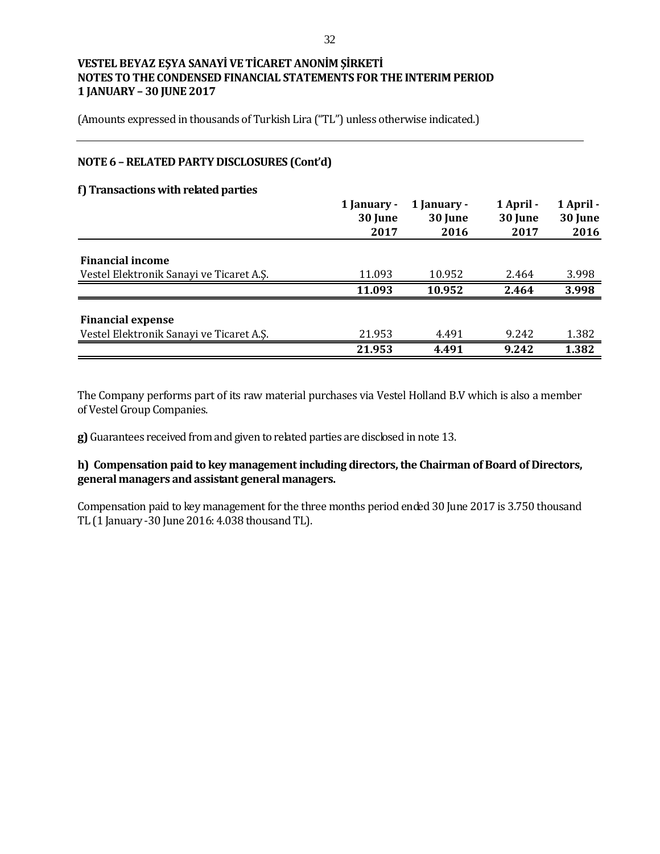(Amounts expressed in thousands of Turkish Lira ("TL") unless otherwise indicated.)

## **NOTE 6 –RELATED PARTY DISCLOSURES (Cont'd)**

### **f) Transactions with related parties**

|                                          | 1 January -<br>30 June | 1 January -<br>30 June | 1 April -<br>30 June | 1 April -<br>30 June |
|------------------------------------------|------------------------|------------------------|----------------------|----------------------|
|                                          | 2017                   | 2016                   | 2017                 | 2016                 |
| <b>Financial income</b>                  |                        |                        |                      |                      |
| Vestel Elektronik Sanayi ve Ticaret A.S. | 11.093                 | 10.952                 | 2.464                | 3.998                |
|                                          | 11.093                 | 10.952                 | 2.464                | 3.998                |
| <b>Financial expense</b>                 |                        |                        |                      |                      |
| Vestel Elektronik Sanayi ve Ticaret A.S. | 21.953                 | 4.491                  | 9.242                | 1.382                |
|                                          | 21.953                 | 4.491                  | 9.242                | 1.382                |

The Company performs part of its raw material purchases via Vestel Holland B.V which is also a member of Vestel Group Companies.

**g)** Guarantees received from and given to related parties are disclosed in note 13.

## **h) Compensation paid to key management including directors, the Chairman of Board of Directors, general managers and assistant general managers.**

Compensation paid to key management for the three months period ended 30 June 2017 is 3.750 thousand TL (1 January -30 June 2016: 4.038 thousand TL).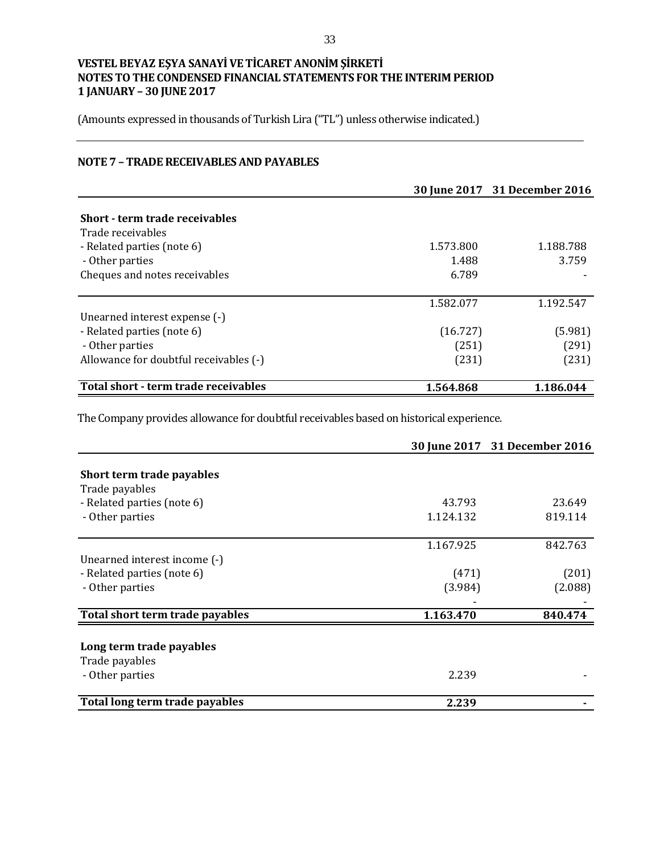(Amounts expressed in thousands of Turkish Lira ("TL") unless otherwise indicated.)

## **NOTE 7 – TRADE RECEIVABLES AND PAYABLES**

|                                        |           | 30 June 2017 31 December 2016 |
|----------------------------------------|-----------|-------------------------------|
|                                        |           |                               |
| Short - term trade receivables         |           |                               |
| Trade receivables                      |           |                               |
| - Related parties (note 6)             | 1.573.800 | 1.188.788                     |
| - Other parties                        | 1.488     | 3.759                         |
| Cheques and notes receivables          | 6.789     |                               |
|                                        |           |                               |
|                                        | 1.582.077 | 1.192.547                     |
| Unearned interest expense (-)          |           |                               |
| - Related parties (note 6)             | (16.727)  | (5.981)                       |
| - Other parties                        | (251)     | (291)                         |
| Allowance for doubtful receivables (-) | (231)     | (231)                         |
| Total short - term trade receivables   | 1.564.868 | 1.186.044                     |

The Company provides allowance for doubtful receivables based on historical experience.

|                                 |           | 30 June 2017 31 December 2016 |
|---------------------------------|-----------|-------------------------------|
|                                 |           |                               |
| Short term trade payables       |           |                               |
| Trade payables                  |           |                               |
| - Related parties (note 6)      | 43.793    | 23.649                        |
| - Other parties                 | 1.124.132 | 819.114                       |
|                                 | 1.167.925 | 842.763                       |
| Unearned interest income (-)    |           |                               |
| - Related parties (note 6)      | (471)     | (201)                         |
| - Other parties                 | (3.984)   | (2.088)                       |
|                                 |           |                               |
| Total short term trade payables | 1.163.470 | 840.474                       |
|                                 |           |                               |
| Long term trade payables        |           |                               |
| Trade payables                  |           |                               |
| - Other parties                 | 2.239     |                               |
| Total long term trade payables  | 2.239     |                               |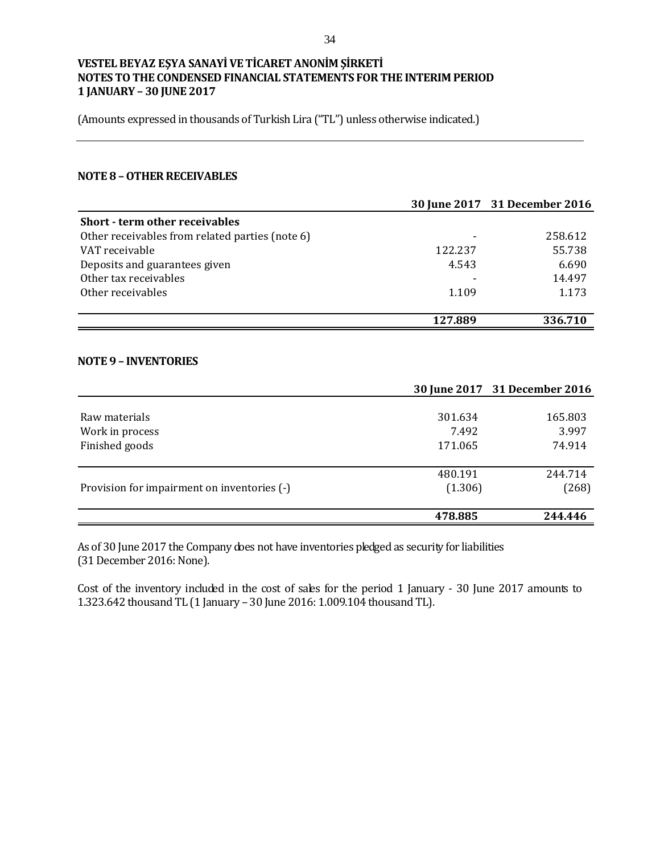(Amounts expressed in thousands of Turkish Lira ("TL") unless otherwise indicated.)

#### **NOTE 8 –OTHER RECEIVABLES**

|                                                 |         | 30 June 2017 31 December 2016 |
|-------------------------------------------------|---------|-------------------------------|
| Short - term other receivables                  |         |                               |
| Other receivables from related parties (note 6) |         | 258.612                       |
| VAT receivable                                  | 122.237 | 55.738                        |
| Deposits and guarantees given                   | 4.543   | 6.690                         |
| Other tax receivables                           |         | 14.497                        |
| Other receivables                               | 1.109   | 1.173                         |
|                                                 |         |                               |
|                                                 | 127.889 | 336.710                       |

#### **NOTE 9 – INVENTORIES**

|         | 30 June 2017 31 December 2016 |
|---------|-------------------------------|
|         |                               |
| 301.634 | 165.803                       |
| 7.492   | 3.997                         |
| 171.065 | 74.914                        |
|         |                               |
|         | 244.714                       |
|         | (268)                         |
| 478.885 | 244.446                       |
|         | 480.191<br>(1.306)            |

As of 30 June 2017 the Company does not have inventories pledged as security for liabilities (31 December 2016: None).

Cost of the inventory included in the cost of sales for the period 1 January - 30 June 2017 amounts to 1.323.642 thousand TL (1 January – 30 June 2016: 1.009.104 thousand TL).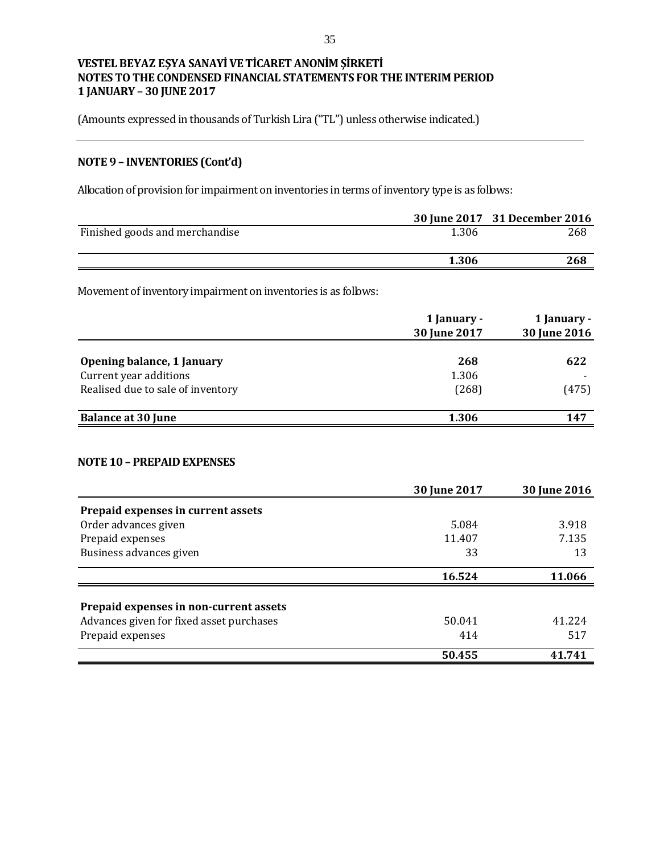(Amounts expressed in thousands of Turkish Lira ("TL") unless otherwise indicated.)

# **NOTE 9 – INVENTORIES (Cont'd)**

Allocation of provision for impairment on inventories in terms of inventory type is as follows:

|                                                                | 30 June 2017                | 31 December 2016            |
|----------------------------------------------------------------|-----------------------------|-----------------------------|
| Finished goods and merchandise                                 | 1.306                       | 268                         |
|                                                                | 1.306                       | 268                         |
| Movement of inventory impairment on inventories is as follows: |                             |                             |
|                                                                | 1 January -<br>30 June 2017 | 1 January -<br>30 June 2016 |
| Opening balance, 1 January                                     | 268                         | 622                         |
| Current year additions                                         | 1.306                       |                             |
| Realised due to sale of inventory                              | (268)                       | (475)                       |
| <b>Balance at 30 June</b>                                      | 1.306                       | 147                         |
| <b>NOTE 10 - PREPAID EXPENSES</b>                              |                             |                             |
|                                                                | 30 June 2017                | 30 June 2016                |
| Prepaid expenses in current assets                             |                             |                             |
| Order advances given                                           | 5.084                       | 3.918                       |
| Prepaid expenses                                               | 11.407                      | 7.135                       |
| Business advances given                                        | 33                          | 13                          |
|                                                                | 16.524                      | 11.066                      |
| Prepaid expenses in non-current assets                         |                             |                             |
| Advances given for fixed asset purchases                       | 50.041                      | 41.224                      |

Prepaid expenses 517

 **50.455 41.741**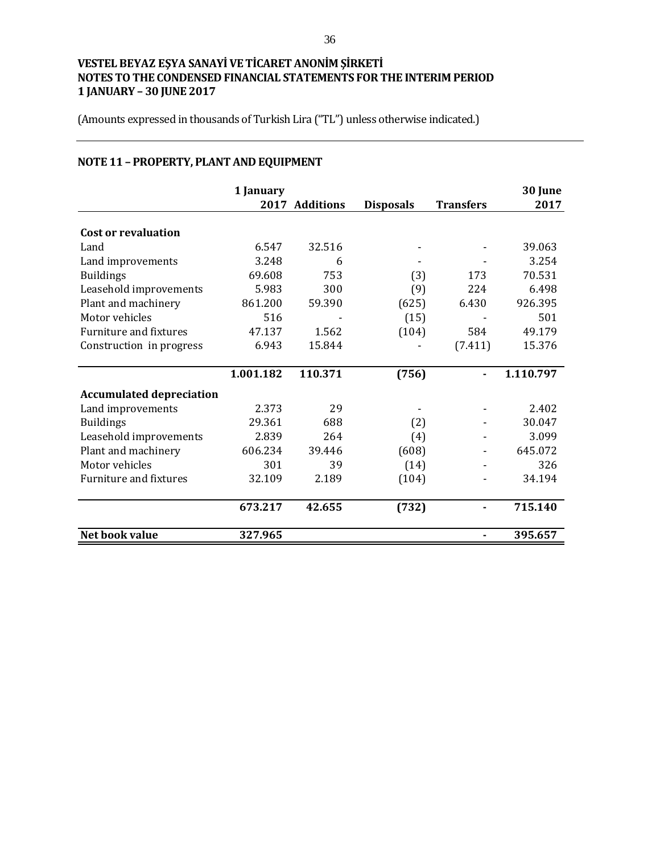(Amounts expressed in thousands of Turkish Lira ("TL") unless otherwise indicated.)

# **NOTE 11 – PROPERTY, PLANT AND EQUIPMENT**

|                                 | 1 January | 2017 Additions | <b>Disposals</b> | <b>Transfers</b> | 30 June<br>2017 |
|---------------------------------|-----------|----------------|------------------|------------------|-----------------|
|                                 |           |                |                  |                  |                 |
| <b>Cost or revaluation</b>      |           |                |                  |                  |                 |
| Land                            | 6.547     | 32.516         |                  |                  | 39.063          |
| Land improvements               | 3.248     | 6              |                  |                  | 3.254           |
| <b>Buildings</b>                | 69.608    | 753            | (3)              | 173              | 70.531          |
| Leasehold improvements          | 5.983     | 300            | (9)              | 224              | 6.498           |
| Plant and machinery             | 861.200   | 59.390         | (625)            | 6.430            | 926.395         |
| Motor vehicles                  | 516       |                | (15)             |                  | 501             |
| Furniture and fixtures          | 47.137    | 1.562          | (104)            | 584              | 49.179          |
| Construction in progress        | 6.943     | 15.844         |                  | (7.411)          | 15.376          |
|                                 |           |                |                  |                  |                 |
|                                 | 1.001.182 | 110.371        | (756)            |                  | 1.110.797       |
| <b>Accumulated depreciation</b> |           |                |                  |                  |                 |
| Land improvements               | 2.373     | 29             |                  |                  | 2.402           |
| <b>Buildings</b>                | 29.361    | 688            | (2)              |                  | 30.047          |
| Leasehold improvements          | 2.839     | 264            | (4)              |                  | 3.099           |
| Plant and machinery             | 606.234   | 39.446         | (608)            |                  | 645.072         |
| Motor vehicles                  | 301       | 39             | (14)             |                  | 326             |
| Furniture and fixtures          | 32.109    | 2.189          | (104)            |                  | 34.194          |
|                                 | 673.217   | 42.655         | (732)            |                  | 715.140         |
|                                 |           |                |                  |                  |                 |
| Net book value                  | 327.965   |                |                  |                  | 395.657         |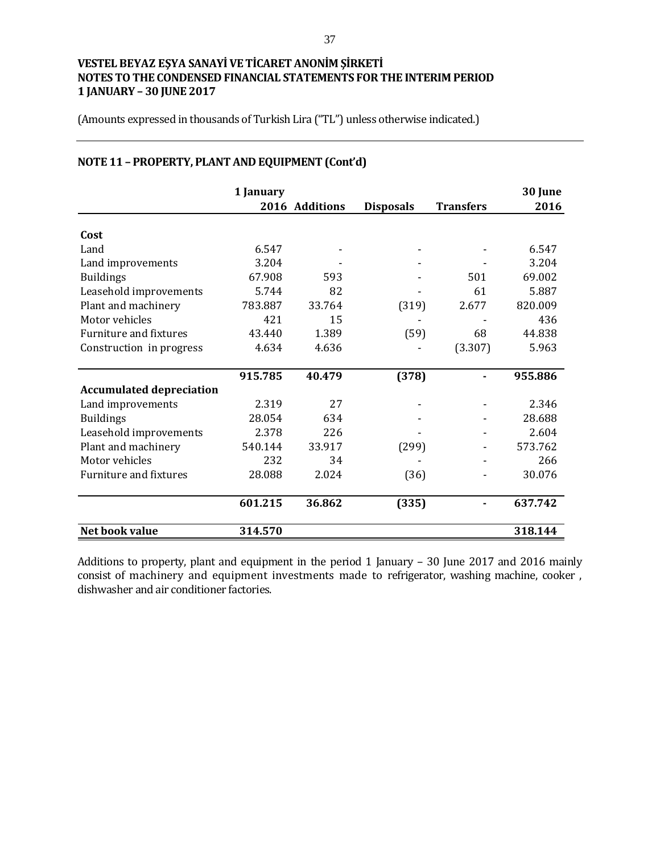(Amounts expressed in thousands of Turkish Lira ("TL") unless otherwise indicated.)

|                                 | 1 January |                |                  |                  | 30 June |
|---------------------------------|-----------|----------------|------------------|------------------|---------|
|                                 |           | 2016 Additions | <b>Disposals</b> | <b>Transfers</b> | 2016    |
| Cost                            |           |                |                  |                  |         |
| Land                            | 6.547     |                |                  |                  | 6.547   |
| Land improvements               | 3.204     |                |                  |                  | 3.204   |
| <b>Buildings</b>                | 67.908    | 593            |                  | 501              | 69.002  |
| Leasehold improvements          | 5.744     | 82             |                  | 61               | 5.887   |
| Plant and machinery             | 783.887   | 33.764         | (319)            | 2.677            | 820.009 |
| Motor vehicles                  | 421       | 15             |                  |                  | 436     |
| Furniture and fixtures          | 43.440    | 1.389          | (59)             | 68               | 44.838  |
| Construction in progress        | 4.634     | 4.636          |                  | (3.307)          | 5.963   |
|                                 | 915.785   | 40.479         | (378)            |                  | 955.886 |
| <b>Accumulated depreciation</b> |           |                |                  |                  |         |
| Land improvements               | 2.319     | 27             |                  |                  | 2.346   |
| <b>Buildings</b>                | 28.054    | 634            |                  |                  | 28.688  |
| Leasehold improvements          | 2.378     | 226            |                  |                  | 2.604   |
| Plant and machinery             | 540.144   | 33.917         | (299)            |                  | 573.762 |
| Motor vehicles                  | 232       | 34             |                  |                  | 266     |
| <b>Furniture and fixtures</b>   | 28.088    | 2.024          | (36)             |                  | 30.076  |
|                                 | 601.215   | 36.862         | (335)            |                  | 637.742 |
| Net book value                  | 314.570   |                |                  |                  | 318.144 |

# **NOTE 11 – PROPERTY, PLANT AND EQUIPMENT (Cont'd)**

Additions to property, plant and equipment in the period 1 January – 30 June 2017 and 2016 mainly consist of machinery and equipment investments made to refrigerator, washing machine, cooker , dishwasher and air conditioner factories.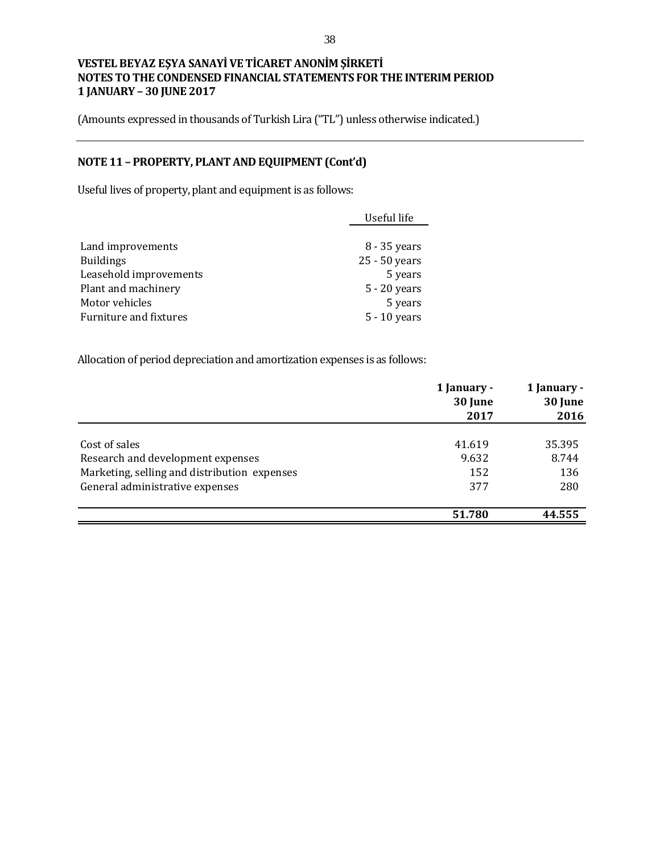(Amounts expressed in thousands of Turkish Lira ("TL") unless otherwise indicated.)

## **NOTE 11 – PROPERTY, PLANT AND EQUIPMENT (Cont'd)**

Useful lives of property, plant and equipment is as follows:

|                        | Useful life    |
|------------------------|----------------|
|                        |                |
| Land improvements      | 8 - 35 years   |
| <b>Buildings</b>       | 25 - 50 years  |
| Leasehold improvements | 5 years        |
| Plant and machinery    | $5 - 20$ years |
| Motor vehicles         | 5 years        |
| Furniture and fixtures | $5 - 10$ years |

Allocation of period depreciation and amortization expenses is as follows:

|                                              | 1 January -<br>30 June | 1 January -<br>30 June |  |
|----------------------------------------------|------------------------|------------------------|--|
|                                              | 2017                   | 2016                   |  |
| Cost of sales                                | 41.619                 | 35.395                 |  |
| Research and development expenses            | 9.632                  | 8.744                  |  |
| Marketing, selling and distribution expenses | 152                    | 136                    |  |
| General administrative expenses              | 377                    | 280                    |  |
|                                              | 51.780                 | 44.555                 |  |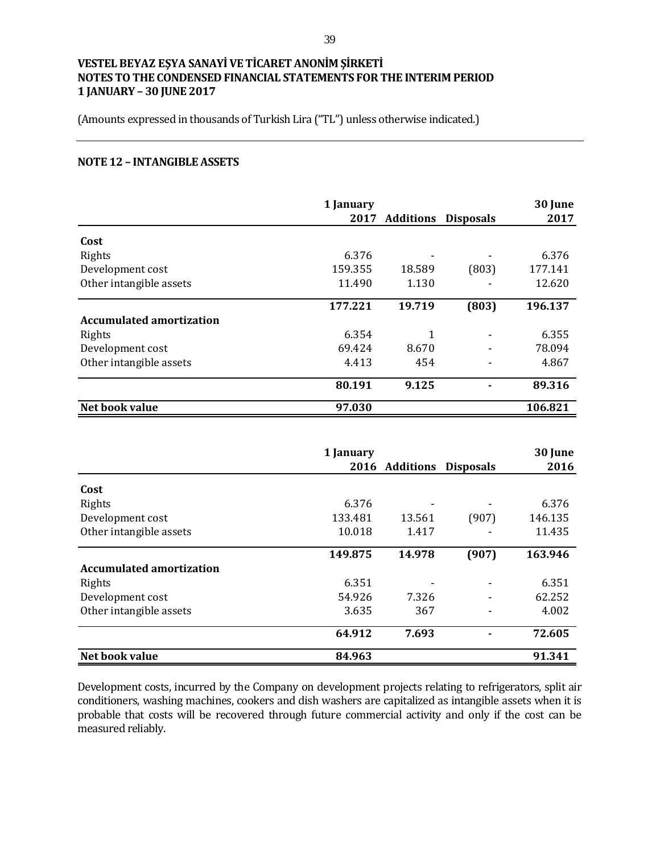(Amounts expressed in thousands of Turkish Lira ("TL") unless otherwise indicated.)

#### **NOTE 12 – INTANGIBLE ASSETS**

|                                 | 1 January<br>2017 | <b>Additions</b> | <b>Disposals</b> | 30 June<br>2017 |
|---------------------------------|-------------------|------------------|------------------|-----------------|
|                                 |                   |                  |                  |                 |
| Cost                            |                   |                  |                  |                 |
| Rights                          | 6.376             |                  |                  | 6.376           |
| Development cost                | 159.355           | 18.589           | (803)            | 177.141         |
| Other intangible assets         | 11.490            | 1.130            |                  | 12.620          |
|                                 | 177.221           | 19.719           | (803)            | 196.137         |
| <b>Accumulated amortization</b> |                   |                  |                  |                 |
| Rights                          | 6.354             |                  |                  | 6.355           |
| Development cost                | 69.424            | 8.670            |                  | 78.094          |
| Other intangible assets         | 4.413             | 454              |                  | 4.867           |
|                                 | 80.191            | 9.125            |                  | 89.316          |
| Net book value                  | 97.030            |                  |                  | 106.821         |

|                                 | 1 January |                |                  | 30 June |
|---------------------------------|-----------|----------------|------------------|---------|
|                                 |           | 2016 Additions | <b>Disposals</b> | 2016    |
| Cost                            |           |                |                  |         |
| Rights                          | 6.376     |                |                  | 6.376   |
| Development cost                | 133.481   | 13.561         | (907)            | 146.135 |
| Other intangible assets         | 10.018    | 1.417          |                  | 11.435  |
|                                 | 149.875   | 14.978         | (907)            | 163.946 |
| <b>Accumulated amortization</b> |           |                |                  |         |
| Rights                          | 6.351     |                |                  | 6.351   |
| Development cost                | 54.926    | 7.326          |                  | 62.252  |
| Other intangible assets         | 3.635     | 367            |                  | 4.002   |
|                                 | 64.912    | 7.693          |                  | 72.605  |
| Net book value                  | 84.963    |                |                  | 91.341  |

Development costs, incurred by the Company on development projects relating to refrigerators, split air conditioners, washing machines, cookers and dish washers are capitalized as intangible assets when it is probable that costs will be recovered through future commercial activity and only if the cost can be measured reliably.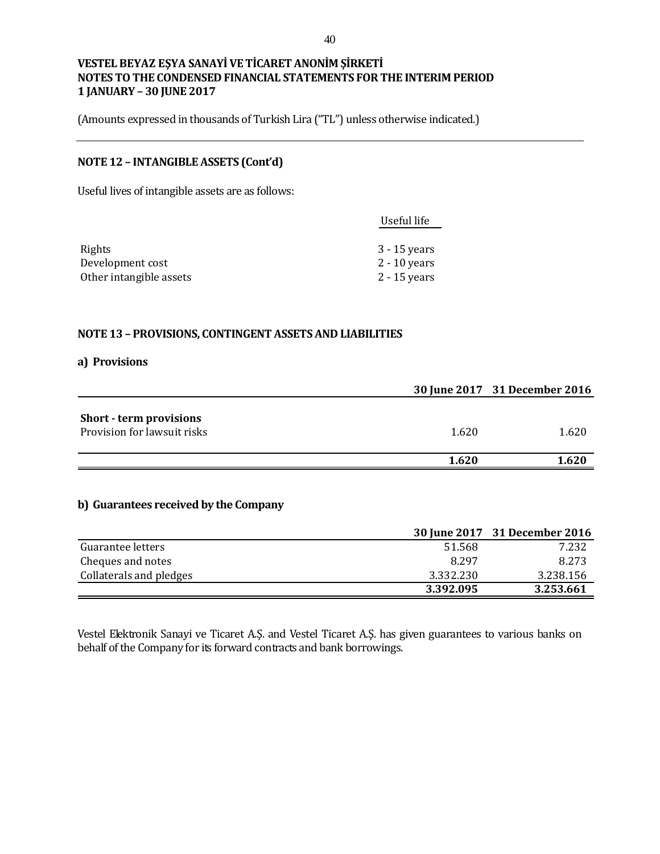(Amounts expressed in thousands of Turkish Lira ("TL") unless otherwise indicated.)

### **NOTE 12 – INTANGIBLE ASSETS (Cont'd)**

Useful lives of intangible assets are as follows:

|                         | Useful life    |
|-------------------------|----------------|
|                         |                |
| Rights                  | 3 - 15 years   |
| Development cost        | $2 - 10$ years |
| Other intangible assets | 2 - 15 years   |

#### **NOTE 13 – PROVISIONS, CONTINGENT ASSETS AND LIABILITIES**

#### **a) Provisions**

|                                                               |       | 30 June 2017 31 December 2016 |
|---------------------------------------------------------------|-------|-------------------------------|
| <b>Short - term provisions</b><br>Provision for lawsuit risks | 1.620 | 1.620                         |
|                                                               | 1.620 | 1.620                         |

## **b) Guarantees received by the Company**

|                         |           | 30 June 2017 31 December 2016 |
|-------------------------|-----------|-------------------------------|
| Guarantee letters       | 51.568    | 7.232                         |
| Cheques and notes       | 8.297     | 8.273                         |
| Collaterals and pledges | 3.332.230 | 3.238.156                     |
|                         | 3.392.095 | 3.253.661                     |

Vestel Elektronik Sanayi ve Ticaret A.Ş. and Vestel Ticaret A.Ş. has given guarantees to various banks on behalf of the Company for its forward contracts and bank borrowings.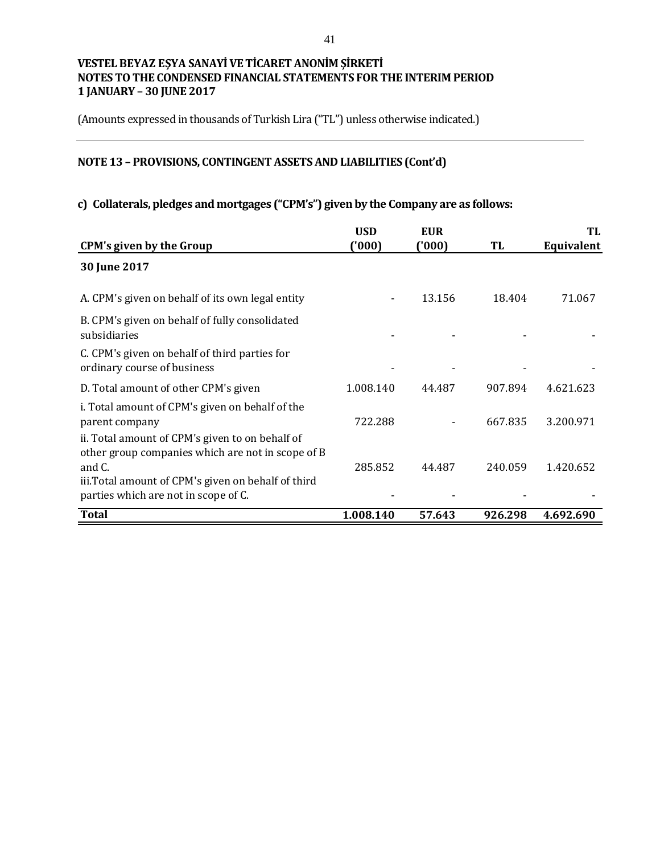(Amounts expressed in thousands of Turkish Lira ("TL") unless otherwise indicated.)

# **NOTE 13 – PROVISIONS, CONTINGENT ASSETS AND LIABILITIES (Cont'd)**

## **c) Collaterals, pledges and mortgages ("CPM's") given by the Company are as follows:**

|                                                                                                                                                                                                               | <b>USD</b> | <b>EUR</b> |         | TL         |
|---------------------------------------------------------------------------------------------------------------------------------------------------------------------------------------------------------------|------------|------------|---------|------------|
| <b>CPM's given by the Group</b>                                                                                                                                                                               | (000)      | (000)      | TL      | Equivalent |
| 30 June 2017                                                                                                                                                                                                  |            |            |         |            |
| A. CPM's given on behalf of its own legal entity                                                                                                                                                              |            | 13.156     | 18.404  | 71.067     |
| B. CPM's given on behalf of fully consolidated<br>subsidiaries                                                                                                                                                |            |            |         |            |
| C. CPM's given on behalf of third parties for<br>ordinary course of business                                                                                                                                  |            |            |         |            |
| D. Total amount of other CPM's given                                                                                                                                                                          | 1.008.140  | 44.487     | 907.894 | 4.621.623  |
| i. Total amount of CPM's given on behalf of the<br>parent company                                                                                                                                             | 722.288    |            | 667.835 | 3.200.971  |
| ii. Total amount of CPM's given to on behalf of<br>other group companies which are not in scope of B<br>and C.<br>iii. Total amount of CPM's given on behalf of third<br>parties which are not in scope of C. | 285.852    | 44.487     | 240.059 | 1.420.652  |
| <b>Total</b>                                                                                                                                                                                                  |            |            |         |            |
|                                                                                                                                                                                                               | 1.008.140  | 57.643     | 926.298 | 4.692.690  |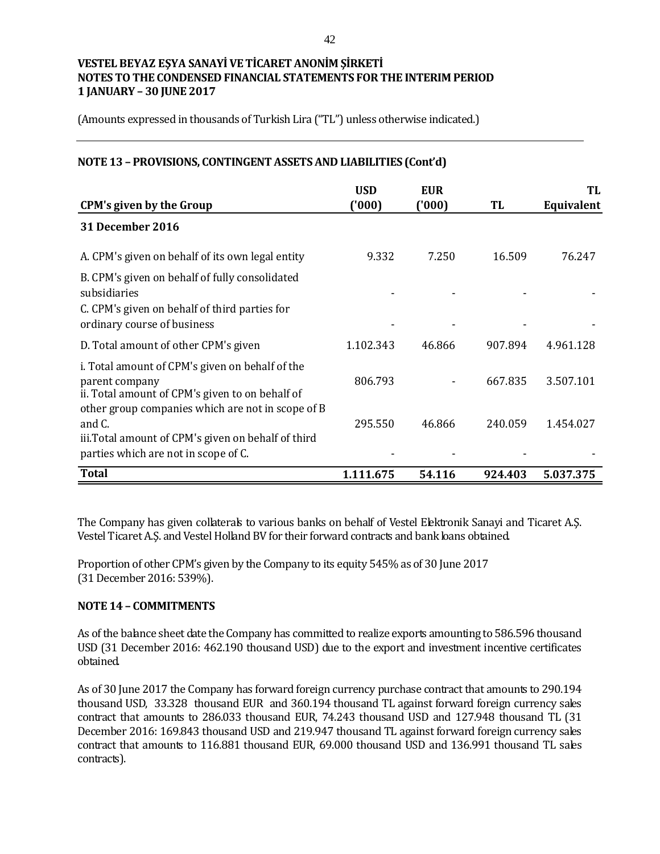(Amounts expressed in thousands of Turkish Lira ("TL") unless otherwise indicated.)

## **NOTE 13 – PROVISIONS, CONTINGENT ASSETS AND LIABILITIES (Cont'd)**

| <b>CPM's given by the Group</b>                                                                                                                                           | <b>USD</b><br>(000) | <b>EUR</b><br>('000) | TL      | TL<br>Equivalent |
|---------------------------------------------------------------------------------------------------------------------------------------------------------------------------|---------------------|----------------------|---------|------------------|
| 31 December 2016                                                                                                                                                          |                     |                      |         |                  |
| A. CPM's given on behalf of its own legal entity                                                                                                                          | 9.332               | 7.250                | 16.509  | 76.247           |
| B. CPM's given on behalf of fully consolidated<br>subsidiaries<br>C. CPM's given on behalf of third parties for<br>ordinary course of business                            |                     |                      |         |                  |
| D. Total amount of other CPM's given                                                                                                                                      | 1.102.343           | 46.866               | 907.894 | 4.961.128        |
| i. Total amount of CPM's given on behalf of the<br>parent company<br>ii. Total amount of CPM's given to on behalf of<br>other group companies which are not in scope of B | 806.793             |                      | 667.835 | 3.507.101        |
| and C.                                                                                                                                                                    | 295.550             | 46.866               | 240.059 | 1.454.027        |
| iii. Total amount of CPM's given on behalf of third<br>parties which are not in scope of C.                                                                               |                     |                      |         |                  |
| <b>Total</b>                                                                                                                                                              | 1.111.675           | 54.116               | 924.403 | 5.037.375        |

The Company has given collaterals to various banks on behalf of Vestel Elektronik Sanayi and Ticaret A.Ş. Vestel Ticaret A.Ş. and Vestel Holland BV for their forward contracts and bank loans obtained.

Proportion of other CPM's given by the Company to its equity 545% as of 30 June 2017 (31 December 2016: 539%).

### **NOTE 14 – COMMITMENTS**

As of the balance sheet date the Company has committed to realize exports amounting to 586.596 thousand USD (31 December 2016: 462.190 thousand USD) due to the export and investment incentive certificates obtained.

As of 30 June 2017 the Company has forward foreign currency purchase contract that amounts to 290.194 thousand USD, 33.328 thousand EUR and 360.194 thousand TL against forward foreign currency sales contract that amounts to 286.033 thousand EUR, 74.243 thousand USD and 127.948 thousand TL (31 December 2016: 169.843 thousand USD and 219.947 thousand TL against forward foreign currency sales contract that amounts to 116.881 thousand EUR, 69.000 thousand USD and 136.991 thousand TL sales contracts).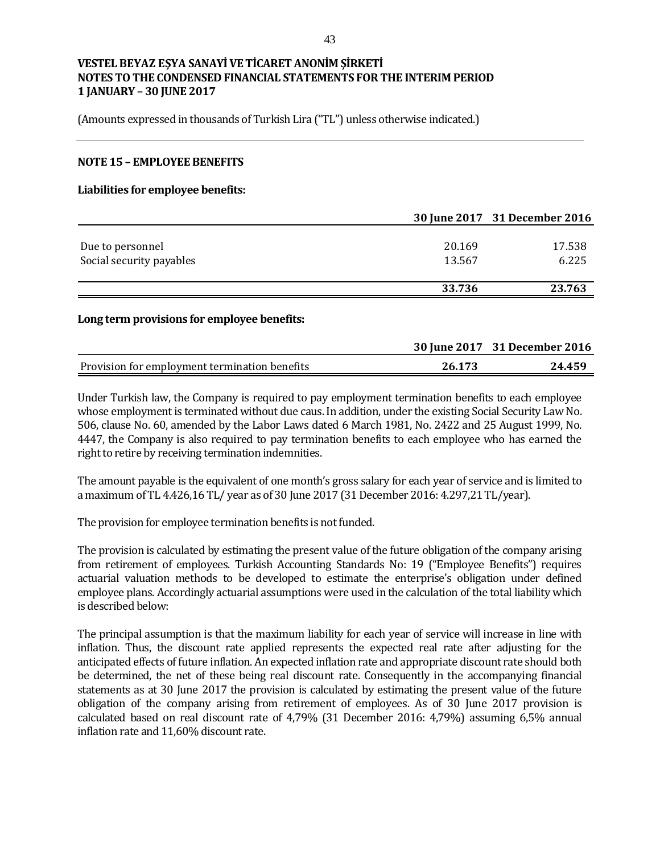(Amounts expressed in thousands of Turkish Lira ("TL") unless otherwise indicated.)

#### **NOTE 15 – EMPLOYEE BENEFITS**

#### **Liabilities for employee benefits:**

|                          |        | 30 June 2017 31 December 2016 |
|--------------------------|--------|-------------------------------|
|                          |        |                               |
| Due to personnel         | 20.169 | 17.538                        |
| Social security payables | 13.567 | 6.225                         |
|                          |        |                               |
|                          | 33.736 | 23.763                        |

#### **Long term provisions for employee benefits:**

|                                               |        | 30 June 2017 31 December 2016 |
|-----------------------------------------------|--------|-------------------------------|
| Provision for employment termination benefits | 26.173 | 24.459                        |

Under Turkish law, the Company is required to pay employment termination benefits to each employee whose employment is terminated without due caus. In addition, under the existing Social Security Law No. 506, clause No. 60, amended by the Labor Laws dated 6 March 1981, No. 2422 and 25 August 1999, No. 4447, the Company is also required to pay termination benefits to each employee who has earned the right to retire by receiving termination indemnities.

The amount payable is the equivalent of one month's gross salary for each year of service and is limited to a maximum of TL 4.426,16 TL/ year as of 30 June 2017 (31 December 2016: 4.297,21 TL/year).

The provision for employee termination benefits is not funded.

The provision is calculated by estimating the present value of the future obligation of the company arising from retirement of employees. Turkish Accounting Standards No: 19 ("Employee Benefits") requires actuarial valuation methods to be developed to estimate the enterprise's obligation under defined employee plans. Accordingly actuarial assumptions were used in the calculation of the total liability which is described below:

The principal assumption is that the maximum liability for each year of service will increase in line with inflation. Thus, the discount rate applied represents the expected real rate after adjusting for the anticipated effects of future inflation. An expected inflation rate and appropriate discount rate should both be determined, the net of these being real discount rate. Consequently in the accompanying financial statements as at 30 June 2017 the provision is calculated by estimating the present value of the future obligation of the company arising from retirement of employees. As of 30 June 2017 provision is calculated based on real discount rate of 4,79% (31 December 2016: 4,79%) assuming 6,5% annual inflation rate and 11,60% discount rate.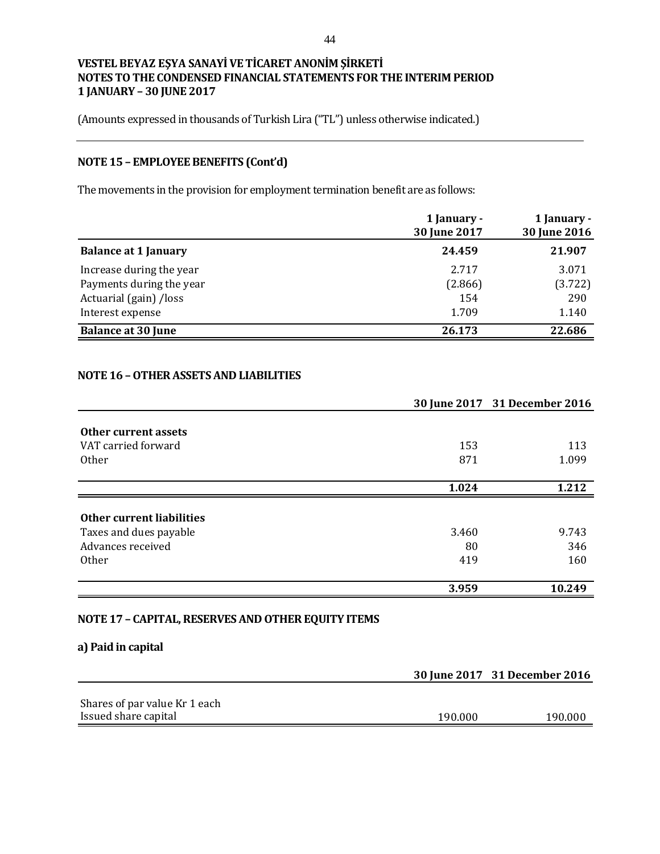(Amounts expressed in thousands of Turkish Lira ("TL") unless otherwise indicated.)

# **NOTE 15 – EMPLOYEE BENEFITS (Cont'd)**

The movements in the provision for employment termination benefit are as follows:

|                             | 1 January -<br>30 June 2017 | 1 January -<br>30 June 2016 |
|-----------------------------|-----------------------------|-----------------------------|
| <b>Balance at 1 January</b> | 24.459                      | 21.907                      |
| Increase during the year    | 2.717                       | 3.071                       |
| Payments during the year    | (2.866)                     | (3.722)                     |
| Actuarial (gain) /loss      | 154                         | 290                         |
| Interest expense            | 1.709                       | 1.140                       |
| <b>Balance at 30 June</b>   | 26.173                      | 22.686                      |

## **NOTE 16 –OTHER ASSETS AND LIABILITIES**

|                           |       | 30 June 2017 31 December 2016 |
|---------------------------|-------|-------------------------------|
| Other current assets      |       |                               |
| VAT carried forward       | 153   | 113                           |
| <b>Other</b>              | 871   | 1.099                         |
|                           | 1.024 | 1 2 1 2                       |
|                           |       |                               |
| Other current liabilities |       |                               |
| Taxes and dues payable    | 3.460 | 9.743                         |
| Advances received         | 80    | 346                           |
| Other                     | 419   | 160                           |
|                           | 3.959 | 10.249                        |

## **NOTE 17 – CAPITAL, RESERVES AND OTHER EQUITY ITEMS**

## **a) Paid in capital**

|                               |         | 30 June 2017 31 December 2016 |
|-------------------------------|---------|-------------------------------|
|                               |         |                               |
| Shares of par value Kr 1 each |         |                               |
| Issued share capital          | 190.000 | 190.000                       |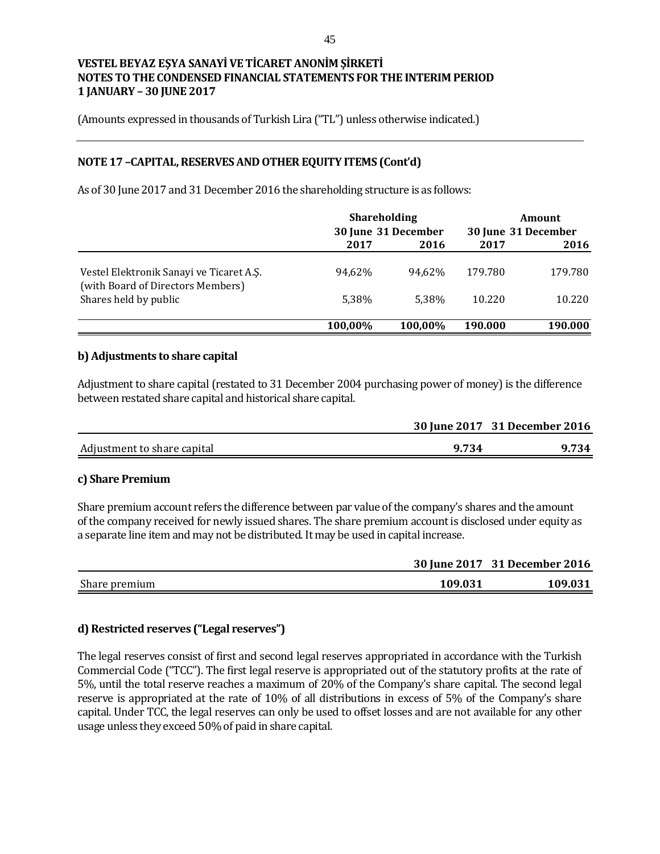(Amounts expressed in thousands of Turkish Lira ("TL") unless otherwise indicated.)

## **NOTE 17 –CAPITAL, RESERVES AND OTHER EQUITY ITEMS (Cont'd)**

As of 30 June 2017 and 31 December 2016 the shareholding structure is as follows:

|                                                                               | <b>Shareholding</b><br>30 June 31 December |         | Amount<br>30 June 31 December |         |
|-------------------------------------------------------------------------------|--------------------------------------------|---------|-------------------------------|---------|
|                                                                               | 2017                                       | 2016    | 2017                          | 2016    |
| Vestel Elektronik Sanayi ve Ticaret A.S.<br>(with Board of Directors Members) | 94.62%                                     | 94.62%  | 179.780                       | 179.780 |
| Shares held by public                                                         | 5.38%                                      | 5.38%   | 10.220                        | 10.220  |
|                                                                               | 100,00%                                    | 100,00% | 190.000                       | 190.000 |

### **b) Adjustments to share capital**

Adjustment to share capital (restated to 31 December 2004 purchasing power of money) is the difference between restated share capital and historical share capital.

|                             |       | 30 June 2017 31 December 2016 |
|-----------------------------|-------|-------------------------------|
| Adjustment to share capital | 9.734 | 9.734                         |
|                             |       |                               |

### **c) Share Premium**

Share premium account refers the difference between par value of the company's shares and the amount of the company received for newly issued shares. The share premium account is disclosed under equity as a separate line item and may not be distributed. It may be used in capital increase.

|               |         | 30 June 2017 31 December 2016 |
|---------------|---------|-------------------------------|
| Share premium | 109.031 | 109.031                       |

## **d) Restricted reserves ("Legal reserves")**

The legal reserves consist of first and second legal reserves appropriated in accordance with the Turkish Commercial Code ("TCC"). The first legal reserve is appropriated out of the statutory profits at the rate of 5%, until the total reserve reaches a maximum of 20% of the Company's share capital. The second legal reserve is appropriated at the rate of 10% of all distributions in excess of 5% of the Company's share capital. Under TCC, the legal reserves can only be used to offset losses and are not available for any other usage unless they exceed 50% of paid in share capital.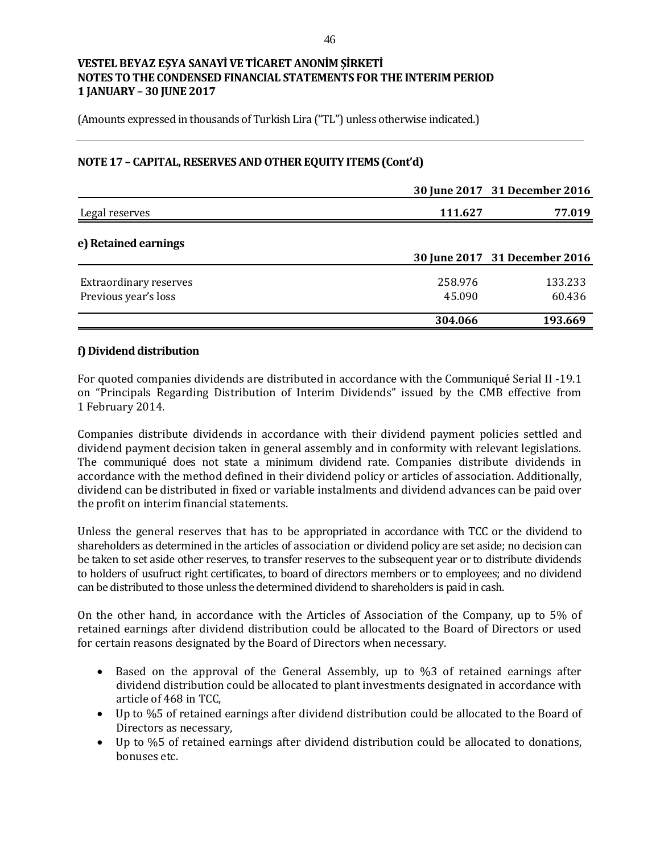(Amounts expressed in thousands of Turkish Lira ("TL") unless otherwise indicated.)

## **NOTE 17 – CAPITAL, RESERVES AND OTHER EQUITY ITEMS (Cont'd)**

|                                                       |                   | 30 June 2017 31 December 2016 |
|-------------------------------------------------------|-------------------|-------------------------------|
| Legal reserves                                        | 111.627           | 77.019                        |
| e) Retained earnings                                  |                   | 30 June 2017 31 December 2016 |
|                                                       |                   |                               |
| <b>Extraordinary reserves</b><br>Previous year's loss | 258.976<br>45.090 | 133.233<br>60.436             |
|                                                       | 304.066           | 193.669                       |

### **f) Dividend distribution**

For quoted companies dividends are distributed in accordance with the Communiqué Serial II -19.1 on "Principals Regarding Distribution of Interim Dividends" issued by the CMB effective from 1 February 2014.

Companies distribute dividends in accordance with their dividend payment policies settled and dividend payment decision taken in general assembly and in conformity with relevant legislations. The communiqué does not state a minimum dividend rate. Companies distribute dividends in accordance with the method defined in their dividend policy or articles of association. Additionally, dividend can be distributed in fixed or variable instalments and dividend advances can be paid over the profit on interim financial statements.

Unless the general reserves that has to be appropriated in accordance with TCC or the dividend to shareholders as determined in the articles of association or dividend policy are set aside; no decision can be taken to set aside other reserves, to transfer reserves to the subsequent year or to distribute dividends to holders of usufruct right certificates, to board of directors members or to employees; and no dividend can be distributed to those unless the determined dividend to shareholders is paid in cash.

On the other hand, in accordance with the Articles of Association of the Company, up to 5% of retained earnings after dividend distribution could be allocated to the Board of Directors or used for certain reasons designated by the Board of Directors when necessary.

- Based on the approval of the General Assembly, up to %3 of retained earnings after dividend distribution could be allocated to plant investments designated in accordance with article of 468 in TCC,
- Up to %5 of retained earnings after dividend distribution could be allocated to the Board of Directors as necessary,
- Up to %5 of retained earnings after dividend distribution could be allocated to donations, bonuses etc.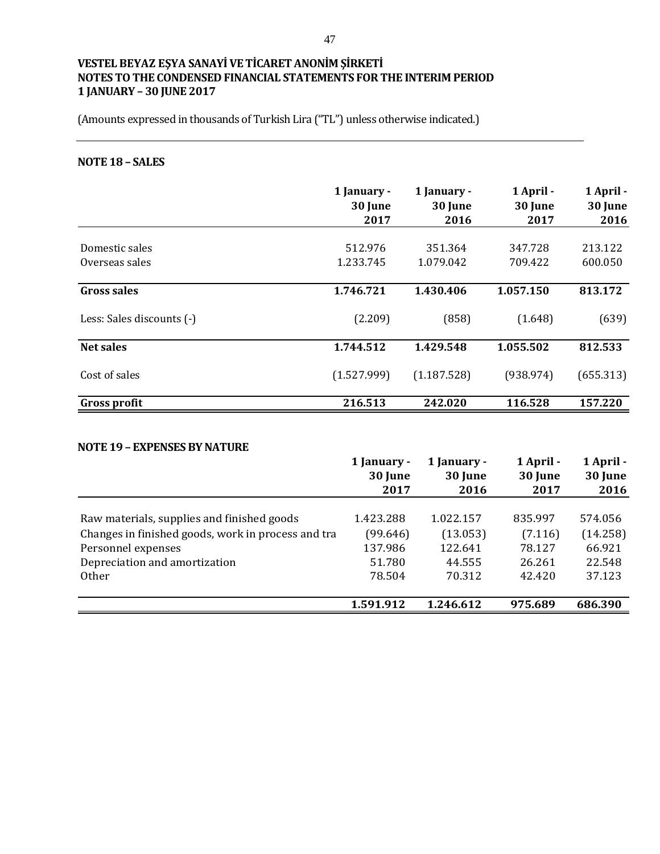(Amounts expressed in thousands of Turkish Lira ("TL") unless otherwise indicated.)

## **NOTE 18 – SALES**

|                           | 1 January -<br>30 June<br>2017 | 1 January -<br>30 June<br>2016 | 1 April -<br>30 June<br>2017 | 1 April -<br>30 June<br>2016 |
|---------------------------|--------------------------------|--------------------------------|------------------------------|------------------------------|
|                           |                                |                                |                              |                              |
| Domestic sales            | 512.976                        | 351.364                        | 347.728                      | 213.122                      |
| Overseas sales            | 1.233.745                      | 1.079.042                      | 709.422                      | 600.050                      |
| <b>Gross sales</b>        | 1.746.721                      | 1.430.406                      | 1.057.150                    | 813.172                      |
| Less: Sales discounts (-) | (2.209)                        | (858)                          | (1.648)                      | (639)                        |
| <b>Net sales</b>          | 1.744.512                      | 1.429.548                      | 1.055.502                    | 812.533                      |
| Cost of sales             | (1.527.999)                    | (1.187.528)                    | (938.974)                    | (655.313)                    |
| <b>Gross profit</b>       | 216.513                        | 242.020                        | 116.528                      | 157.220                      |

### **NOTE 19 – EXPENSES BY NATURE**

|                                                    | 1 January -<br>30 June | 1 January -<br>30 June | 1 April -<br>30 June | 1 April -<br>30 June |
|----------------------------------------------------|------------------------|------------------------|----------------------|----------------------|
|                                                    | 2017                   | 2016                   | 2017                 | 2016                 |
|                                                    |                        |                        |                      |                      |
| Raw materials, supplies and finished goods         | 1.423.288              | 1.022.157              | 835.997              | 574.056              |
| Changes in finished goods, work in process and tra | (99.646)               | (13.053)               | (7.116)              | (14.258)             |
| Personnel expenses                                 | 137.986                | 122.641                | 78.127               | 66.921               |
| Depreciation and amortization                      | 51.780                 | 44.555                 | 26.261               | 22.548               |
| <b>Other</b>                                       | 78.504                 | 70.312                 | 42.420               | 37.123               |
|                                                    |                        |                        |                      |                      |
|                                                    | 1.591.912              | 1.246.612              | 975.689              | 686.390              |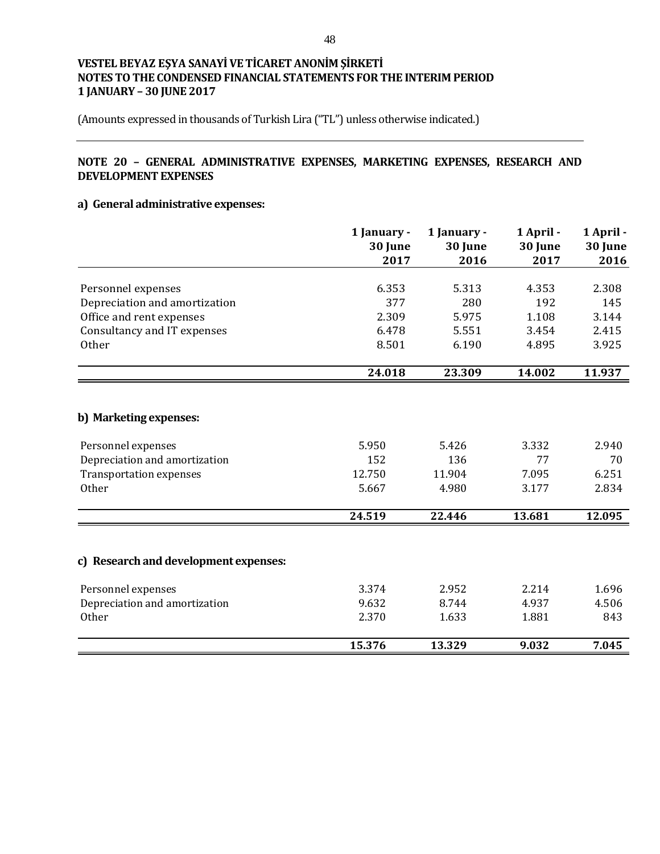(Amounts expressed in thousands of Turkish Lira ("TL") unless otherwise indicated.)

## **NOTE 20 – GENERAL ADMINISTRATIVE EXPENSES, MARKETING EXPENSES, RESEARCH AND DEVELOPMENT EXPENSES**

## **a) General administrative expenses:**

|                                                                                                                          | 1 January -<br>30 June<br>2017  | 1 January -<br>30 June<br>2016  | 1 April -<br>30 June<br>2017  | 1 April -<br>30 June<br>2016  |
|--------------------------------------------------------------------------------------------------------------------------|---------------------------------|---------------------------------|-------------------------------|-------------------------------|
| Personnel expenses                                                                                                       | 6.353                           | 5.313                           | 4.353                         | 2.308                         |
| Depreciation and amortization                                                                                            | 377                             | 280                             | 192                           | 145                           |
| Office and rent expenses                                                                                                 | 2.309                           | 5.975                           | 1.108                         | 3.144                         |
| Consultancy and IT expenses                                                                                              | 6.478                           | 5.551                           | 3.454                         | 2.415                         |
| Other                                                                                                                    | 8.501                           | 6.190                           | 4.895                         | 3.925                         |
|                                                                                                                          | 24.018                          | 23.309                          | 14.002                        | 11.937                        |
| b) Marketing expenses:<br>Personnel expenses<br>Depreciation and amortization<br><b>Transportation expenses</b><br>Other | 5.950<br>152<br>12.750<br>5.667 | 5.426<br>136<br>11.904<br>4.980 | 3.332<br>77<br>7.095<br>3.177 | 2.940<br>70<br>6.251<br>2.834 |
|                                                                                                                          | 24.519                          | 22.446                          | 13.681                        | 12.095                        |
| c) Research and development expenses:<br>Personnel expenses<br>Depreciation and amortization                             | 3.374<br>9.632                  | 2.952<br>8.744                  | 2.214<br>4.937                | 1.696<br>4.506                |
| Other                                                                                                                    | 2.370                           | 1.633                           | 1.881                         | 843                           |
|                                                                                                                          |                                 |                                 |                               |                               |
|                                                                                                                          | 15.376                          | 13.329                          | 9.032                         | 7.045                         |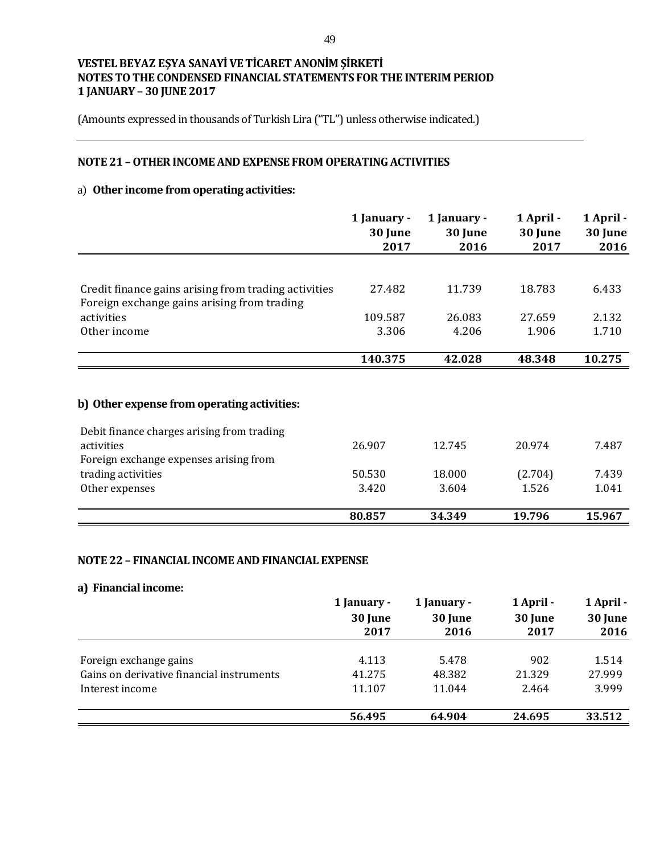(Amounts expressed in thousands of Turkish Lira ("TL") unless otherwise indicated.)

## **NOTE 21 –OTHER INCOME AND EXPENSE FROM OPERATING ACTIVITIES**

## a) **Other income from operating activities:**

|                                                                                                     | 1 January -<br>30 June<br>2017 | 1 January -<br>30 June<br>2016 | 1 April -<br>30 June<br>2017 | 1 April -<br>30 June<br>2016 |
|-----------------------------------------------------------------------------------------------------|--------------------------------|--------------------------------|------------------------------|------------------------------|
|                                                                                                     |                                |                                |                              |                              |
| Credit finance gains arising from trading activities<br>Foreign exchange gains arising from trading | 27.482                         | 11.739                         | 18.783                       | 6.433                        |
| activities                                                                                          | 109.587                        | 26.083                         | 27.659                       | 2.132                        |
| Other income                                                                                        | 3.306                          | 4.206                          | 1.906                        | 1.710                        |
|                                                                                                     | 140.375                        | 42.028                         | 48.348                       | 10.275                       |
| b) Other expense from operating activities:                                                         |                                |                                |                              |                              |
| Debit finance charges arising from trading                                                          |                                |                                |                              |                              |
| activities                                                                                          | 26.907                         | 12.745                         | 20.974                       | 7.487                        |
| Foreign exchange expenses arising from                                                              |                                |                                |                              |                              |
| trading activities                                                                                  | 50.530                         | 18.000                         | (2.704)                      | 7.439                        |
| Other expenses                                                                                      | 3.420                          | 3.604                          | 1.526                        | 1.041                        |
|                                                                                                     | 80.857                         | 34.349                         | 19.796                       | 15.967                       |

## **NOTE 22 – FINANCIAL INCOME AND FINANCIAL EXPENSE**

#### **a) Financial income:**

|                                           | 1 January - | 1 January - | 1 April - | 1 April - |
|-------------------------------------------|-------------|-------------|-----------|-----------|
|                                           | 30 June     | 30 June     | 30 June   | 30 June   |
|                                           | 2017        | 2016        | 2017      | 2016      |
|                                           |             |             |           |           |
| Foreign exchange gains                    | 4.113       | 5.478       | 902       | 1.514     |
| Gains on derivative financial instruments | 41.275      | 48.382      | 21.329    | 27.999    |
| Interest income                           | 11.107      | 11.044      | 2.464     | 3.999     |
|                                           | 56.495      | 64.904      | 24.695    | 33.512    |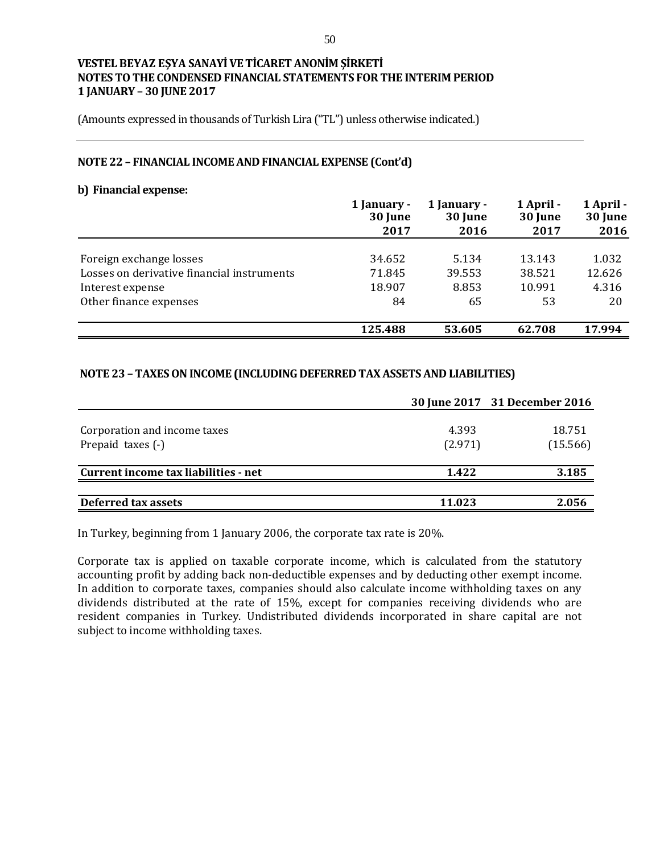(Amounts expressed in thousands of Turkish Lira ("TL") unless otherwise indicated.)

#### **NOTE 22 – FINANCIAL INCOME AND FINANCIAL EXPENSE (Cont'd)**

#### **b) Financial expense:**

|                                            | 1 January -<br>30 June | 1 January -<br>30 June | 1 April -<br>30 June | 1 April -<br>30 June |
|--------------------------------------------|------------------------|------------------------|----------------------|----------------------|
|                                            | 2017                   | 2016                   | 2017                 | 2016                 |
| Foreign exchange losses                    | 34.652                 | 5.134                  | 13.143               | 1.032                |
| Losses on derivative financial instruments | 71.845                 | 39.553                 | 38.521               | 12.626               |
| Interest expense                           | 18.907                 | 8.853                  | 10.991               | 4.316                |
| Other finance expenses                     | 84                     | 65                     | 53                   | 20                   |
|                                            | 125.488                | 53.605                 | 62.708               | 17.994               |

## **NOTE 23 –TAXES ON INCOME (INCLUDING DEFERRED TAX ASSETS AND LIABILITIES)**

|                                                   |                  | 30 June 2017 31 December 2016 |
|---------------------------------------------------|------------------|-------------------------------|
| Corporation and income taxes<br>Prepaid taxes (-) | 4.393<br>(2.971) | 18.751<br>(15.566)            |
| Current income tax liabilities - net              | 1.422            | 3.185                         |
| Deferred tax assets                               | 11.023           | 2.056                         |

In Turkey, beginning from 1 January 2006, the corporate tax rate is 20%.

Corporate tax is applied on taxable corporate income, which is calculated from the statutory accounting profit by adding back non-deductible expenses and by deducting other exempt income. In addition to corporate taxes, companies should also calculate income withholding taxes on any dividends distributed at the rate of 15%, except for companies receiving dividends who are resident companies in Turkey. Undistributed dividends incorporated in share capital are not subject to income withholding taxes.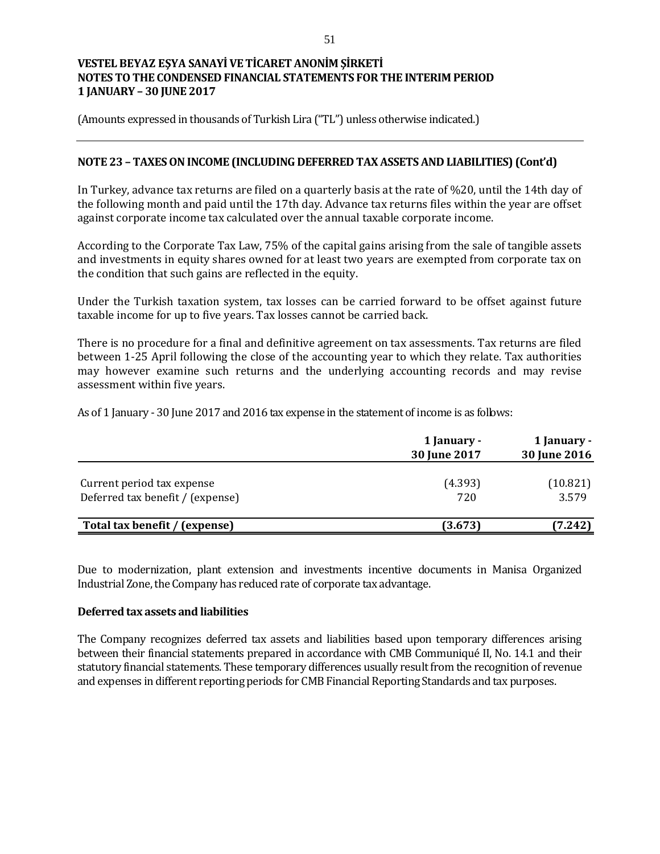(Amounts expressed in thousands of Turkish Lira ("TL") unless otherwise indicated.)

## **NOTE 23 – TAXES ON INCOME (INCLUDING DEFERRED TAX ASSETS AND LIABILITIES) (Cont'd)**

In Turkey, advance tax returns are filed on a quarterly basis at the rate of %20, until the 14th day of the following month and paid until the 17th day. Advance tax returns files within the year are offset against corporate income tax calculated over the annual taxable corporate income.

According to the Corporate Tax Law, 75% of the capital gains arising from the sale of tangible assets and investments in equity shares owned for at least two years are exempted from corporate tax on the condition that such gains are reflected in the equity.

Under the Turkish taxation system, tax losses can be carried forward to be offset against future taxable income for up to five years. Tax losses cannot be carried back.

There is no procedure for a final and definitive agreement on tax assessments. Tax returns are filed between 1-25 April following the close of the accounting year to which they relate. Tax authorities may however examine such returns and the underlying accounting records and may revise assessment within five years.

As of 1 January - 30 June 2017 and 2016 tax expense in the statement of income is as follows:

|                                                                | 1 January -<br>30 June 2017 | 1 January -<br>30 June 2016 |  |
|----------------------------------------------------------------|-----------------------------|-----------------------------|--|
| Current period tax expense<br>Deferred tax benefit / (expense) | (4.393)<br>720              | (10.821)<br>3.579           |  |
| Total tax benefit / (expense)                                  | (3.673)                     | (7.242)                     |  |

Due to modernization, plant extension and investments incentive documents in Manisa Organized Industrial Zone, the Company has reduced rate of corporate tax advantage.

### **Deferred tax assets and liabilities**

The Company recognizes deferred tax assets and liabilities based upon temporary differences arising between their financial statements prepared in accordance with CMB Communiqué II, No. 14.1 and their statutory financial statements. These temporary differences usually result from the recognition of revenue and expenses in different reporting periods for CMB Financial Reporting Standards and tax purposes.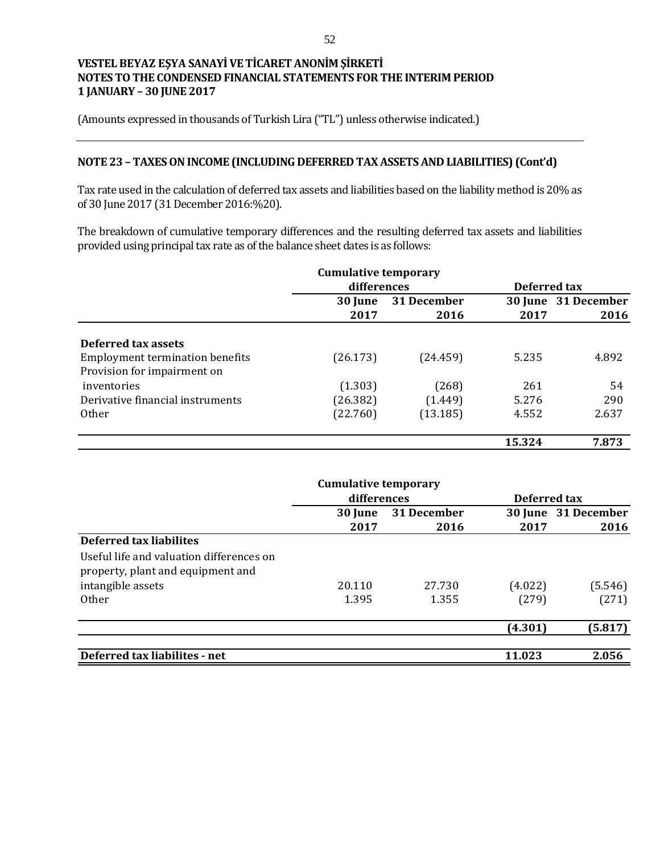(Amounts expressed in thousands of Turkish Lira ("TL") unless otherwise indicated.)

### **NOTE 23 – TAXES ON INCOME (INCLUDING DEFERRED TAX ASSETS AND LIABILITIES) (Cont'd)**

Tax rate used in the calculation of deferred tax assets and liabilities based on the liability method is 20% as of 30 June 2017 (31 December 2016:%20).

The breakdown of cumulative temporary differences and the resulting deferred tax assets and liabilities provided using principal tax rate as of the balance sheet dates is as follows:

|                                        | <b>Cumulative temporary</b> |             |              |                     |
|----------------------------------------|-----------------------------|-------------|--------------|---------------------|
|                                        | differences                 |             | Deferred tax |                     |
|                                        | 30 June                     | 31 December |              | 30 June 31 December |
|                                        | 2017                        | 2016        | 2017         | 2016                |
| Deferred tax assets                    |                             |             |              |                     |
| <b>Employment termination benefits</b> | (26.173)                    | (24.459)    | 5.235        | 4.892               |
| Provision for impairment on            |                             |             |              |                     |
| inventories                            | (1.303)                     | (268)       | 261          | 54                  |
| Derivative financial instruments       | (26.382)                    | (1.449)     | 5.276        | 290                 |
| Other                                  | (22.760)                    | (13.185)    | 4.552        | 2.637               |
|                                        |                             |             | 15.324       | 7.873               |

|                                          | <b>Cumulative temporary</b> |             |              |                     |
|------------------------------------------|-----------------------------|-------------|--------------|---------------------|
|                                          | differences                 |             | Deferred tax |                     |
|                                          | 30 June                     | 31 December |              | 30 June 31 December |
|                                          | 2017                        | 2016        | 2017         | 2016                |
| Deferred tax liabilites                  |                             |             |              |                     |
| Useful life and valuation differences on |                             |             |              |                     |
| property, plant and equipment and        |                             |             |              |                     |
| intangible assets                        | 20.110                      | 27.730      | (4.022)      | (5.546)             |
| <b>Other</b>                             | 1.395                       | 1.355       | (279)        | (271)               |
|                                          |                             |             | (4.301)      | (5.817)             |
| Deferred tax liabilites - net            |                             |             | 11.023       | 2.056               |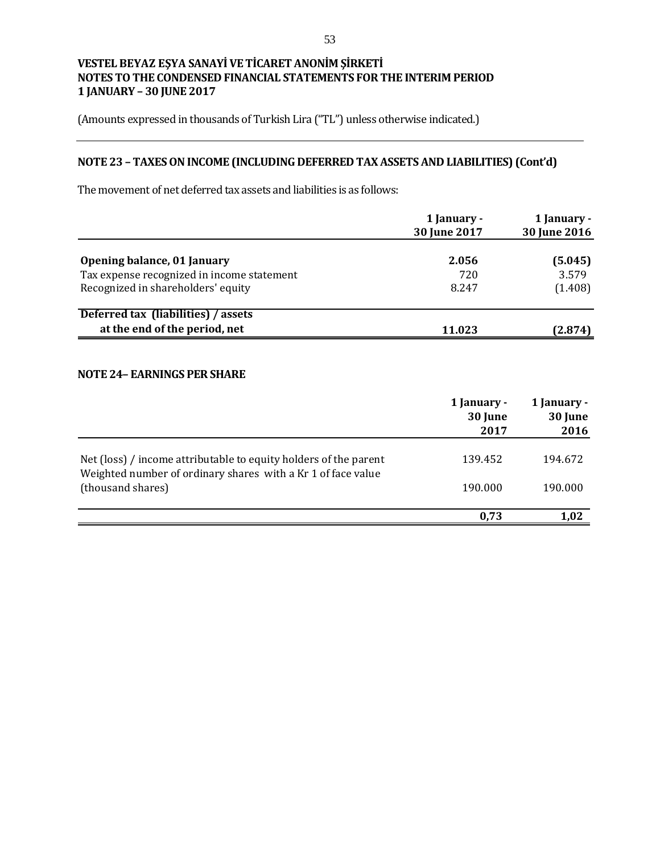(Amounts expressed in thousands of Turkish Lira ("TL") unless otherwise indicated.)

# **NOTE 23 – TAXES ONINCOME (INCLUDING DEFERRED TAX ASSETS AND LIABILITIES) (Cont'd)**

The movement of net deferred tax assets and liabilities is as follows:

|                                            | 1 January -<br>30 June 2017 | 1 January -<br>30 June 2016 |
|--------------------------------------------|-----------------------------|-----------------------------|
| Opening balance, 01 January                | 2.056                       | (5.045)                     |
| Tax expense recognized in income statement | 720                         | 3.579                       |
| Recognized in shareholders' equity         | 8.247                       | (1.408)                     |
| Deferred tax (liabilities) / assets        |                             |                             |
| at the end of the period, net              | 11.023                      | (2.874)                     |

### **NOTE 24– EARNINGS PER SHARE**

|                                                                                                                                  | 1 January -<br>30 June<br>2017 | 1 January -<br>30 June<br>2016 |
|----------------------------------------------------------------------------------------------------------------------------------|--------------------------------|--------------------------------|
| Net (loss) / income attributable to equity holders of the parent<br>Weighted number of ordinary shares with a Kr 1 of face value | 139.452                        | 194.672                        |
| (thousand shares)                                                                                                                | 190.000                        | 190.000                        |
|                                                                                                                                  | 0.73                           | 1,02                           |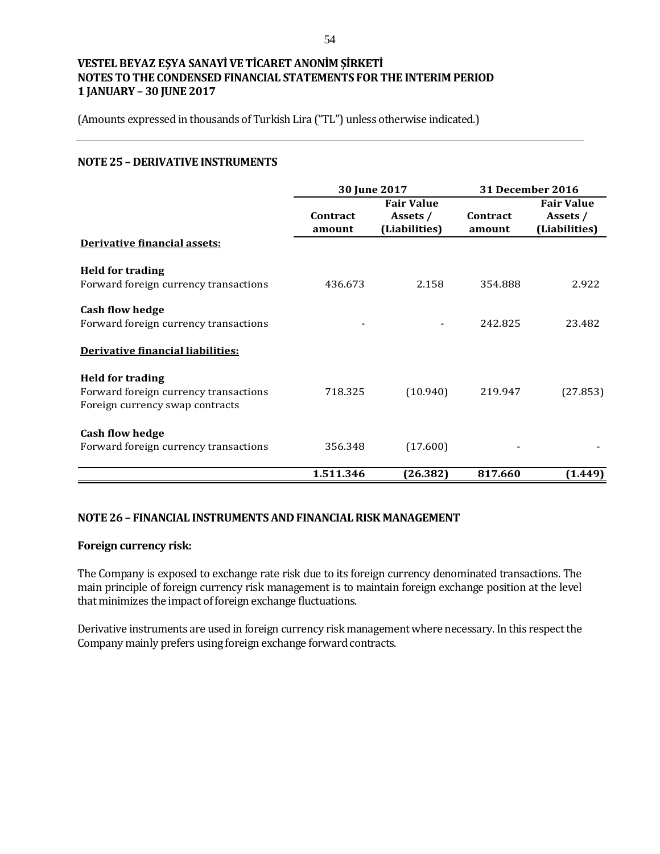(Amounts expressed in thousands of Turkish Lira ("TL") unless otherwise indicated.)

### **NOTE 25 – DERIVATIVE INSTRUMENTS**

|                                                                                                     | 30 June 2017       |                                                | <b>31 December 2016</b>   |                                                |
|-----------------------------------------------------------------------------------------------------|--------------------|------------------------------------------------|---------------------------|------------------------------------------------|
|                                                                                                     | Contract<br>amount | <b>Fair Value</b><br>Assets /<br>(Liabilities) | <b>Contract</b><br>amount | <b>Fair Value</b><br>Assets /<br>(Liabilities) |
| Derivative financial assets:                                                                        |                    |                                                |                           |                                                |
| <b>Held for trading</b><br>Forward foreign currency transactions                                    | 436.673            | 2.158                                          | 354.888                   | 2.922                                          |
| <b>Cash flow hedge</b><br>Forward foreign currency transactions                                     |                    |                                                | 242.825                   | 23.482                                         |
| Derivative financial liabilities:                                                                   |                    |                                                |                           |                                                |
| <b>Held for trading</b><br>Forward foreign currency transactions<br>Foreign currency swap contracts | 718.325            | (10.940)                                       | 219.947                   | (27.853)                                       |
| <b>Cash flow hedge</b><br>Forward foreign currency transactions                                     | 356.348            | (17.600)                                       |                           |                                                |
|                                                                                                     | 1.511.346          | (26.382)                                       | 817.660                   | (1.449)                                        |

## **NOTE 26 – FINANCIAL INSTRUMENTS AND FINANCIAL RISK MANAGEMENT**

#### **Foreign currency risk:**

The Company is exposed to exchange rate risk due to its foreign currency denominated transactions. The main principle of foreign currency risk management is to maintain foreign exchange position at the level that minimizes the impact of foreign exchange fluctuations.

Derivative instruments are used in foreign currency risk management where necessary. In this respect the Company mainly prefers using foreign exchange forward contracts.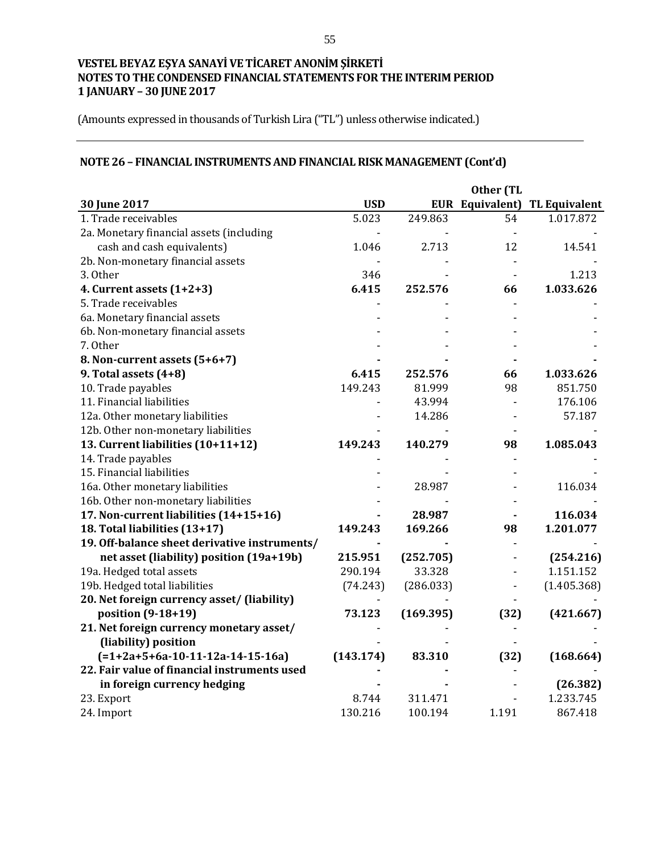(Amounts expressed in thousands of Turkish Lira ("TL") unless otherwise indicated.)

# **NOTE 26 – FINANCIAL INSTRUMENTS AND FINANCIAL RISK MANAGEMENT (Cont'd)**

|                                               |            |           | Other (TL      |                                      |
|-----------------------------------------------|------------|-----------|----------------|--------------------------------------|
| 30 June 2017                                  | <b>USD</b> |           |                | <b>EUR Equivalent) TL Equivalent</b> |
| 1. Trade receivables                          | 5.023      | 249.863   | 54             | 1.017.872                            |
| 2a. Monetary financial assets (including      |            |           |                |                                      |
| cash and cash equivalents)                    | 1.046      | 2.713     | 12             | 14.541                               |
| 2b. Non-monetary financial assets             |            |           |                |                                      |
| 3. Other                                      | 346        |           |                | 1.213                                |
| 4. Current assets $(1+2+3)$                   | 6.415      | 252.576   | 66             | 1.033.626                            |
| 5. Trade receivables                          |            |           |                |                                      |
| 6a. Monetary financial assets                 |            |           |                |                                      |
| 6b. Non-monetary financial assets             |            |           |                |                                      |
| 7. Other                                      |            |           |                |                                      |
| 8. Non-current assets (5+6+7)                 |            |           |                |                                      |
| 9. Total assets (4+8)                         | 6.415      | 252.576   | 66             | 1.033.626                            |
| 10. Trade payables                            | 149.243    | 81.999    | 98             | 851.750                              |
| 11. Financial liabilities                     |            | 43.994    | $\blacksquare$ | 176.106                              |
| 12a. Other monetary liabilities               |            | 14.286    |                | 57.187                               |
| 12b. Other non-monetary liabilities           |            |           |                |                                      |
| 13. Current liabilities (10+11+12)            | 149.243    | 140.279   | 98             | 1.085.043                            |
| 14. Trade payables                            |            |           |                |                                      |
| 15. Financial liabilities                     |            |           |                |                                      |
| 16a. Other monetary liabilities               |            | 28.987    |                | 116.034                              |
| 16b. Other non-monetary liabilities           |            |           |                |                                      |
| 17. Non-current liabilities (14+15+16)        |            | 28.987    |                | 116.034                              |
| 18. Total liabilities (13+17)                 | 149.243    | 169.266   | 98             | 1.201.077                            |
| 19. Off-balance sheet derivative instruments/ |            |           |                |                                      |
| net asset (liability) position (19a+19b)      | 215.951    | (252.705) |                | (254.216)                            |
| 19a. Hedged total assets                      | 290.194    | 33.328    |                | 1.151.152                            |
| 19b. Hedged total liabilities                 | (74.243)   | (286.033) |                | (1.405.368)                          |
| 20. Net foreign currency asset/ (liability)   |            |           |                |                                      |
| position (9-18+19)                            | 73.123     | (169.395) | (32)           | (421.667)                            |
| 21. Net foreign currency monetary asset/      |            |           |                |                                      |
| (liability) position                          |            |           |                |                                      |
| $(=1+2a+5+6a-10-11-12a-14-15-16a)$            | (143.174)  | 83.310    | (32)           | (168.664)                            |
| 22. Fair value of financial instruments used  |            |           |                |                                      |
| in foreign currency hedging                   |            |           |                | (26.382)                             |
| 23. Export                                    | 8.744      | 311.471   |                | 1.233.745                            |
| 24. Import                                    | 130.216    | 100.194   | 1.191          | 867.418                              |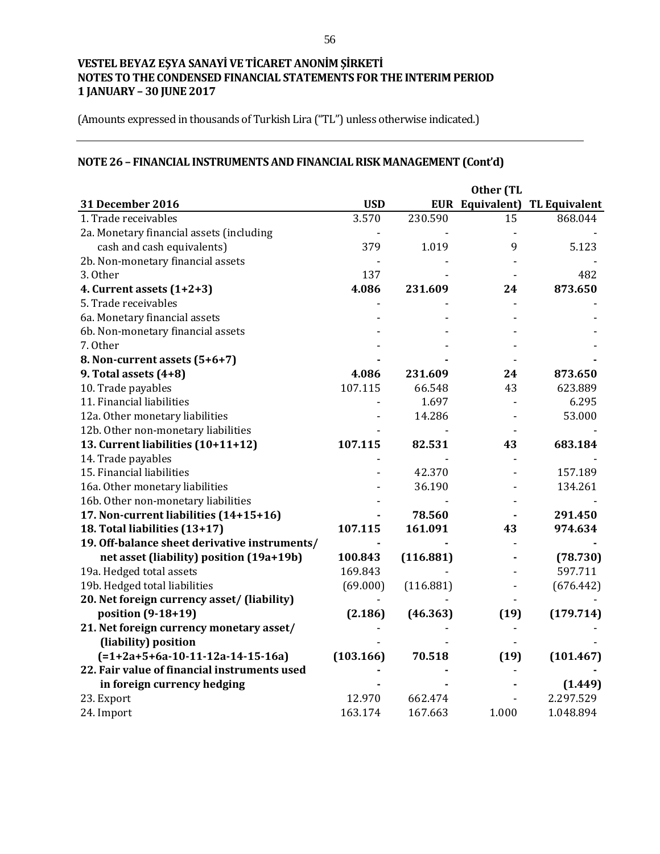(Amounts expressed in thousands of Turkish Lira ("TL") unless otherwise indicated.)

# **NOTE 26 – FINANCIAL INSTRUMENTS AND FINANCIAL RISK MANAGEMENT (Cont'd)**

|                                               |            |           | Other (TL |                               |
|-----------------------------------------------|------------|-----------|-----------|-------------------------------|
| 31 December 2016                              | <b>USD</b> |           |           | EUR Equivalent) TL Equivalent |
| 1. Trade receivables                          | 3.570      | 230.590   | 15        | 868.044                       |
| 2a. Monetary financial assets (including      |            |           |           |                               |
| cash and cash equivalents)                    | 379        | 1.019     | 9         | 5.123                         |
| 2b. Non-monetary financial assets             |            |           |           |                               |
| 3. Other                                      | 137        |           |           | 482                           |
| 4. Current assets $(1+2+3)$                   | 4.086      | 231.609   | 24        | 873.650                       |
| 5. Trade receivables                          |            |           |           |                               |
| 6a. Monetary financial assets                 |            |           |           |                               |
| 6b. Non-monetary financial assets             |            |           |           |                               |
| 7. Other                                      |            |           |           |                               |
| 8. Non-current assets (5+6+7)                 |            |           |           |                               |
| 9. Total assets $(4+8)$                       | 4.086      | 231.609   | 24        | 873.650                       |
| 10. Trade payables                            | 107.115    | 66.548    | 43        | 623.889                       |
| 11. Financial liabilities                     |            | 1.697     |           | 6.295                         |
| 12a. Other monetary liabilities               |            | 14.286    |           | 53.000                        |
| 12b. Other non-monetary liabilities           |            |           |           |                               |
| 13. Current liabilities (10+11+12)            | 107.115    | 82.531    | 43        | 683.184                       |
| 14. Trade payables                            |            |           |           |                               |
| 15. Financial liabilities                     |            | 42.370    |           | 157.189                       |
| 16a. Other monetary liabilities               |            | 36.190    |           | 134.261                       |
| 16b. Other non-monetary liabilities           |            |           |           |                               |
| 17. Non-current liabilities (14+15+16)        |            | 78.560    |           | 291.450                       |
| 18. Total liabilities (13+17)                 | 107.115    | 161.091   | 43        | 974.634                       |
| 19. Off-balance sheet derivative instruments/ |            |           |           |                               |
| net asset (liability) position (19a+19b)      | 100.843    | (116.881) |           | (78.730)                      |
| 19a. Hedged total assets                      | 169.843    |           |           | 597.711                       |
| 19b. Hedged total liabilities                 | (69.000)   | (116.881) |           | (676.442)                     |
| 20. Net foreign currency asset/ (liability)   |            |           |           |                               |
| position (9-18+19)                            | (2.186)    | (46.363)  | (19)      | (179.714)                     |
| 21. Net foreign currency monetary asset/      |            |           |           |                               |
| (liability) position                          |            |           |           |                               |
| $(=1+2a+5+6a-10-11-12a-14-15-16a)$            | (103.166)  | 70.518    | (19)      | (101.467)                     |
| 22. Fair value of financial instruments used  |            |           |           |                               |
| in foreign currency hedging                   |            |           |           | (1.449)                       |
| 23. Export                                    | 12.970     | 662.474   |           | 2.297.529                     |
| 24. Import                                    | 163.174    | 167.663   | 1.000     | 1.048.894                     |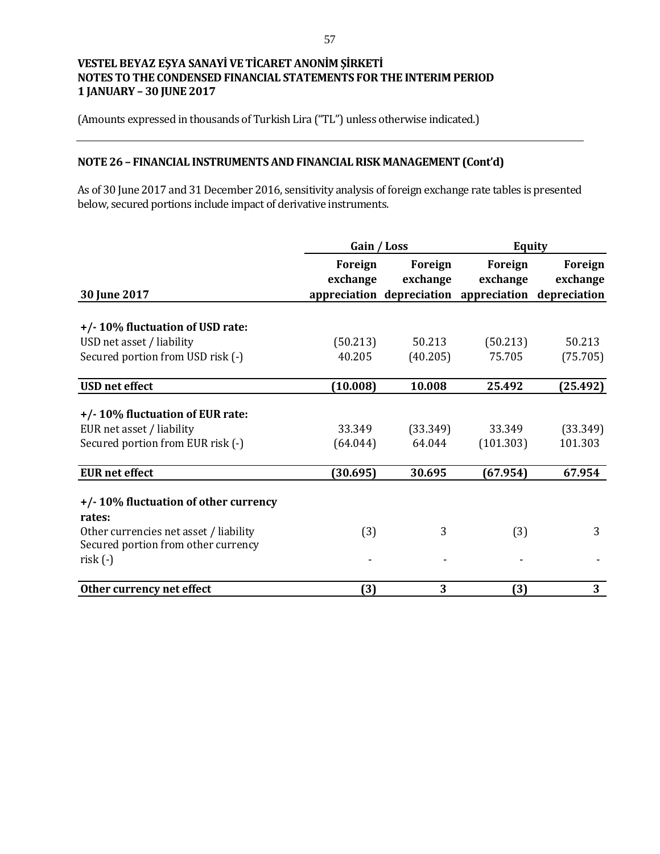(Amounts expressed in thousands of Turkish Lira ("TL") unless otherwise indicated.)

## **NOTE 26 – FINANCIAL INSTRUMENTS AND FINANCIAL RISK MANAGEMENT (Cont'd)**

As of 30 June 2017 and 31 December 2016, sensitivity analysis of foreign exchange rate tables is presented below, secured portions include impact of derivative instruments.

|                                        | Gain / Loss |          | <b>Equity</b>                                       |          |  |
|----------------------------------------|-------------|----------|-----------------------------------------------------|----------|--|
|                                        | Foreign     | Foreign  | Foreign                                             | Foreign  |  |
|                                        | exchange    | exchange | exchange                                            | exchange |  |
| 30 June 2017                           |             |          | appreciation depreciation appreciation depreciation |          |  |
|                                        |             |          |                                                     |          |  |
| +/-10% fluctuation of USD rate:        |             |          |                                                     |          |  |
| USD net asset / liability              | (50.213)    | 50.213   | (50.213)                                            | 50.213   |  |
| Secured portion from USD risk (-)      | 40.205      | (40.205) | 75.705                                              | (75.705) |  |
| <b>USD</b> net effect                  | (10.008)    | 10.008   | 25.492                                              | (25.492) |  |
|                                        |             |          |                                                     |          |  |
| +/-10% fluctuation of EUR rate:        |             |          |                                                     |          |  |
| EUR net asset / liability              | 33.349      | (33.349) | 33.349                                              | (33.349) |  |
| Secured portion from EUR risk (-)      | (64.044)    | 64.044   | (101.303)                                           | 101.303  |  |
| <b>EUR</b> net effect                  | (30.695)    | 30.695   | (67.954)                                            | 67.954   |  |
| +/-10% fluctuation of other currency   |             |          |                                                     |          |  |
| rates:                                 |             |          |                                                     |          |  |
| Other currencies net asset / liability | (3)         | 3        | (3)                                                 | 3        |  |
| Secured portion from other currency    |             |          |                                                     |          |  |
| $risk(-)$                              |             |          |                                                     |          |  |
| Other currency net effect              | (3)         | 3        | (3)                                                 | 3        |  |